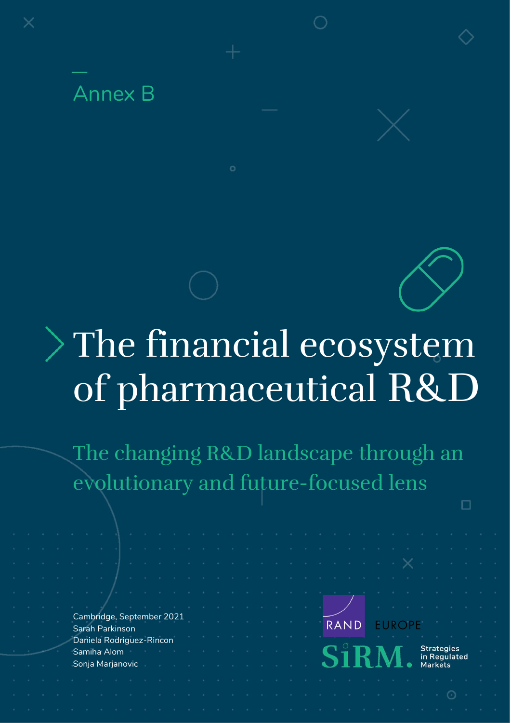

# The financial ecosystem of pharmaceutical R&D

The changing R&D landscape through an evolutionary and future-focused lens

|  |                                              |  |  |  |  |  |  |                                                                                 |  | , which is a constant of the contract of the contract of $\mathbf{X}$ and the contract of       |  |  |               |                            |  |  |
|--|----------------------------------------------|--|--|--|--|--|--|---------------------------------------------------------------------------------|--|-------------------------------------------------------------------------------------------------|--|--|---------------|----------------------------|--|--|
|  |                                              |  |  |  |  |  |  |                                                                                 |  | the contract of the contract of the contract of the contract of the contract of the contract of |  |  |               |                            |  |  |
|  |                                              |  |  |  |  |  |  |                                                                                 |  |                                                                                                 |  |  |               |                            |  |  |
|  |                                              |  |  |  |  |  |  | The contract of the contract of the contract of the contract of the contract of |  |                                                                                                 |  |  |               |                            |  |  |
|  | Cambridge, September 2021<br>Sarah Parkinson |  |  |  |  |  |  |                                                                                 |  | <b>RAND</b>                                                                                     |  |  | <b>EUROPE</b> |                            |  |  |
|  | Daniela Rodriguez-Rincon                     |  |  |  |  |  |  |                                                                                 |  |                                                                                                 |  |  |               |                            |  |  |
|  | Samiha Alom                                  |  |  |  |  |  |  |                                                                                 |  |                                                                                                 |  |  |               | Strategies<br>in Regulated |  |  |
|  | Sonja Marjanovic                             |  |  |  |  |  |  | and the control of the control of the control of the con-                       |  |                                                                                                 |  |  |               | <b>Markets</b>             |  |  |
|  |                                              |  |  |  |  |  |  |                                                                                 |  |                                                                                                 |  |  |               |                            |  |  |
|  |                                              |  |  |  |  |  |  |                                                                                 |  |                                                                                                 |  |  |               |                            |  |  |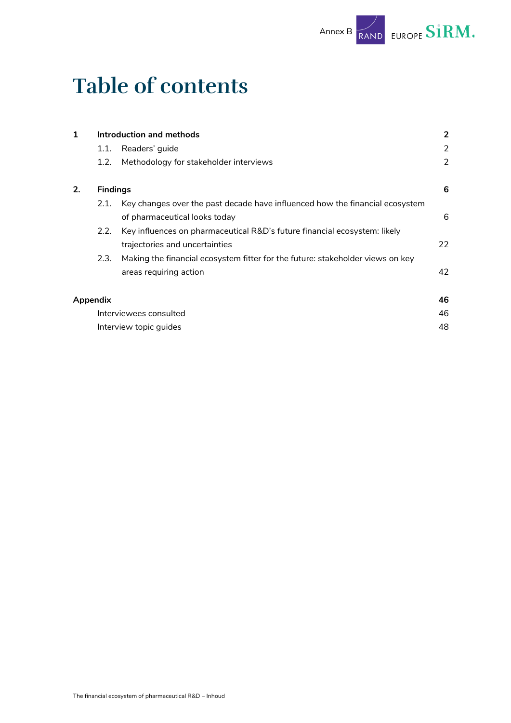## **Table of contents**

| 1  | Introduction and methods |                                                                                |    |  |  |  |  |  |  |  |  |
|----|--------------------------|--------------------------------------------------------------------------------|----|--|--|--|--|--|--|--|--|
|    | 1.1.                     | Readers' guide                                                                 | 2  |  |  |  |  |  |  |  |  |
|    | 1.2.                     | Methodology for stakeholder interviews                                         |    |  |  |  |  |  |  |  |  |
| 2. | <b>Findings</b>          |                                                                                | 6  |  |  |  |  |  |  |  |  |
|    | 2.1.                     | Key changes over the past decade have influenced how the financial ecosystem   |    |  |  |  |  |  |  |  |  |
|    |                          | of pharmaceutical looks today                                                  | 6  |  |  |  |  |  |  |  |  |
|    | 2.2.                     | Key influences on pharmaceutical R&D's future financial ecosystem: likely      |    |  |  |  |  |  |  |  |  |
|    |                          | trajectories and uncertainties                                                 | 22 |  |  |  |  |  |  |  |  |
|    | 2.3.                     | Making the financial ecosystem fitter for the future: stakeholder views on key |    |  |  |  |  |  |  |  |  |
|    |                          | areas requiring action                                                         | 42 |  |  |  |  |  |  |  |  |
|    | Appendix                 |                                                                                | 46 |  |  |  |  |  |  |  |  |
|    |                          | Interviewees consulted                                                         | 46 |  |  |  |  |  |  |  |  |
|    |                          | Interview topic guides                                                         | 48 |  |  |  |  |  |  |  |  |
|    |                          |                                                                                |    |  |  |  |  |  |  |  |  |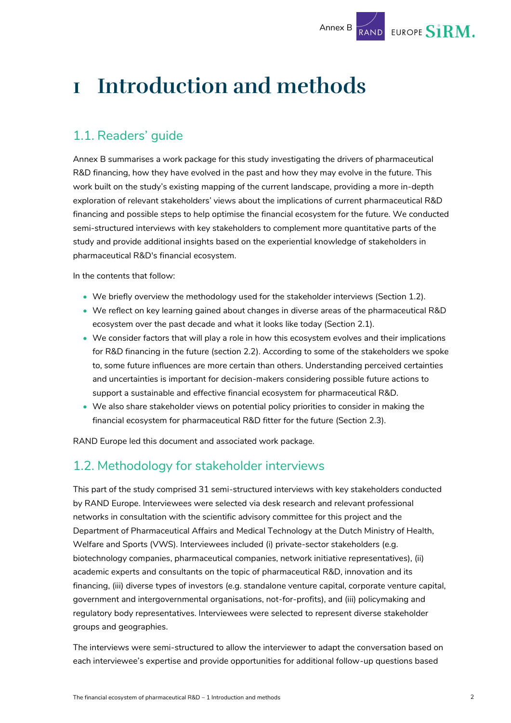## <span id="page-2-0"></span>**1 Introduction and methods**

## <span id="page-2-1"></span>1.1. Readers' guide

Annex B summarises a work package for this study investigating the drivers of pharmaceutical R&D financing, how they have evolved in the past and how they may evolve in the future. This work built on the study's existing mapping of the current landscape, providing a more in-depth exploration of relevant stakeholders' views about the implications of current pharmaceutical R&D financing and possible steps to help optimise the financial ecosystem for the future. We conducted semi-structured interviews with key stakeholders to complement more quantitative parts of the study and provide additional insights based on the experiential knowledge of stakeholders in pharmaceutical R&D's financial ecosystem.

In the contents that follow:

- We briefly overview the methodology used for the stakeholder interviews (Section [1.2\)](#page-2-2).
- We reflect on key learning gained about changes in diverse areas of the pharmaceutical R&D ecosystem over the past decade and what it looks like today (Sectio[n 2.1\)](#page-6-1).
- We consider factors that will play a role in how this ecosystem evolves and their implications for R&D financing in the future (section [2.2\)](#page-22-0). According to some of the stakeholders we spoke to, some future influences are more certain than others. Understanding perceived certainties and uncertainties is important for decision-makers considering possible future actions to support a sustainable and effective financial ecosystem for pharmaceutical R&D.
- We also share stakeholder views on potential policy priorities to consider in making the financial ecosystem for pharmaceutical R&D fitter for the future (Section [2.3\)](#page-42-0).

RAND Europe led this document and associated work package.

### <span id="page-2-2"></span>1.2. Methodology for stakeholder interviews

This part of the study comprised 31 semi-structured interviews with key stakeholders conducted by RAND Europe. Interviewees were selected via desk research and relevant professional networks in consultation with the scientific advisory committee for this project and the Department of Pharmaceutical Affairs and Medical Technology at the Dutch Ministry of Health, Welfare and Sports (VWS). Interviewees included (i) private-sector stakeholders (e.g. biotechnology companies, pharmaceutical companies, network initiative representatives), (ii) academic experts and consultants on the topic of pharmaceutical R&D, innovation and its financing, (iii) diverse types of investors (e.g. standalone venture capital, corporate venture capital, government and intergovernmental organisations, not-for-profits), and (iii) policymaking and regulatory body representatives. Interviewees were selected to represent diverse stakeholder groups and geographies.

The interviews were semi-structured to allow the interviewer to adapt the conversation based on each interviewee's expertise and provide opportunities for additional follow-up questions based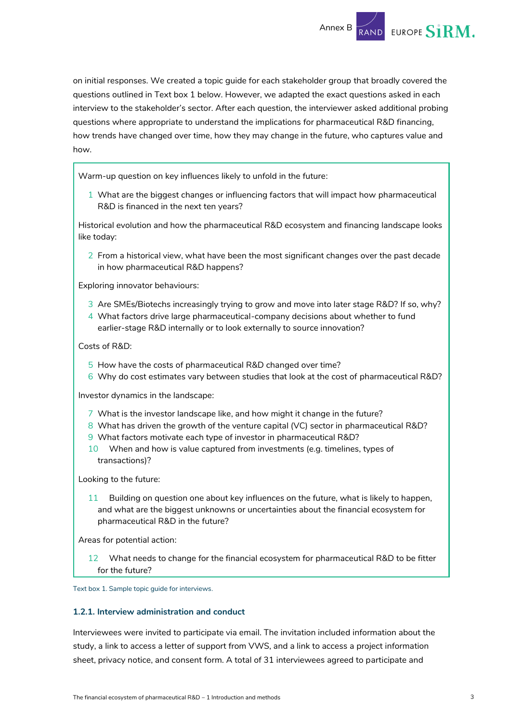

on initial responses. We created a topic guide for each stakeholder group that broadly covered the questions outlined in [Text box](#page-3-0) 1 below. However, we adapted the exact questions asked in each interview to the stakeholder's sector. After each question, the interviewer asked additional probing questions where appropriate to understand the implications for pharmaceutical R&D financing, how trends have changed over time, how they may change in the future, who captures value and how.

Warm-up question on key influences likely to unfold in the future:

1 What are the biggest changes or influencing factors that will impact how pharmaceutical R&D is financed in the next ten years?

Historical evolution and how the pharmaceutical R&D ecosystem and financing landscape looks like today:

2 From a historical view, what have been the most significant changes over the past decade in how pharmaceutical R&D happens?

Exploring innovator behaviours:

- 3 Are SMEs/Biotechs increasingly trying to grow and move into later stage R&D? If so, why?
- 4 What factors drive large pharmaceutical-company decisions about whether to fund earlier-stage R&D internally or to look externally to source innovation?

Costs of R&D:

- 5 How have the costs of pharmaceutical R&D changed over time?
- 6 Why do cost estimates vary between studies that look at the cost of pharmaceutical R&D?

Investor dynamics in the landscape:

- 7 What is the investor landscape like, and how might it change in the future?
- 8 What has driven the growth of the venture capital (VC) sector in pharmaceutical R&D?
- 9 What factors motivate each type of investor in pharmaceutical R&D?
- 10 When and how is value captured from investments (e.g. timelines, types of transactions)?

Looking to the future:

11 Building on question one about key influences on the future, what is likely to happen, and what are the biggest unknowns or uncertainties about the financial ecosystem for pharmaceutical R&D in the future?

Areas for potential action:

12 What needs to change for the financial ecosystem for pharmaceutical R&D to be fitter for the future?

<span id="page-3-0"></span>Text box 1. Sample topic guide for interviews.

#### **1.2.1. Interview administration and conduct**

Interviewees were invited to participate via email. The invitation included information about the study, a link to access a letter of support from VWS, and a link to access a project information sheet, privacy notice, and consent form. A total of 31 interviewees agreed to participate and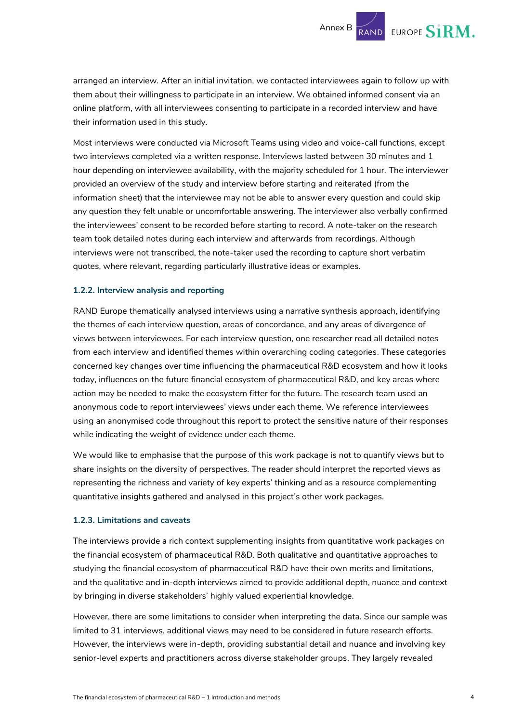Annex B  $\overline{R}$  EUROPE S1RM.

arranged an interview. After an initial invitation, we contacted interviewees again to follow up with them about their willingness to participate in an interview. We obtained informed consent via an online platform, with all interviewees consenting to participate in a recorded interview and have their information used in this study.

Most interviews were conducted via Microsoft Teams using video and voice-call functions, except two interviews completed via a written response. Interviews lasted between 30 minutes and 1 hour depending on interviewee availability, with the majority scheduled for 1 hour. The interviewer provided an overview of the study and interview before starting and reiterated (from the information sheet) that the interviewee may not be able to answer every question and could skip any question they felt unable or uncomfortable answering. The interviewer also verbally confirmed the interviewees' consent to be recorded before starting to record. A note-taker on the research team took detailed notes during each interview and afterwards from recordings. Although interviews were not transcribed, the note-taker used the recording to capture short verbatim quotes, where relevant, regarding particularly illustrative ideas or examples.

#### **1.2.2. Interview analysis and reporting**

RAND Europe thematically analysed interviews using a narrative synthesis approach, identifying the themes of each interview question, areas of concordance, and any areas of divergence of views between interviewees. For each interview question, one researcher read all detailed notes from each interview and identified themes within overarching coding categories. These categories concerned key changes over time influencing the pharmaceutical R&D ecosystem and how it looks today, influences on the future financial ecosystem of pharmaceutical R&D, and key areas where action may be needed to make the ecosystem fitter for the future. The research team used an anonymous code to report interviewees' views under each theme. We reference interviewees using an anonymised code throughout this report to protect the sensitive nature of their responses while indicating the weight of evidence under each theme.

We would like to emphasise that the purpose of this work package is not to quantify views but to share insights on the diversity of perspectives. The reader should interpret the reported views as representing the richness and variety of key experts' thinking and as a resource complementing quantitative insights gathered and analysed in this project's other work packages.

#### **1.2.3. Limitations and caveats**

The interviews provide a rich context supplementing insights from quantitative work packages on the financial ecosystem of pharmaceutical R&D. Both qualitative and quantitative approaches to studying the financial ecosystem of pharmaceutical R&D have their own merits and limitations, and the qualitative and in-depth interviews aimed to provide additional depth, nuance and context by bringing in diverse stakeholders' highly valued experiential knowledge.

However, there are some limitations to consider when interpreting the data. Since our sample was limited to 31 interviews, additional views may need to be considered in future research efforts. However, the interviews were in-depth, providing substantial detail and nuance and involving key senior-level experts and practitioners across diverse stakeholder groups. They largely revealed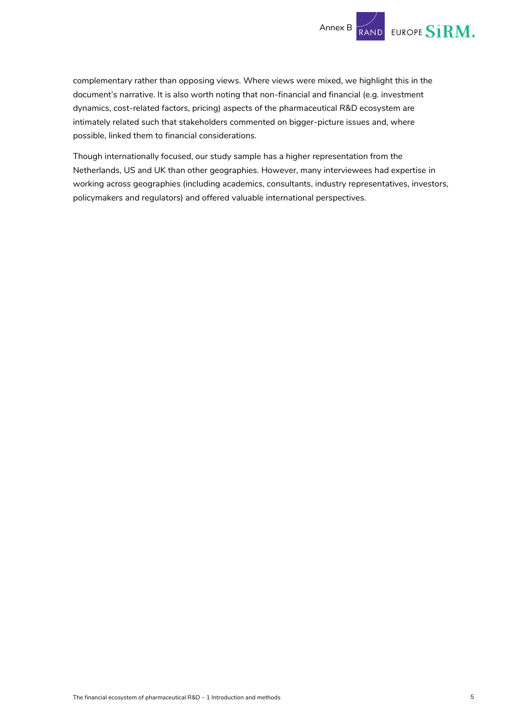

complementary rather than opposing views. Where views were mixed, we highlight this in the document's narrative. It is also worth noting that non-financial and financial (e.g. investment dynamics, cost-related factors, pricing) aspects of the pharmaceutical R&D ecosystem are intimately related such that stakeholders commented on bigger-picture issues and, where possible, linked them to financial considerations.

Though internationally focused, our study sample has a higher representation from the Netherlands, US and UK than other geographies. However, many interviewees had expertise in working across geographies (including academics, consultants, industry representatives, investors, policymakers and regulators) and offered valuable international perspectives.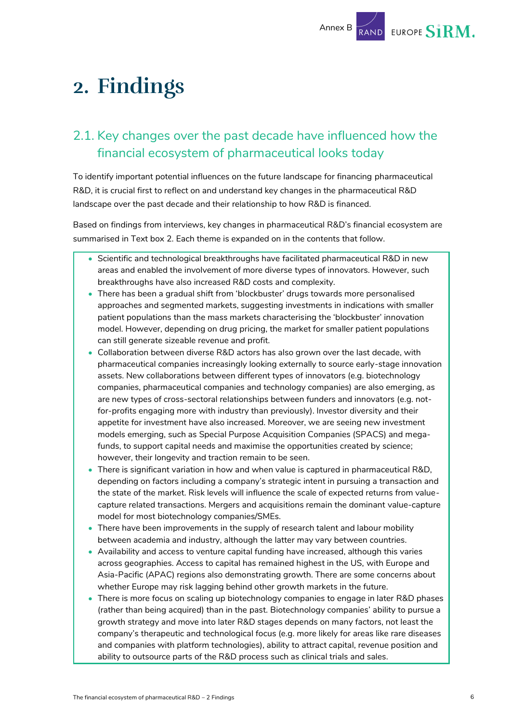## <span id="page-6-0"></span>**2. Findings**

## <span id="page-6-1"></span>2.1. Key changes over the past decade have influenced how the financial ecosystem of pharmaceutical looks today

To identify important potential influences on the future landscape for financing pharmaceutical R&D, it is crucial first to reflect on and understand key changes in the pharmaceutical R&D landscape over the past decade and their relationship to how R&D is financed.

Based on findings from interviews, key changes in pharmaceutical R&D's financial ecosystem are summarised in [Text box](#page-7-0) 2. Each theme is expanded on in the contents that follow.

- Scientific and technological breakthroughs have facilitated pharmaceutical R&D in new areas and enabled the involvement of more diverse types of innovators. However, such breakthroughs have also increased R&D costs and complexity.
- There has been a gradual shift from 'blockbuster' drugs towards more personalised approaches and segmented markets, suggesting investments in indications with smaller patient populations than the mass markets characterising the 'blockbuster' innovation model. However, depending on drug pricing, the market for smaller patient populations can still generate sizeable revenue and profit.
- Collaboration between diverse R&D actors has also grown over the last decade, with pharmaceutical companies increasingly looking externally to source early-stage innovation assets. New collaborations between different types of innovators (e.g. biotechnology companies, pharmaceutical companies and technology companies) are also emerging, as are new types of cross-sectoral relationships between funders and innovators (e.g. notfor-profits engaging more with industry than previously). Investor diversity and their appetite for investment have also increased. Moreover, we are seeing new investment models emerging, such as Special Purpose Acquisition Companies (SPACS) and megafunds, to support capital needs and maximise the opportunities created by science; however, their longevity and traction remain to be seen.
- There is significant variation in how and when value is captured in pharmaceutical R&D, depending on factors including a company's strategic intent in pursuing a transaction and the state of the market. Risk levels will influence the scale of expected returns from valuecapture related transactions. Mergers and acquisitions remain the dominant value-capture model for most biotechnology companies/SMEs.
- There have been improvements in the supply of research talent and labour mobility between academia and industry, although the latter may vary between countries.
- Availability and access to venture capital funding have increased, although this varies across geographies. Access to capital has remained highest in the US, with Europe and Asia-Pacific (APAC) regions also demonstrating growth. There are some concerns about whether Europe may risk lagging behind other growth markets in the future.
- There is more focus on scaling up biotechnology companies to engage in later R&D phases (rather than being acquired) than in the past. Biotechnology companies' ability to pursue a growth strategy and move into later R&D stages depends on many factors, not least the company's therapeutic and technological focus (e.g. more likely for areas like rare diseases and companies with platform technologies), ability to attract capital, revenue position and ability to outsource parts of the R&D process such as clinical trials and sales.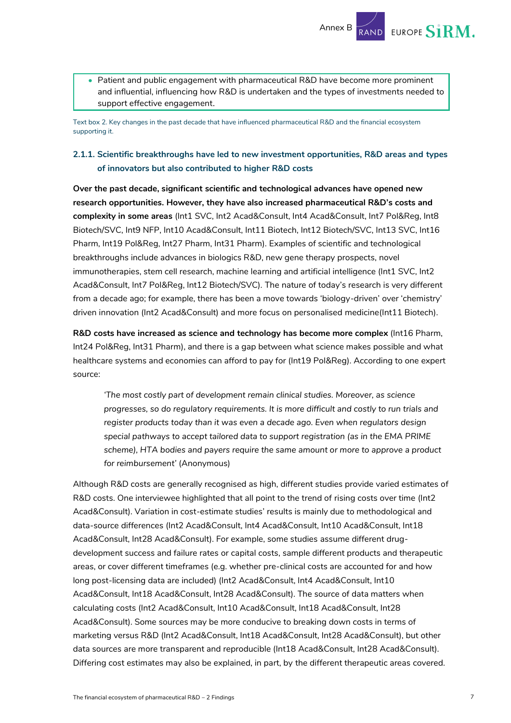• Patient and public engagement with pharmaceutical R&D have become more prominent and influential, influencing how R&D is undertaken and the types of investments needed to support effective engagement.

Annex B

RAND EUROPE  $\mathbf{S}$ **IRM.** 

<span id="page-7-0"></span>Text box 2. Key changes in the past decade that have influenced pharmaceutical R&D and the financial ecosystem supporting it.

#### **2.1.1. Scientific breakthroughs have led to new investment opportunities, R&D areas and types of innovators but also contributed to higher R&D costs**

**Over the past decade, significant scientific and technological advances have opened new research opportunities. However, they have also increased pharmaceutical R&D's costs and complexity in some areas** (Int1 SVC, Int2 Acad&Consult, Int4 Acad&Consult, Int7 Pol&Reg, Int8 Biotech/SVC, Int9 NFP, Int10 Acad&Consult, Int11 Biotech, Int12 Biotech/SVC, Int13 SVC, Int16 Pharm, Int19 Pol&Reg, Int27 Pharm, Int31 Pharm). Examples of scientific and technological breakthroughs include advances in biologics R&D, new gene therapy prospects, novel immunotherapies, stem cell research, machine learning and artificial intelligence (Int1 SVC, Int2 Acad&Consult, Int7 Pol&Reg, Int12 Biotech/SVC). The nature of today's research is very different from a decade ago; for example, there has been a move towards 'biology-driven' over 'chemistry' driven innovation (Int2 Acad&Consult) and more focus on personalised medicine(Int11 Biotech).

**R&D costs have increased as science and technology has become more complex** (Int16 Pharm, Int24 Pol&Reg, Int31 Pharm), and there is a gap between what science makes possible and what healthcare systems and economies can afford to pay for (Int19 Pol&Reg). According to one expert source:

*'The most costly part of development remain clinical studies. Moreover, as science progresses, so do regulatory requirements. It is more difficult and costly to run trials and register products today than it was even a decade ago. Even when regulators design special pathways to accept tailored data to support registration (as in the EMA PRIME scheme), HTA bodies and payers require the same amount or more to approve a product for reimbursement'* (Anonymous)

Although R&D costs are generally recognised as high, different studies provide varied estimates of R&D costs. One interviewee highlighted that all point to the trend of rising costs over time (Int2 Acad&Consult). Variation in cost-estimate studies' results is mainly due to methodological and data-source differences (Int2 Acad&Consult, Int4 Acad&Consult, Int10 Acad&Consult, Int18 Acad&Consult, Int28 Acad&Consult). For example, some studies assume different drugdevelopment success and failure rates or capital costs, sample different products and therapeutic areas, or cover different timeframes (e.g. whether pre-clinical costs are accounted for and how long post-licensing data are included) (Int2 Acad&Consult, Int4 Acad&Consult, Int10 Acad&Consult, Int18 Acad&Consult, Int28 Acad&Consult). The source of data matters when calculating costs (Int2 Acad&Consult, Int10 Acad&Consult, Int18 Acad&Consult, Int28 Acad&Consult). Some sources may be more conducive to breaking down costs in terms of marketing versus R&D (Int2 Acad&Consult, Int18 Acad&Consult, Int28 Acad&Consult), but other data sources are more transparent and reproducible (Int18 Acad&Consult, Int28 Acad&Consult). Differing cost estimates may also be explained, in part, by the different therapeutic areas covered.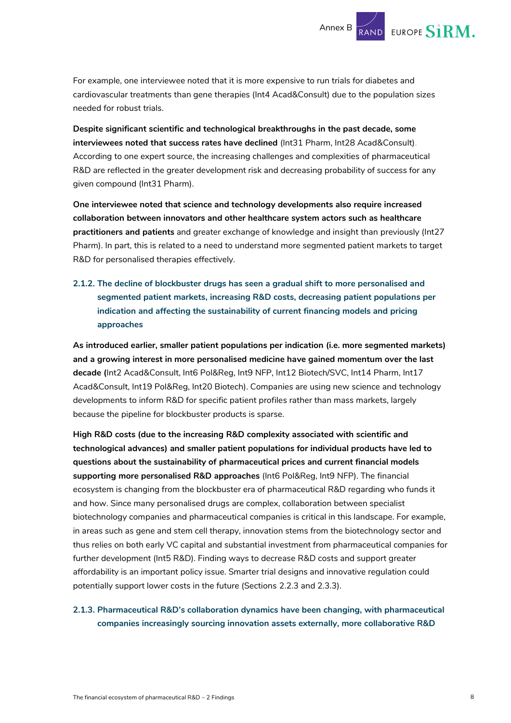For example, one interviewee noted that it is more expensive to run trials for diabetes and cardiovascular treatments than gene therapies (Int4 Acad&Consult) due to the population sizes needed for robust trials.

**Despite significant scientific and technological breakthroughs in the past decade, some interviewees noted that success rates have declined** (Int31 Pharm, Int28 Acad&Consult). According to one expert source, the increasing challenges and complexities of pharmaceutical R&D are reflected in the greater development risk and decreasing probability of success for any given compound (Int31 Pharm).

**One interviewee noted that science and technology developments also require increased collaboration between innovators and other healthcare system actors such as healthcare practitioners and patients** and greater exchange of knowledge and insight than previously (Int27 Pharm). In part, this is related to a need to understand more segmented patient markets to target R&D for personalised therapies effectively.

#### **2.1.2. The decline of blockbuster drugs has seen a gradual shift to more personalised and segmented patient markets, increasing R&D costs, decreasing patient populations per indication and affecting the sustainability of current financing models and pricing approaches**

**As introduced earlier, smaller patient populations per indication (i.e. more segmented markets) and a growing interest in more personalised medicine have gained momentum over the last decade (**Int2 Acad&Consult, Int6 Pol&Reg, Int9 NFP, Int12 Biotech/SVC, Int14 Pharm, Int17 Acad&Consult, Int19 Pol&Reg, Int20 Biotech). Companies are using new science and technology developments to inform R&D for specific patient profiles rather than mass markets, largely because the pipeline for blockbuster products is sparse.

**High R&D costs (due to the increasing R&D complexity associated with scientific and technological advances) and smaller patient populations for individual products have led to questions about the sustainability of pharmaceutical prices and current financial models supporting more personalised R&D approaches** (Int6 Pol&Reg, Int9 NFP). The financial ecosystem is changing from the blockbuster era of pharmaceutical R&D regarding who funds it and how. Since many personalised drugs are complex, collaboration between specialist biotechnology companies and pharmaceutical companies is critical in this landscape. For example, in areas such as gene and stem cell therapy, innovation stems from the biotechnology sector and thus relies on both early VC capital and substantial investment from pharmaceutical companies for further development (Int5 R&D). Finding ways to decrease R&D costs and support greater affordability is an important policy issue. Smarter trial designs and innovative regulation could potentially support lower costs in the future (Sections [2.2.3](#page-31-0) and [2.3.3\)](#page-43-0).

#### <span id="page-8-0"></span>**2.1.3. Pharmaceutical R&D's collaboration dynamics have been changing, with pharmaceutical companies increasingly sourcing innovation assets externally, more collaborative R&D**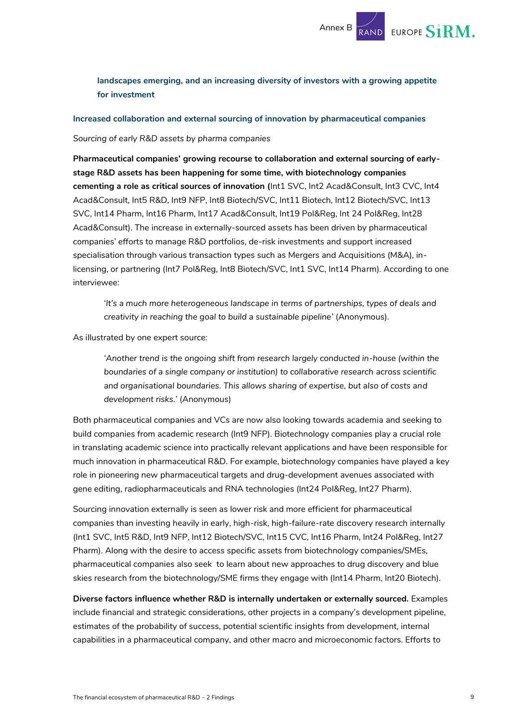

**landscapes emerging, and an increasing diversity of investors with a growing appetite for investment** 

**Increased collaboration and external sourcing of innovation by pharmaceutical companies**

*Sourcing of early R&D assets by pharma companies*

**Pharmaceutical companies' growing recourse to collaboration and external sourcing of earlystage R&D assets has been happening for some time, with biotechnology companies cementing a role as critical sources of innovation (**Int1 SVC, Int2 Acad&Consult, Int3 CVC, Int4 Acad&Consult, Int5 R&D, Int9 NFP, Int8 Biotech/SVC, Int11 Biotech, Int12 Biotech/SVC, Int13 SVC, Int14 Pharm, Int16 Pharm, Int17 Acad&Consult, Int19 Pol&Reg, Int 24 Pol&Reg, Int28 Acad&Consult). The increase in externally-sourced assets has been driven by pharmaceutical companies' efforts to manage R&D portfolios, de-risk investments and support increased specialisation through various transaction types such as Mergers and Acquisitions (M&A), inlicensing, or partnering (Int7 Pol&Reg, Int8 Biotech/SVC, Int1 SVC, Int14 Pharm). According to one interviewee:

'*It's a much more heterogeneous landscape in terms of partnerships, types of deals and creativity in reaching the goal to build a sustainable pipeline'* (Anonymous).

As illustrated by one expert source:

*'Another trend is the ongoing shift from research largely conducted in-house (within the boundaries of a single company or institution) to collaborative research across scientific and organisational boundaries. This allows sharing of expertise, but also of costs and development risks.'* (Anonymous)

Both pharmaceutical companies and VCs are now also looking towards academia and seeking to build companies from academic research (Int9 NFP). Biotechnology companies play a crucial role in translating academic science into practically relevant applications and have been responsible for much innovation in pharmaceutical R&D. For example, biotechnology companies have played a key role in pioneering new pharmaceutical targets and drug-development avenues associated with gene editing, radiopharmaceuticals and RNA technologies (Int24 Pol&Reg, Int27 Pharm).

Sourcing innovation externally is seen as lower risk and more efficient for pharmaceutical companies than investing heavily in early, high-risk, high-failure-rate discovery research internally (Int1 SVC, Int5 R&D, Int9 NFP, Int12 Biotech/SVC, Int15 CVC, Int16 Pharm, Int24 Pol&Reg, Int27 Pharm). Along with the desire to access specific assets from biotechnology companies/SMEs, pharmaceutical companies also seek to learn about new approaches to drug discovery and blue skies research from the biotechnology/SME firms they engage with (Int14 Pharm, Int20 Biotech).

**Diverse factors influence whether R&D is internally undertaken or externally sourced.** Examples include financial and strategic considerations, other projects in a company's development pipeline, estimates of the probability of success, potential scientific insights from development, internal capabilities in a pharmaceutical company, and other macro and microeconomic factors. Efforts to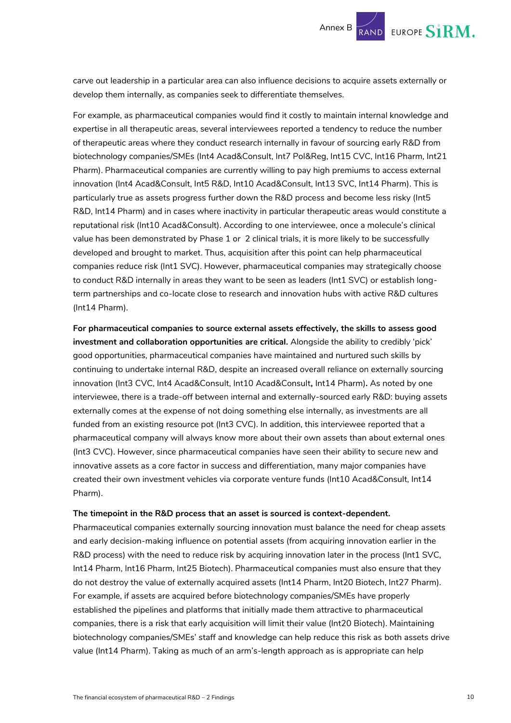carve out leadership in a particular area can also influence decisions to acquire assets externally or develop them internally, as companies seek to differentiate themselves.

For example, as pharmaceutical companies would find it costly to maintain internal knowledge and expertise in all therapeutic areas, several interviewees reported a tendency to reduce the number of therapeutic areas where they conduct research internally in favour of sourcing early R&D from biotechnology companies/SMEs (Int4 Acad&Consult, Int7 Pol&Reg, Int15 CVC, Int16 Pharm, Int21 Pharm). Pharmaceutical companies are currently willing to pay high premiums to access external innovation (Int4 Acad&Consult, Int5 R&D, Int10 Acad&Consult, Int13 SVC, Int14 Pharm). This is particularly true as assets progress further down the R&D process and become less risky (Int5 R&D, Int14 Pharm) and in cases where inactivity in particular therapeutic areas would constitute a reputational risk (Int10 Acad&Consult). According to one interviewee, once a molecule's clinical value has been demonstrated by Phase 1 or 2 clinical trials, it is more likely to be successfully developed and brought to market. Thus, acquisition after this point can help pharmaceutical companies reduce risk (Int1 SVC). However, pharmaceutical companies may strategically choose to conduct R&D internally in areas they want to be seen as leaders (Int1 SVC) or establish longterm partnerships and co-locate close to research and innovation hubs with active R&D cultures (Int14 Pharm).

**For pharmaceutical companies to source external assets effectively, the skills to assess good investment and collaboration opportunities are critical.** Alongside the ability to credibly 'pick' good opportunities, pharmaceutical companies have maintained and nurtured such skills by continuing to undertake internal R&D, despite an increased overall reliance on externally sourcing innovation (Int3 CVC, Int4 Acad&Consult, Int10 Acad&Consult**,** Int14 Pharm)**.** As noted by one interviewee, there is a trade-off between internal and externally-sourced early R&D: buying assets externally comes at the expense of not doing something else internally, as investments are all funded from an existing resource pot (Int3 CVC). In addition, this interviewee reported that a pharmaceutical company will always know more about their own assets than about external ones (Int3 CVC). However, since pharmaceutical companies have seen their ability to secure new and innovative assets as a core factor in success and differentiation, many major companies have created their own investment vehicles via corporate venture funds (Int10 Acad&Consult, Int14 Pharm).

#### **The timepoint in the R&D process that an asset is sourced is context-dependent.**

Pharmaceutical companies externally sourcing innovation must balance the need for cheap assets and early decision-making influence on potential assets (from acquiring innovation earlier in the R&D process) with the need to reduce risk by acquiring innovation later in the process (Int1 SVC, Int14 Pharm, Int16 Pharm, Int25 Biotech). Pharmaceutical companies must also ensure that they do not destroy the value of externally acquired assets (Int14 Pharm, Int20 Biotech, Int27 Pharm). For example, if assets are acquired before biotechnology companies/SMEs have properly established the pipelines and platforms that initially made them attractive to pharmaceutical companies, there is a risk that early acquisition will limit their value (Int20 Biotech). Maintaining biotechnology companies/SMEs' staff and knowledge can help reduce this risk as both assets drive value (Int14 Pharm). Taking as much of an arm's-length approach as is appropriate can help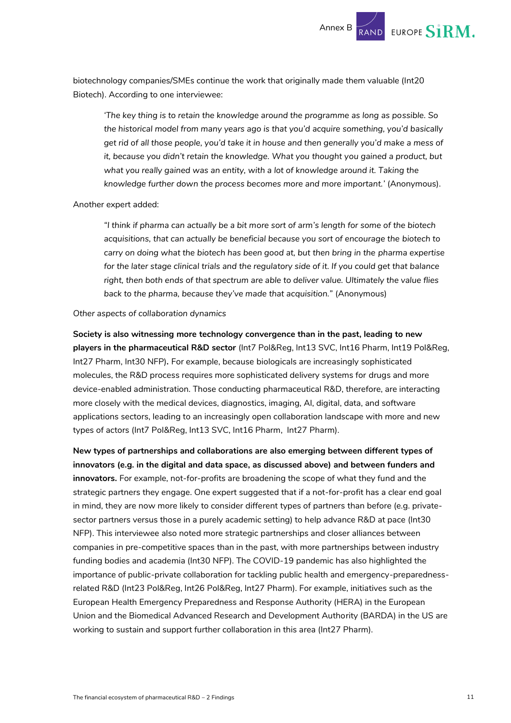biotechnology companies/SMEs continue the work that originally made them valuable (Int20 Biotech). According to one interviewee:

*'The key thing is to retain the knowledge around the programme as long as possible. So the historical model from many years ago is that you'd acquire something, you'd basically get rid of all those people, you'd take it in house and then generally you'd make a mess of it, because you didn't retain the knowledge. What you thought you gained a product, but*  what you really gained was an entity, with a lot of knowledge around it. Taking the *knowledge further down the process becomes more and more important.'* (Anonymous).

#### Another expert added:

*"I think if pharma can actually be a bit more sort of arm's length for some of the biotech acquisitions, that can actually be beneficial because you sort of encourage the biotech to carry on doing what the biotech has been good at, but then bring in the pharma expertise*  for the later stage clinical trials and the regulatory side of it. If you could get that balance *right, then both ends of that spectrum are able to deliver value. Ultimately the value flies back to the pharma, because they've made that acquisition."* (Anonymous)

#### *Other aspects of collaboration dynamics*

**Society is also witnessing more technology convergence than in the past, leading to new players in the pharmaceutical R&D sector** (Int7 Pol&Reg, Int13 SVC, Int16 Pharm, Int19 Pol&Reg, Int27 Pharm, Int30 NFP)*.* For example, because biologicals are increasingly sophisticated molecules, the R&D process requires more sophisticated delivery systems for drugs and more device-enabled administration. Those conducting pharmaceutical R&D, therefore, are interacting more closely with the medical devices, diagnostics, imaging, AI, digital, data, and software applications sectors, leading to an increasingly open collaboration landscape with more and new types of actors (Int7 Pol&Reg, Int13 SVC, Int16 Pharm, Int27 Pharm).

**New types of partnerships and collaborations are also emerging between different types of innovators (e.g. in the digital and data space, as discussed above) and between funders and innovators.** For example, not-for-profits are broadening the scope of what they fund and the strategic partners they engage. One expert suggested that if a not-for-profit has a clear end goal in mind, they are now more likely to consider different types of partners than before (e.g. privatesector partners versus those in a purely academic setting) to help advance R&D at pace (Int30 NFP). This interviewee also noted more strategic partnerships and closer alliances between companies in pre-competitive spaces than in the past, with more partnerships between industry funding bodies and academia (Int30 NFP). The COVID-19 pandemic has also highlighted the importance of public-private collaboration for tackling public health and emergency-preparednessrelated R&D (Int23 Pol&Reg, Int26 Pol&Reg, Int27 Pharm). For example, initiatives such as the European Health Emergency Preparedness and Response Authority (HERA) in the European Union and the Biomedical Advanced Research and Development Authority (BARDA) in the US are working to sustain and support further collaboration in this area (Int27 Pharm).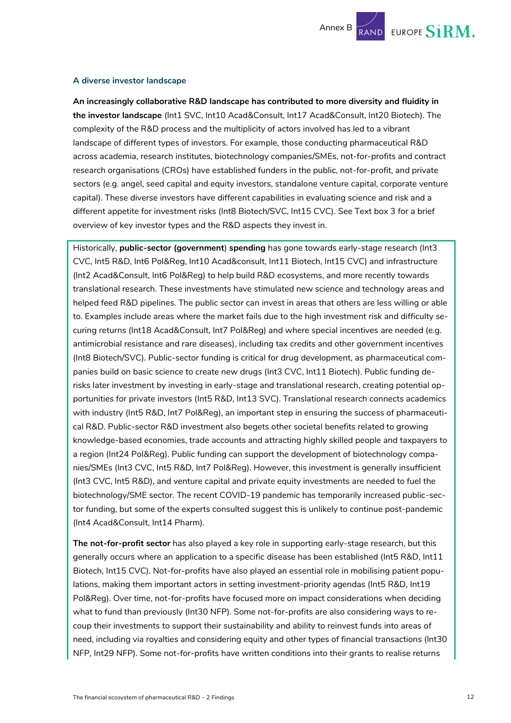#### **A diverse investor landscape**

**An increasingly collaborative R&D landscape has contributed to more diversity and fluidity in the investor landscape** (Int1 SVC, Int10 Acad&Consult, Int17 Acad&Consult, Int20 Biotech). The complexity of the R&D process and the multiplicity of actors involved has led to a vibrant landscape of different types of investors. For example, those conducting pharmaceutical R&D across academia, research institutes, biotechnology companies/SMEs, not-for-profits and contract research organisations (CROs) have established funders in the public, not-for-profit, and private sectors (e.g. angel, seed capital and equity investors, standalone venture capital, corporate venture capital). These diverse investors have different capabilities in evaluating science and risk and a different appetite for investment risks (Int8 Biotech/SVC, Int15 CVC). See [Text box](#page-13-0) 3 for a brief overview of key investor types and the R&D aspects they invest in.

Historically, **public-sector (government**) **spending** has gone towards early-stage research (Int3 CVC, Int5 R&D, Int6 Pol&Reg, Int10 Acad&consult, Int11 Biotech, Int15 CVC) and infrastructure (Int2 Acad&Consult, Int6 Pol&Reg) to help build R&D ecosystems, and more recently towards translational research. These investments have stimulated new science and technology areas and helped feed R&D pipelines. The public sector can invest in areas that others are less willing or able to. Examples include areas where the market fails due to the high investment risk and difficulty securing returns (Int18 Acad&Consult, Int7 Pol&Reg) and where special incentives are needed (e.g. antimicrobial resistance and rare diseases), including tax credits and other government incentives (Int8 Biotech/SVC). Public-sector funding is critical for drug development, as pharmaceutical companies build on basic science to create new drugs (Int3 CVC, Int11 Biotech). Public funding derisks later investment by investing in early-stage and translational research, creating potential opportunities for private investors (Int5 R&D, Int13 SVC). Translational research connects academics with industry (Int5 R&D, Int7 Pol&Reg), an important step in ensuring the success of pharmaceutical R&D. Public-sector R&D investment also begets other societal benefits related to growing knowledge-based economies, trade accounts and attracting highly skilled people and taxpayers to a region (Int24 Pol&Reg). Public funding can support the development of biotechnology companies/SMEs (Int3 CVC, Int5 R&D, Int7 Pol&Reg). However, this investment is generally insufficient (Int3 CVC, Int5 R&D), and venture capital and private equity investments are needed to fuel the biotechnology/SME sector. The recent COVID-19 pandemic has temporarily increased public-sector funding, but some of the experts consulted suggest this is unlikely to continue post-pandemic (Int4 Acad&Consult, Int14 Pharm).

**The not-for-profit sector** has also played a key role in supporting early-stage research, but this generally occurs where an application to a specific disease has been established (Int5 R&D, Int11 Biotech, Int15 CVC). Not-for-profits have also played an essential role in mobilising patient populations*,* making them important actors in setting investment-priority agendas (Int5 R&D, Int19 Pol&Reg). Over time, not-for-profits have focused more on impact considerations when deciding what to fund than previously (Int30 NFP). Some not-for-profits are also considering ways to recoup their investments to support their sustainability and ability to reinvest funds into areas of need, including via royalties and considering equity and other types of financial transactions (Int30 NFP, Int29 NFP). Some not-for-profits have written conditions into their grants to realise returns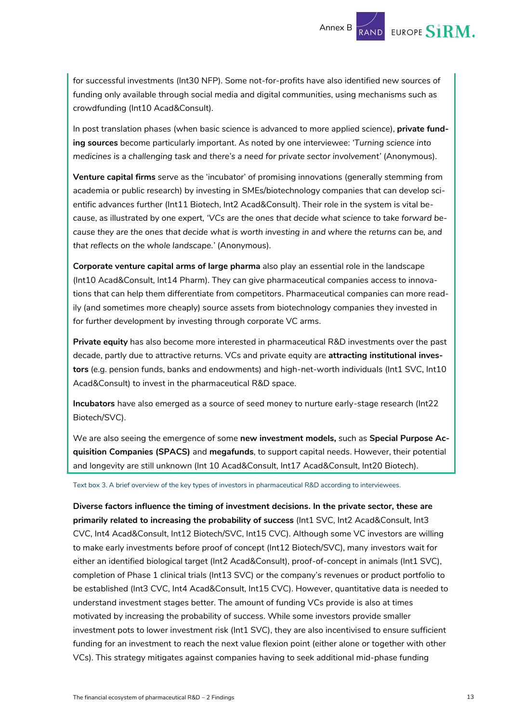for successful investments (Int30 NFP). Some not-for-profits have also identified new sources of funding only available through social media and digital communities, using mechanisms such as crowdfunding (Int10 Acad&Consult).

In post translation phases (when basic science is advanced to more applied science), **private funding sources** become particularly important. As noted by one interviewee: *'Turning science into medicines is a challenging task and there's a need for private sector involvement'* (Anonymous).

**Venture capital firms** serve as the 'incubator' of promising innovations (generally stemming from academia or public research) by investing in SMEs/biotechnology companies that can develop scientific advances further (Int11 Biotech, Int2 Acad&Consult). Their role in the system is vital because, as illustrated by one expert, *'VCs are the ones that decide what science to take forward because they are the ones that decide what is worth investing in and where the returns can be, and that reflects on the whole landscape.'* (Anonymous).

**Corporate venture capital arms of large pharma** also play an essential role in the landscape (Int10 Acad&Consult, Int14 Pharm). They can give pharmaceutical companies access to innovations that can help them differentiate from competitors. Pharmaceutical companies can more readily (and sometimes more cheaply) source assets from biotechnology companies they invested in for further development by investing through corporate VC arms.

**Private equity** has also become more interested in pharmaceutical R&D investments over the past decade, partly due to attractive returns. VCs and private equity are **attracting institutional investors** (e.g. pension funds, banks and endowments) and high-net-worth individuals (Int1 SVC, Int10 Acad&Consult) to invest in the pharmaceutical R&D space.

**Incubators** have also emerged as a source of seed money to nurture early-stage research (Int22 Biotech/SVC).

We are also seeing the emergence of some **new investment models,** such as **Special Purpose Acquisition Companies (SPACS)** and **megafunds**, to support capital needs. However, their potential and longevity are still unknown (Int 10 Acad&Consult, Int17 Acad&Consult, Int20 Biotech).

<span id="page-13-0"></span>Text box 3. A brief overview of the key types of investors in pharmaceutical R&D according to interviewees.

**Diverse factors influence the timing of investment decisions. In the private sector, these are primarily related to increasing the probability of success** (Int1 SVC, Int2 Acad&Consult, Int3 CVC, Int4 Acad&Consult, Int12 Biotech/SVC, Int15 CVC). Although some VC investors are willing to make early investments before proof of concept (Int12 Biotech/SVC), many investors wait for either an identified biological target (Int2 Acad&Consult), proof-of-concept in animals (Int1 SVC), completion of Phase 1 clinical trials (Int13 SVC) or the company's revenues or product portfolio to be established (Int3 CVC, Int4 Acad&Consult, Int15 CVC). However, quantitative data is needed to understand investment stages better. The amount of funding VCs provide is also at times motivated by increasing the probability of success. While some investors provide smaller investment pots to lower investment risk (Int1 SVC), they are also incentivised to ensure sufficient funding for an investment to reach the next value flexion point (either alone or together with other VCs). This strategy mitigates against companies having to seek additional mid-phase funding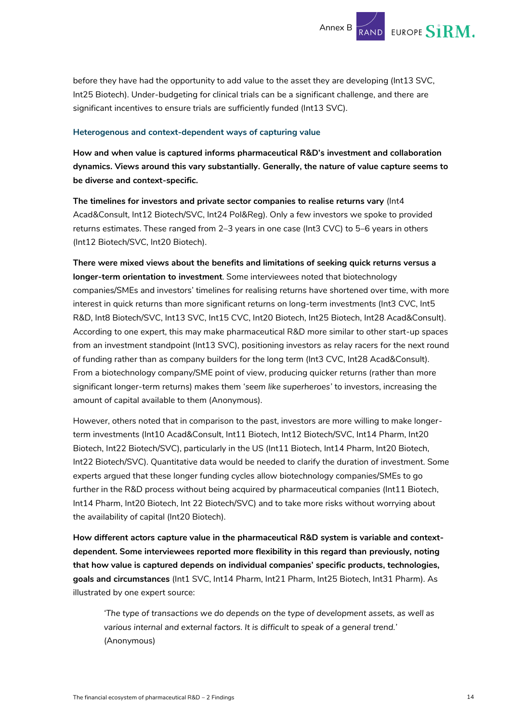before they have had the opportunity to add value to the asset they are developing (Int13 SVC, Int25 Biotech). Under-budgeting for clinical trials can be a significant challenge, and there are significant incentives to ensure trials are sufficiently funded (Int13 SVC).

#### **Heterogenous and context-dependent ways of capturing value**

**How and when value is captured informs pharmaceutical R&D's investment and collaboration dynamics. Views around this vary substantially. Generally, the nature of value capture seems to be diverse and context-specific.** 

**The timelines for investors and private sector companies to realise returns vary** (Int4 Acad&Consult, Int12 Biotech/SVC, Int24 Pol&Reg). Only a few investors we spoke to provided returns estimates. These ranged from 2–3 years in one case (Int3 CVC) to 5–6 years in others (Int12 Biotech/SVC, Int20 Biotech).

**There were mixed views about the benefits and limitations of seeking quick returns versus a longer-term orientation to investment**. Some interviewees noted that biotechnology companies/SMEs and investors' timelines for realising returns have shortened over time, with more interest in quick returns than more significant returns on long-term investments (Int3 CVC, Int5 R&D, Int8 Biotech/SVC, Int13 SVC, Int15 CVC, Int20 Biotech, Int25 Biotech, Int28 Acad&Consult). According to one expert, this may make pharmaceutical R&D more similar to other start-up spaces from an investment standpoint (Int13 SVC), positioning investors as relay racers for the next round of funding rather than as company builders for the long term (Int3 CVC, Int28 Acad&Consult). From a biotechnology company/SME point of view, producing quicker returns (rather than more significant longer-term returns) makes them '*seem like superheroes'* to investors, increasing the amount of capital available to them (Anonymous).

However, others noted that in comparison to the past, investors are more willing to make longerterm investments (Int10 Acad&Consult, Int11 Biotech, Int12 Biotech/SVC, Int14 Pharm, Int20 Biotech, Int22 Biotech/SVC), particularly in the US (Int11 Biotech, Int14 Pharm, Int20 Biotech, Int22 Biotech/SVC). Quantitative data would be needed to clarify the duration of investment. Some experts argued that these longer funding cycles allow biotechnology companies/SMEs to go further in the R&D process without being acquired by pharmaceutical companies (Int11 Biotech, Int14 Pharm, Int20 Biotech, Int 22 Biotech/SVC) and to take more risks without worrying about the availability of capital (Int20 Biotech).

**How different actors capture value in the pharmaceutical R&D system is variable and contextdependent. Some interviewees reported more flexibility in this regard than previously, noting that how value is captured depends on individual companies' specific products, technologies, goals and circumstances** (Int1 SVC, Int14 Pharm, Int21 Pharm, Int25 Biotech, Int31 Pharm). As illustrated by one expert source:

*'The type of transactions we do depends on the type of development assets, as well as various internal and external factors. It is difficult to speak of a general trend.'* (Anonymous)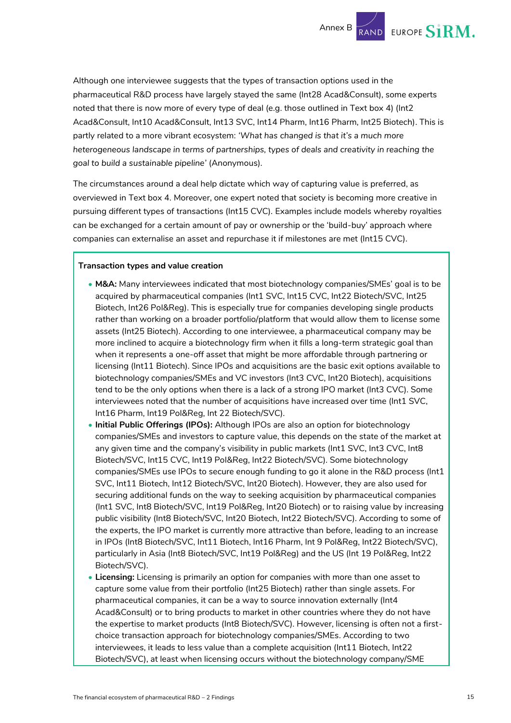

Although one interviewee suggests that the types of transaction options used in the pharmaceutical R&D process have largely stayed the same (Int28 Acad&Consult), some experts noted that there is now more of every type of deal (e.g. those outlined in [Text box](#page-16-0) 4) (Int2 Acad&Consult, Int10 Acad&Consult, Int13 SVC, Int14 Pharm, Int16 Pharm, Int25 Biotech). This is partly related to a more vibrant ecosystem: *'What has changed is that it's a much more heterogeneous landscape in terms of partnerships, types of deals and creativity in reaching the goal to build a sustainable pipeline'* (Anonymous).

The circumstances around a deal help dictate which way of capturing value is preferred, as overviewed in [Text box](#page-16-0) 4. Moreover, one expert noted that society is becoming more creative in pursuing different types of transactions (Int15 CVC). Examples include models whereby royalties can be exchanged for a certain amount of pay or ownership or the 'build-buy' approach where companies can externalise an asset and repurchase it if milestones are met (Int15 CVC).

#### **Transaction types and value creation**

- **M&A:** Many interviewees indicated that most biotechnology companies/SMEs' goal is to be acquired by pharmaceutical companies (Int1 SVC, Int15 CVC, Int22 Biotech/SVC, Int25 Biotech, Int26 Pol&Reg). This is especially true for companies developing single products rather than working on a broader portfolio/platform that would allow them to license some assets (Int25 Biotech). According to one interviewee, a pharmaceutical company may be more inclined to acquire a biotechnology firm when it fills a long-term strategic goal than when it represents a one-off asset that might be more affordable through partnering or licensing (Int11 Biotech). Since IPOs and acquisitions are the basic exit options available to biotechnology companies/SMEs and VC investors (Int3 CVC, Int20 Biotech), acquisitions tend to be the only options when there is a lack of a strong IPO market (Int3 CVC). Some interviewees noted that the number of acquisitions have increased over time (Int1 SVC, Int16 Pharm, Int19 Pol&Reg, Int 22 Biotech/SVC).
- **Initial Public Offerings (IPOs):** Although IPOs are also an option for biotechnology companies/SMEs and investors to capture value, this depends on the state of the market at any given time and the company's visibility in public markets (Int1 SVC, Int3 CVC, Int8 Biotech/SVC, Int15 CVC, Int19 Pol&Reg, Int22 Biotech/SVC). Some biotechnology companies/SMEs use IPOs to secure enough funding to go it alone in the R&D process (Int1 SVC, Int11 Biotech, Int12 Biotech/SVC, Int20 Biotech). However, they are also used for securing additional funds on the way to seeking acquisition by pharmaceutical companies (Int1 SVC, Int8 Biotech/SVC, Int19 Pol&Reg, Int20 Biotech) or to raising value by increasing public visibility (Int8 Biotech/SVC, Int20 Biotech, Int22 Biotech/SVC). According to some of the experts, the IPO market is currently more attractive than before, leading to an increase in IPOs (Int8 Biotech/SVC, Int11 Biotech, Int16 Pharm, Int 9 Pol&Reg, Int22 Biotech/SVC), particularly in Asia (Int8 Biotech/SVC, Int19 Pol&Reg) and the US (Int 19 Pol&Reg, Int22 Biotech/SVC).
- **Licensing:** Licensing is primarily an option for companies with more than one asset to capture some value from their portfolio (Int25 Biotech) rather than single assets. For pharmaceutical companies, it can be a way to source innovation externally (Int4 Acad&Consult) or to bring products to market in other countries where they do not have the expertise to market products (Int8 Biotech/SVC). However, licensing is often not a firstchoice transaction approach for biotechnology companies/SMEs. According to two interviewees, it leads to less value than a complete acquisition (Int11 Biotech, Int22 Biotech/SVC), at least when licensing occurs without the biotechnology company/SME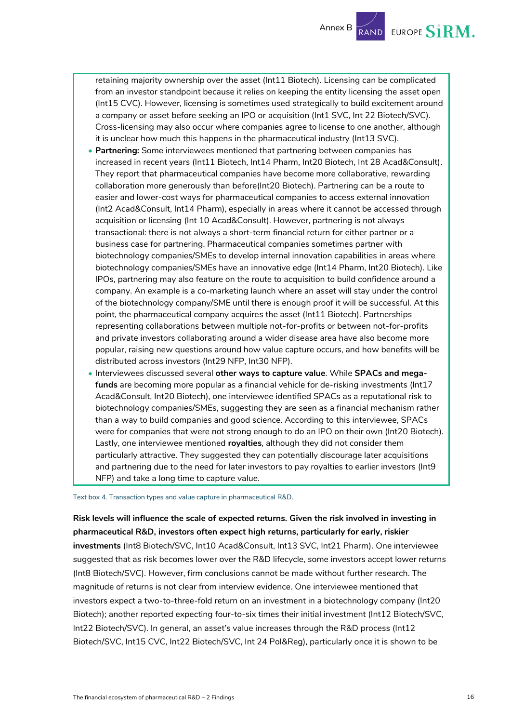

retaining majority ownership over the asset (Int11 Biotech). Licensing can be complicated from an investor standpoint because it relies on keeping the entity licensing the asset open (Int15 CVC). However, licensing is sometimes used strategically to build excitement around a company or asset before seeking an IPO or acquisition (Int1 SVC, Int 22 Biotech/SVC). Cross-licensing may also occur where companies agree to license to one another, although it is unclear how much this happens in the pharmaceutical industry (Int13 SVC).

- **Partnering:** Some interviewees mentioned that partnering between companies has increased in recent years (Int11 Biotech, Int14 Pharm, Int20 Biotech, Int 28 Acad&Consult). They report that pharmaceutical companies have become more collaborative, rewarding collaboration more generously than before(Int20 Biotech). Partnering can be a route to easier and lower-cost ways for pharmaceutical companies to access external innovation (Int2 Acad&Consult, Int14 Pharm), especially in areas where it cannot be accessed through acquisition or licensing (Int 10 Acad&Consult). However, partnering is not always transactional: there is not always a short-term financial return for either partner or a business case for partnering. Pharmaceutical companies sometimes partner with biotechnology companies/SMEs to develop internal innovation capabilities in areas where biotechnology companies/SMEs have an innovative edge (Int14 Pharm, Int20 Biotech). Like IPOs, partnering may also feature on the route to acquisition to build confidence around a company. An example is a co-marketing launch where an asset will stay under the control of the biotechnology company/SME until there is enough proof it will be successful. At this point, the pharmaceutical company acquires the asset (Int11 Biotech). Partnerships representing collaborations between multiple not-for-profits or between not-for-profits and private investors collaborating around a wider disease area have also become more popular, raising new questions around how value capture occurs, and how benefits will be distributed across investors (Int29 NFP, Int30 NFP).
- Interviewees discussed several **other ways to capture value**. While **SPACs and megafunds** are becoming more popular as a financial vehicle for de-risking investments (Int17 Acad&Consult, Int20 Biotech), one interviewee identified SPACs as a reputational risk to biotechnology companies/SMEs, suggesting they are seen as a financial mechanism rather than a way to build companies and good science. According to this interviewee, SPACs were for companies that were not strong enough to do an IPO on their own (Int20 Biotech). Lastly, one interviewee mentioned **royalties**, although they did not consider them particularly attractive. They suggested they can potentially discourage later acquisitions and partnering due to the need for later investors to pay royalties to earlier investors (Int9 NFP) and take a long time to capture value.

<span id="page-16-0"></span>Text box 4. Transaction types and value capture in pharmaceutical R&D.

**Risk levels will influence the scale of expected returns. Given the risk involved in investing in pharmaceutical R&D, investors often expect high returns, particularly for early, riskier investments** (Int8 Biotech/SVC, Int10 Acad&Consult, Int13 SVC, Int21 Pharm). One interviewee suggested that as risk becomes lower over the R&D lifecycle, some investors accept lower returns (Int8 Biotech/SVC). However, firm conclusions cannot be made without further research. The magnitude of returns is not clear from interview evidence. One interviewee mentioned that investors expect a two-to-three-fold return on an investment in a biotechnology company (Int20 Biotech); another reported expecting four-to-six times their initial investment (Int12 Biotech/SVC, Int22 Biotech/SVC). In general, an asset's value increases through the R&D process (Int12 Biotech/SVC, Int15 CVC, Int22 Biotech/SVC, Int 24 Pol&Reg), particularly once it is shown to be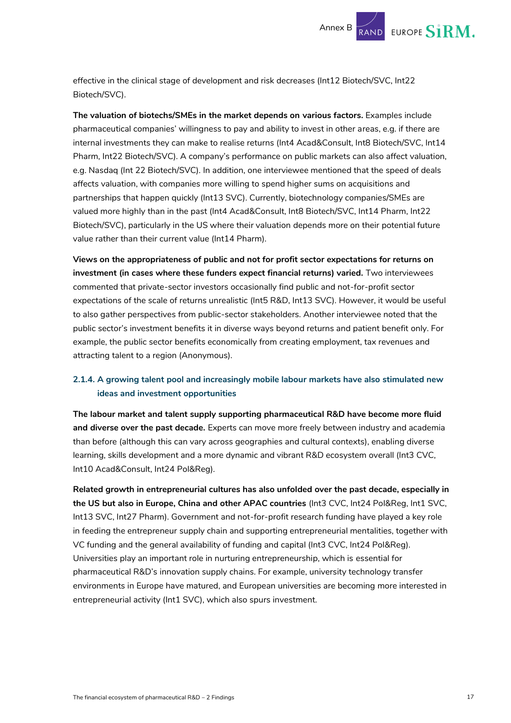effective in the clinical stage of development and risk decreases (Int12 Biotech/SVC, Int22 Biotech/SVC).

**The valuation of biotechs/SMEs in the market depends on various factors.** Examples include pharmaceutical companies' willingness to pay and ability to invest in other areas, e.g. if there are internal investments they can make to realise returns (Int4 Acad&Consult, Int8 Biotech/SVC, Int14 Pharm, Int22 Biotech/SVC). A company's performance on public markets can also affect valuation, e.g. Nasdaq (Int 22 Biotech/SVC). In addition, one interviewee mentioned that the speed of deals affects valuation, with companies more willing to spend higher sums on acquisitions and partnerships that happen quickly (Int13 SVC). Currently, biotechnology companies/SMEs are valued more highly than in the past (Int4 Acad&Consult, Int8 Biotech/SVC, Int14 Pharm, Int22 Biotech/SVC), particularly in the US where their valuation depends more on their potential future value rather than their current value (Int14 Pharm).

**Views on the appropriateness of public and not for profit sector expectations for returns on investment (in cases where these funders expect financial returns) varied.** Two interviewees commented that private-sector investors occasionally find public and not-for-profit sector expectations of the scale of returns unrealistic (Int5 R&D, Int13 SVC). However, it would be useful to also gather perspectives from public-sector stakeholders. Another interviewee noted that the public sector's investment benefits it in diverse ways beyond returns and patient benefit only. For example, the public sector benefits economically from creating employment, tax revenues and attracting talent to a region (Anonymous).

#### **2.1.4. A growing talent pool and increasingly mobile labour markets have also stimulated new ideas and investment opportunities**

**The labour market and talent supply supporting pharmaceutical R&D have become more fluid and diverse over the past decade.** Experts can move more freely between industry and academia than before (although this can vary across geographies and cultural contexts), enabling diverse learning, skills development and a more dynamic and vibrant R&D ecosystem overall (Int3 CVC, Int10 Acad&Consult, Int24 Pol&Reg).

**Related growth in entrepreneurial cultures has also unfolded over the past decade, especially in the US but also in Europe, China and other APAC countries** (Int3 CVC, Int24 Pol&Reg, Int1 SVC, Int13 SVC, Int27 Pharm). Government and not-for-profit research funding have played a key role in feeding the entrepreneur supply chain and supporting entrepreneurial mentalities, together with VC funding and the general availability of funding and capital (Int3 CVC, Int24 Pol&Reg). Universities play an important role in nurturing entrepreneurship, which is essential for pharmaceutical R&D's innovation supply chains. For example, university technology transfer environments in Europe have matured, and European universities are becoming more interested in entrepreneurial activity (Int1 SVC), which also spurs investment.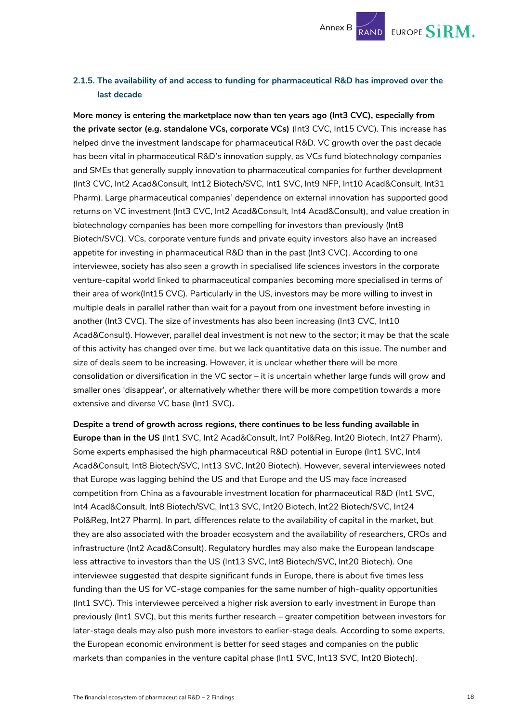

#### **2.1.5. The availability of and access to funding for pharmaceutical R&D has improved over the last decade**

**More money is entering the marketplace now than ten years ago (Int3 CVC), especially from the private sector (e.g. standalone VCs, corporate VCs)** (Int3 CVC, Int15 CVC). This increase has helped drive the investment landscape for pharmaceutical R&D. VC growth over the past decade has been vital in pharmaceutical R&D's innovation supply, as VCs fund biotechnology companies and SMEs that generally supply innovation to pharmaceutical companies for further development (Int3 CVC, Int2 Acad&Consult, Int12 Biotech/SVC, Int1 SVC, Int9 NFP, Int10 Acad&Consult, Int31 Pharm). Large pharmaceutical companies' dependence on external innovation has supported good returns on VC investment (Int3 CVC, Int2 Acad&Consult, Int4 Acad&Consult), and value creation in biotechnology companies has been more compelling for investors than previously (Int8 Biotech/SVC). VCs, corporate venture funds and private equity investors also have an increased appetite for investing in pharmaceutical R&D than in the past (Int3 CVC). According to one interviewee, society has also seen a growth in specialised life sciences investors in the corporate venture-capital world linked to pharmaceutical companies becoming more specialised in terms of their area of work(Int15 CVC). Particularly in the US, investors may be more willing to invest in multiple deals in parallel rather than wait for a payout from one investment before investing in another (Int3 CVC). The size of investments has also been increasing (Int3 CVC, Int10 Acad&Consult). However, parallel deal investment is not new to the sector; it may be that the scale of this activity has changed over time, but we lack quantitative data on this issue. The number and size of deals seem to be increasing. However, it is unclear whether there will be more consolidation or diversification in the VC sector – it is uncertain whether large funds will grow and smaller ones 'disappear', or alternatively whether there will be more competition towards a more extensive and diverse VC base (Int1 SVC)**.** 

**Despite a trend of growth across regions, there continues to be less funding available in Europe than in the US** (Int1 SVC, Int2 Acad&Consult, Int7 Pol&Reg, Int20 Biotech, Int27 Pharm). Some experts emphasised the high pharmaceutical R&D potential in Europe (Int1 SVC, Int4 Acad&Consult, Int8 Biotech/SVC, Int13 SVC, Int20 Biotech). However, several interviewees noted that Europe was lagging behind the US and that Europe and the US may face increased competition from China as a favourable investment location for pharmaceutical R&D (Int1 SVC, Int4 Acad&Consult, Int8 Biotech/SVC, Int13 SVC, Int20 Biotech, Int22 Biotech/SVC, Int24 Pol&Reg, Int27 Pharm). In part, differences relate to the availability of capital in the market, but they are also associated with the broader ecosystem and the availability of researchers, CROs and infrastructure (Int2 Acad&Consult). Regulatory hurdles may also make the European landscape less attractive to investors than the US (Int13 SVC, Int8 Biotech/SVC, Int20 Biotech). One interviewee suggested that despite significant funds in Europe, there is about five times less funding than the US for VC-stage companies for the same number of high-quality opportunities (Int1 SVC). This interviewee perceived a higher risk aversion to early investment in Europe than previously (Int1 SVC), but this merits further research – greater competition between investors for later-stage deals may also push more investors to earlier-stage deals. According to some experts, the European economic environment is better for seed stages and companies on the public markets than companies in the venture capital phase (Int1 SVC, Int13 SVC, Int20 Biotech).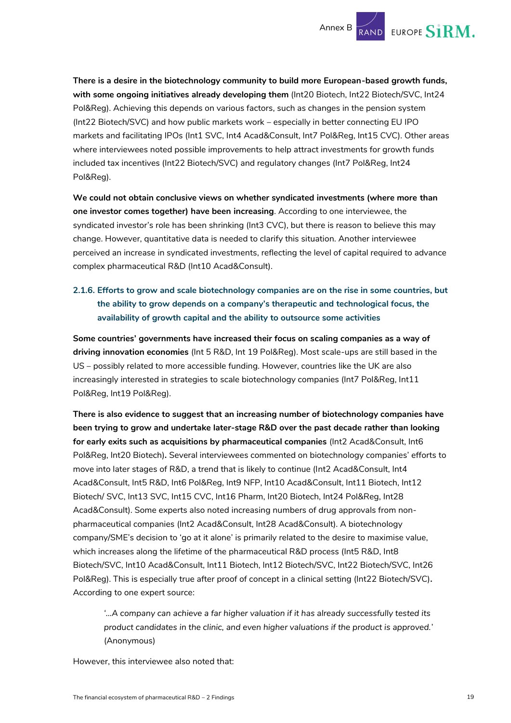

**There is a desire in the biotechnology community to build more European-based growth funds, with some ongoing initiatives already developing them** (Int20 Biotech, Int22 Biotech/SVC, Int24 Pol&Reg). Achieving this depends on various factors, such as changes in the pension system (Int22 Biotech/SVC) and how public markets work – especially in better connecting EU IPO markets and facilitating IPOs (Int1 SVC, Int4 Acad&Consult, Int7 Pol&Reg, Int15 CVC). Other areas where interviewees noted possible improvements to help attract investments for growth funds included tax incentives (Int22 Biotech/SVC) and regulatory changes (Int7 Pol&Reg, Int24 Pol&Reg).

**We could not obtain conclusive views on whether syndicated investments (where more than one investor comes together) have been increasing**. According to one interviewee, the syndicated investor's role has been shrinking (Int3 CVC), but there is reason to believe this may change. However, quantitative data is needed to clarify this situation. Another interviewee perceived an increase in syndicated investments, reflecting the level of capital required to advance complex pharmaceutical R&D (Int10 Acad&Consult).

#### **2.1.6. Efforts to grow and scale biotechnology companies are on the rise in some countries, but the ability to grow depends on a company's therapeutic and technological focus, the availability of growth capital and the ability to outsource some activities**

**Some countries' governments have increased their focus on scaling companies as a way of driving innovation economies** (Int 5 R&D, Int 19 Pol&Reg). Most scale-ups are still based in the US – possibly related to more accessible funding. However, countries like the UK are also increasingly interested in strategies to scale biotechnology companies (Int7 Pol&Reg, Int11 Pol&Reg, Int19 Pol&Reg).

**There is also evidence to suggest that an increasing number of biotechnology companies have been trying to grow and undertake later-stage R&D over the past decade rather than looking for early exits such as acquisitions by pharmaceutical companies** (Int2 Acad&Consult, Int6 Pol&Reg, Int20 Biotech)**.** Several interviewees commented on biotechnology companies' efforts to move into later stages of R&D, a trend that is likely to continue (Int2 Acad&Consult, Int4 Acad&Consult, Int5 R&D, Int6 Pol&Reg, Int9 NFP, Int10 Acad&Consult, Int11 Biotech, Int12 Biotech/ SVC, Int13 SVC, Int15 CVC, Int16 Pharm, Int20 Biotech, Int24 Pol&Reg, Int28 Acad&Consult). Some experts also noted increasing numbers of drug approvals from nonpharmaceutical companies (Int2 Acad&Consult, Int28 Acad&Consult). A biotechnology company/SME's decision to 'go at it alone' is primarily related to the desire to maximise value, which increases along the lifetime of the pharmaceutical R&D process (Int5 R&D, Int8 Biotech/SVC, Int10 Acad&Consult, Int11 Biotech, Int12 Biotech/SVC, Int22 Biotech/SVC, Int26 Pol&Reg). This is especially true after proof of concept in a clinical setting (Int22 Biotech/SVC)**.**  According to one expert source:

*'…A company can achieve a far higher valuation if it has already successfully tested its product candidates in the clinic, and even higher valuations if the product is approved.*' (Anonymous)

However, this interviewee also noted that: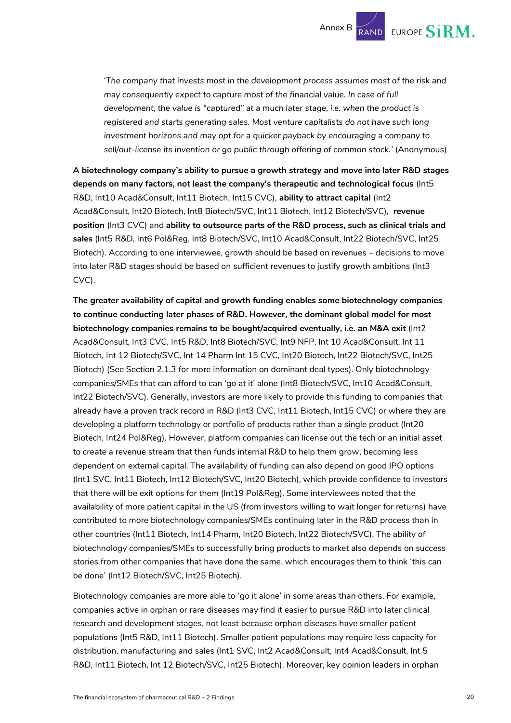

'*The company that invests most in the development process assumes most of the risk and may consequently expect to capture most of the financial value. In case of full development, the value is "captured" at a much later stage, i.e. when the product is registered and starts generating sales. Most venture capitalists do not have such long investment horizons and may opt for a quicker payback by encouraging a company to sell/out-license its invention or go public through offering of common stock.'* (Anonymous)

**A biotechnology company's ability to pursue a growth strategy and move into later R&D stages depends on many factors, not least the company's therapeutic and technological focus** (Int5 R&D, Int10 Acad&Consult, Int11 Biotech, Int15 CVC), **ability to attract capital** (Int2 Acad&Consult, Int20 Biotech, Int8 Biotech/SVC, Int11 Biotech, Int12 Biotech/SVC), **revenue position** (Int3 CVC) and **ability to outsource parts of the R&D process, such as clinical trials and sales** (Int5 R&D, Int6 Pol&Reg, Int8 Biotech/SVC, Int10 Acad&Consult, Int22 Biotech/SVC, Int25 Biotech). According to one interviewee, growth should be based on revenues *–* decisions to move into later R&D stages should be based on sufficient revenues to justify growth ambitions (Int3 CVC).

**The greater availability of capital and growth funding enables some biotechnology companies to continue conducting later phases of R&D. However, the dominant global model for most biotechnology companies remains to be bought/acquired eventually, i.e. an M&A exit** (Int2 Acad&Consult, Int3 CVC, Int5 R&D, Int8 Biotech/SVC, Int9 NFP, Int 10 Acad&Consult, Int 11 Biotech, Int 12 Biotech/SVC, Int 14 Pharm Int 15 CVC, Int20 Biotech, Int22 Biotech/SVC, Int25 Biotech) (See Section [2.1.3](#page-8-0) for more information on dominant deal types). Only biotechnology companies/SMEs that can afford to can 'go at it' alone (Int8 Biotech/SVC, Int10 Acad&Consult, Int22 Biotech/SVC). Generally, investors are more likely to provide this funding to companies that already have a proven track record in R&D (Int3 CVC, Int11 Biotech, Int15 CVC) or where they are developing a platform technology or portfolio of products rather than a single product (Int20 Biotech, Int24 Pol&Reg). However, platform companies can license out the tech or an initial asset to create a revenue stream that then funds internal R&D to help them grow, becoming less dependent on external capital. The availability of funding can also depend on good IPO options (Int1 SVC, Int11 Biotech, Int12 Biotech/SVC, Int20 Biotech), which provide confidence to investors that there will be exit options for them (Int19 Pol&Reg). Some interviewees noted that the availability of more patient capital in the US (from investors willing to wait longer for returns) have contributed to more biotechnology companies/SMEs continuing later in the R&D process than in other countries (Int11 Biotech, Int14 Pharm, Int20 Biotech, Int22 Biotech/SVC). The ability of biotechnology companies/SMEs to successfully bring products to market also depends on success stories from other companies that have done the same, which encourages them to think 'this can be done' (Int12 Biotech/SVC, Int25 Biotech).

Biotechnology companies are more able to 'go it alone' in some areas than others. For example, companies active in orphan or rare diseases may find it easier to pursue R&D into later clinical research and development stages, not least because orphan diseases have smaller patient populations (Int5 R&D, Int11 Biotech). Smaller patient populations may require less capacity for distribution, manufacturing and sales (Int1 SVC, Int2 Acad&Consult, Int4 Acad&Consult, Int 5 R&D, Int11 Biotech, Int 12 Biotech/SVC, Int25 Biotech). Moreover, key opinion leaders in orphan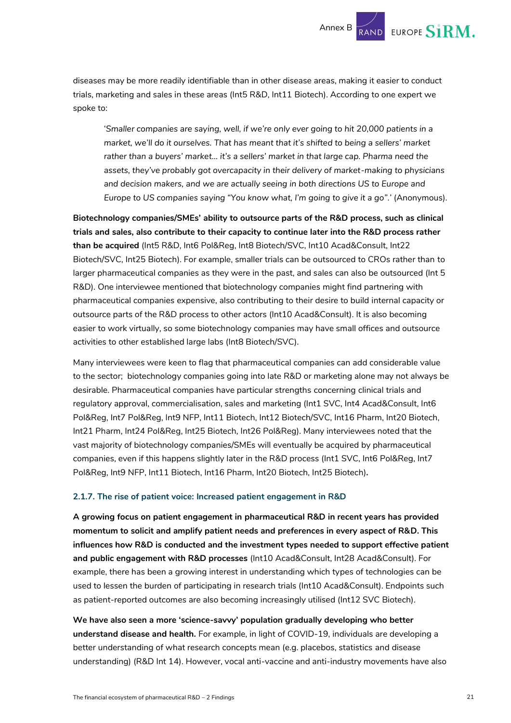diseases may be more readily identifiable than in other disease areas, making it easier to conduct trials, marketing and sales in these areas (Int5 R&D, Int11 Biotech). According to one expert we spoke to:

'*Smaller companies are saying, well, if we're only ever going to hit 20,000 patients in a market, we'll do it ourselves. That has meant that it's shifted to being a sellers' market rather than a buyers' market… it's a sellers' market in that large cap. Pharma need the assets, they've probably got overcapacity in their delivery of market-making to physicians and decision makers, and we are actually seeing in both directions US to Europe and Europe to US companies saying "You know what, I'm going to give it a go".'* (Anonymous).

**Biotechnology companies/SMEs' ability to outsource parts of the R&D process, such as clinical trials and sales, also contribute to their capacity to continue later into the R&D process rather than be acquired** (Int5 R&D, Int6 Pol&Reg, Int8 Biotech/SVC, Int10 Acad&Consult, Int22 Biotech/SVC, Int25 Biotech). For example, smaller trials can be outsourced to CROs rather than to larger pharmaceutical companies as they were in the past, and sales can also be outsourced (Int 5 R&D). One interviewee mentioned that biotechnology companies might find partnering with pharmaceutical companies expensive, also contributing to their desire to build internal capacity or outsource parts of the R&D process to other actors (Int10 Acad&Consult). It is also becoming easier to work virtually, so some biotechnology companies may have small offices and outsource activities to other established large labs (Int8 Biotech/SVC).

Many interviewees were keen to flag that pharmaceutical companies can add considerable value to the sector; biotechnology companies going into late R&D or marketing alone may not always be desirable. Pharmaceutical companies have particular strengths concerning clinical trials and regulatory approval, commercialisation, sales and marketing (Int1 SVC, Int4 Acad&Consult, Int6 Pol&Reg, Int7 Pol&Reg, Int9 NFP, Int11 Biotech, Int12 Biotech/SVC, Int16 Pharm, Int20 Biotech, Int21 Pharm, Int24 Pol&Reg, Int25 Biotech, Int26 Pol&Reg). Many interviewees noted that the vast majority of biotechnology companies/SMEs will eventually be acquired by pharmaceutical companies, even if this happens slightly later in the R&D process (Int1 SVC, Int6 Pol&Reg, Int7 Pol&Reg, Int9 NFP, Int11 Biotech, Int16 Pharm, Int20 Biotech, Int25 Biotech)**.**

#### **2.1.7. The rise of patient voice: Increased patient engagement in R&D**

**A growing focus on patient engagement in pharmaceutical R&D in recent years has provided momentum to solicit and amplify patient needs and preferences in every aspect of R&D. This influences how R&D is conducted and the investment types needed to support effective patient and public engagement with R&D processes** (Int10 Acad&Consult, Int28 Acad&Consult). For example, there has been a growing interest in understanding which types of technologies can be used to lessen the burden of participating in research trials (Int10 Acad&Consult). Endpoints such as patient-reported outcomes are also becoming increasingly utilised (Int12 SVC Biotech).

**We have also seen a more 'science-savvy' population gradually developing who better understand disease and health.** For example, in light of COVID-19, individuals are developing a better understanding of what research concepts mean (e.g. placebos, statistics and disease understanding) (R&D Int 14). However, vocal anti-vaccine and anti-industry movements have also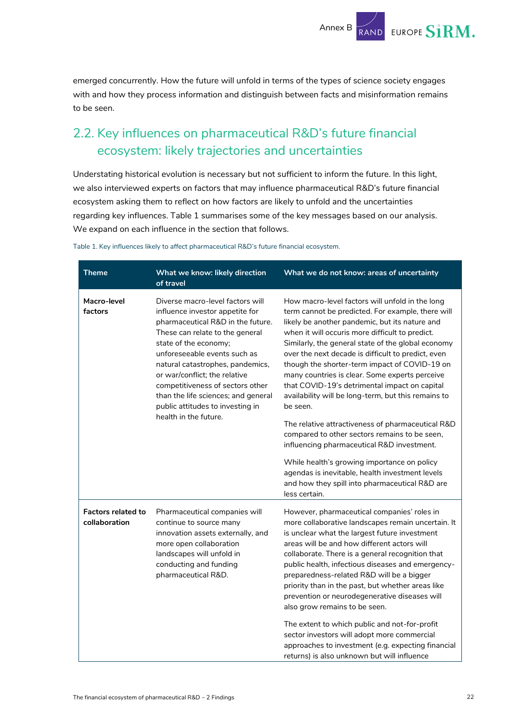

emerged concurrently. How the future will unfold in terms of the types of science society engages with and how they process information and distinguish between facts and misinformation remains to be seen.

## <span id="page-22-0"></span>2.2. Key influences on pharmaceutical R&D's future financial ecosystem: likely trajectories and uncertainties

Understating historical evolution is necessary but not sufficient to inform the future. In this light, we also interviewed experts on factors that may influence pharmaceutical R&D's future financial ecosystem asking them to reflect on how factors are likely to unfold and the uncertainties regarding key influences. [Table 1](#page-22-1) summarises some of the key messages based on our analysis. We expand on each influence in the section that follows.

| <b>Theme</b>                               | What we know: likely direction<br>of travel                                                                                                                                                                                                                                                                                                                                                                       | What we do not know: areas of uncertainty                                                                                                                                                                                                                                                                                                                                                                                                                                                                                                                                                                                                                                                           |
|--------------------------------------------|-------------------------------------------------------------------------------------------------------------------------------------------------------------------------------------------------------------------------------------------------------------------------------------------------------------------------------------------------------------------------------------------------------------------|-----------------------------------------------------------------------------------------------------------------------------------------------------------------------------------------------------------------------------------------------------------------------------------------------------------------------------------------------------------------------------------------------------------------------------------------------------------------------------------------------------------------------------------------------------------------------------------------------------------------------------------------------------------------------------------------------------|
| Macro-level<br>factors                     | Diverse macro-level factors will<br>influence investor appetite for<br>pharmaceutical R&D in the future.<br>These can relate to the general<br>state of the economy;<br>unforeseeable events such as<br>natural catastrophes, pandemics,<br>or war/conflict; the relative<br>competitiveness of sectors other<br>than the life sciences; and general<br>public attitudes to investing in<br>health in the future. | How macro-level factors will unfold in the long<br>term cannot be predicted. For example, there will<br>likely be another pandemic, but its nature and<br>when it will occuris more difficult to predict.<br>Similarly, the general state of the global economy<br>over the next decade is difficult to predict, even<br>though the shorter-term impact of COVID-19 on<br>many countries is clear. Some experts perceive<br>that COVID-19's detrimental impact on capital<br>availability will be long-term, but this remains to<br>be seen.<br>The relative attractiveness of pharmaceutical R&D<br>compared to other sectors remains to be seen,<br>influencing pharmaceutical R&D investment.    |
|                                            |                                                                                                                                                                                                                                                                                                                                                                                                                   | While health's growing importance on policy<br>agendas is inevitable, health investment levels<br>and how they spill into pharmaceutical R&D are<br>less certain.                                                                                                                                                                                                                                                                                                                                                                                                                                                                                                                                   |
| <b>Factors related to</b><br>collaboration | Pharmaceutical companies will<br>continue to source many<br>innovation assets externally, and<br>more open collaboration<br>landscapes will unfold in<br>conducting and funding<br>pharmaceutical R&D.                                                                                                                                                                                                            | However, pharmaceutical companies' roles in<br>more collaborative landscapes remain uncertain. It<br>is unclear what the largest future investment<br>areas will be and how different actors will<br>collaborate. There is a general recognition that<br>public health, infectious diseases and emergency-<br>preparedness-related R&D will be a bigger<br>priority than in the past, but whether areas like<br>prevention or neurodegenerative diseases will<br>also grow remains to be seen.<br>The extent to which public and not-for-profit<br>sector investors will adopt more commercial<br>approaches to investment (e.g. expecting financial<br>returns) is also unknown but will influence |

<span id="page-22-1"></span>Table 1. Key influences likely to affect pharmaceutical R&D's future financial ecosystem.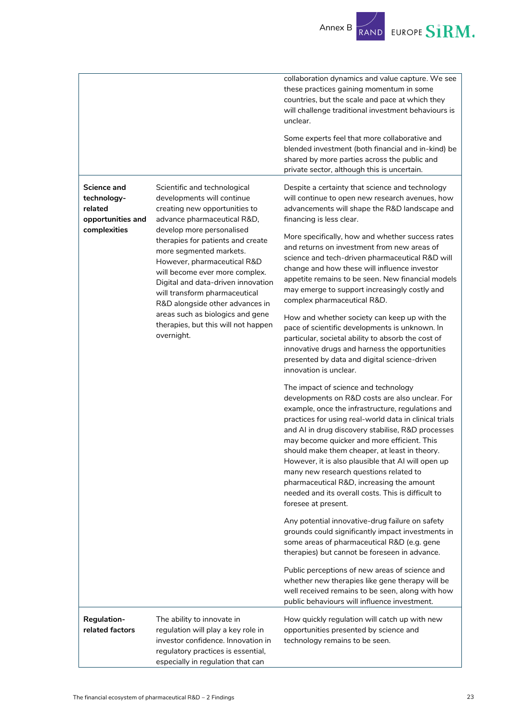Annex B RAND EUROPE SIRM.

|                                                            |                                                                                                                                                                                                                                                                                                                                                                                                                                                                                             | collaboration dynamics and value capture. We see<br>these practices gaining momentum in some<br>countries, but the scale and pace at which they<br>will challenge traditional investment behaviours is<br>unclear.<br>Some experts feel that more collaborative and<br>blended investment (both financial and in-kind) be<br>shared by more parties across the public and                                                                                                                                                                                                             |
|------------------------------------------------------------|---------------------------------------------------------------------------------------------------------------------------------------------------------------------------------------------------------------------------------------------------------------------------------------------------------------------------------------------------------------------------------------------------------------------------------------------------------------------------------------------|---------------------------------------------------------------------------------------------------------------------------------------------------------------------------------------------------------------------------------------------------------------------------------------------------------------------------------------------------------------------------------------------------------------------------------------------------------------------------------------------------------------------------------------------------------------------------------------|
|                                                            |                                                                                                                                                                                                                                                                                                                                                                                                                                                                                             | private sector, although this is uncertain.                                                                                                                                                                                                                                                                                                                                                                                                                                                                                                                                           |
| Science and<br>technology-<br>related<br>opportunities and | Scientific and technological<br>developments will continue<br>creating new opportunities to<br>advance pharmaceutical R&D,<br>develop more personalised<br>therapies for patients and create<br>more segmented markets.<br>However, pharmaceutical R&D<br>will become ever more complex.<br>Digital and data-driven innovation<br>will transform pharmaceutical<br>R&D alongside other advances in<br>areas such as biologics and gene<br>therapies, but this will not happen<br>overnight. | Despite a certainty that science and technology<br>will continue to open new research avenues, how<br>advancements will shape the R&D landscape and<br>financing is less clear.                                                                                                                                                                                                                                                                                                                                                                                                       |
| complexities                                               |                                                                                                                                                                                                                                                                                                                                                                                                                                                                                             | More specifically, how and whether success rates<br>and returns on investment from new areas of<br>science and tech-driven pharmaceutical R&D will<br>change and how these will influence investor<br>appetite remains to be seen. New financial models<br>may emerge to support increasingly costly and<br>complex pharmaceutical R&D.                                                                                                                                                                                                                                               |
|                                                            |                                                                                                                                                                                                                                                                                                                                                                                                                                                                                             | How and whether society can keep up with the<br>pace of scientific developments is unknown. In<br>particular, societal ability to absorb the cost of<br>innovative drugs and harness the opportunities<br>presented by data and digital science-driven<br>innovation is unclear.                                                                                                                                                                                                                                                                                                      |
|                                                            |                                                                                                                                                                                                                                                                                                                                                                                                                                                                                             | The impact of science and technology<br>developments on R&D costs are also unclear. For<br>example, once the infrastructure, regulations and<br>practices for using real-world data in clinical trials<br>and AI in drug discovery stabilise, R&D processes<br>may become quicker and more efficient. This<br>should make them cheaper, at least in theory.<br>However, it is also plausible that AI will open up<br>many new research questions related to<br>pharmaceutical R&D, increasing the amount<br>needed and its overall costs. This is difficult to<br>foresee at present. |
|                                                            |                                                                                                                                                                                                                                                                                                                                                                                                                                                                                             | Any potential innovative-drug failure on safety<br>grounds could significantly impact investments in<br>some areas of pharmaceutical R&D (e.g. gene<br>therapies) but cannot be foreseen in advance.                                                                                                                                                                                                                                                                                                                                                                                  |
|                                                            |                                                                                                                                                                                                                                                                                                                                                                                                                                                                                             | Public perceptions of new areas of science and<br>whether new therapies like gene therapy will be<br>well received remains to be seen, along with how<br>public behaviours will influence investment.                                                                                                                                                                                                                                                                                                                                                                                 |
| <b>Regulation-</b><br>related factors                      | The ability to innovate in<br>regulation will play a key role in<br>investor confidence. Innovation in<br>regulatory practices is essential,<br>especially in regulation that can                                                                                                                                                                                                                                                                                                           | How quickly regulation will catch up with new<br>opportunities presented by science and<br>technology remains to be seen.                                                                                                                                                                                                                                                                                                                                                                                                                                                             |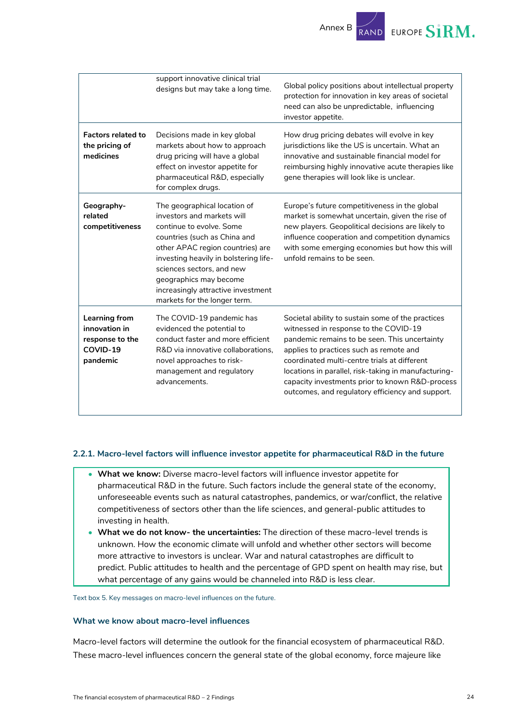

|                                                                                  | support innovative clinical trial<br>designs but may take a long time.                                                                                                                                                                                                                                                           | Global policy positions about intellectual property<br>protection for innovation in key areas of societal<br>need can also be unpredictable, influencing<br>investor appetite.                                                                                                                                                                                                                        |
|----------------------------------------------------------------------------------|----------------------------------------------------------------------------------------------------------------------------------------------------------------------------------------------------------------------------------------------------------------------------------------------------------------------------------|-------------------------------------------------------------------------------------------------------------------------------------------------------------------------------------------------------------------------------------------------------------------------------------------------------------------------------------------------------------------------------------------------------|
| <b>Factors related to</b><br>the pricing of<br>medicines                         | Decisions made in key global<br>markets about how to approach<br>drug pricing will have a global<br>effect on investor appetite for<br>pharmaceutical R&D, especially<br>for complex drugs.                                                                                                                                      | How drug pricing debates will evolve in key<br>jurisdictions like the US is uncertain. What an<br>innovative and sustainable financial model for<br>reimbursing highly innovative acute therapies like<br>gene therapies will look like is unclear.                                                                                                                                                   |
| Geography-<br>related<br>competitiveness                                         | The geographical location of<br>investors and markets will<br>continue to evolve. Some<br>countries (such as China and<br>other APAC region countries) are<br>investing heavily in bolstering life-<br>sciences sectors, and new<br>geographics may become<br>increasingly attractive investment<br>markets for the longer term. | Europe's future competitiveness in the global<br>market is somewhat uncertain, given the rise of<br>new players. Geopolitical decisions are likely to<br>influence cooperation and competition dynamics<br>with some emerging economies but how this will<br>unfold remains to be seen.                                                                                                               |
| <b>Learning from</b><br>innovation in<br>response to the<br>COVID-19<br>pandemic | The COVID-19 pandemic has<br>evidenced the potential to<br>conduct faster and more efficient<br>R&D via innovative collaborations,<br>novel approaches to risk-<br>management and regulatory<br>advancements.                                                                                                                    | Societal ability to sustain some of the practices<br>witnessed in response to the COVID-19<br>pandemic remains to be seen. This uncertainty<br>applies to practices such as remote and<br>coordinated multi-centre trials at different<br>locations in parallel, risk-taking in manufacturing-<br>capacity investments prior to known R&D-process<br>outcomes, and regulatory efficiency and support. |

#### **2.2.1. Macro-level factors will influence investor appetite for pharmaceutical R&D in the future**

- **What we know:** Diverse macro-level factors will influence investor appetite for pharmaceutical R&D in the future. Such factors include the general state of the economy, unforeseeable events such as natural catastrophes, pandemics, or war/conflict, the relative competitiveness of sectors other than the life sciences, and general-public attitudes to investing in health.
- **What we do not know- the uncertainties:** The direction of these macro-level trends is unknown. How the economic climate will unfold and whether other sectors will become more attractive to investors is unclear. War and natural catastrophes are difficult to predict. Public attitudes to health and the percentage of GPD spent on health may rise, but what percentage of any gains would be channeled into R&D is less clear.

Text box 5. Key messages on macro-level influences on the future.

#### **What we know about macro-level influences**

Macro-level factors will determine the outlook for the financial ecosystem of pharmaceutical R&D. These macro-level influences concern the general state of the global economy, force majeure like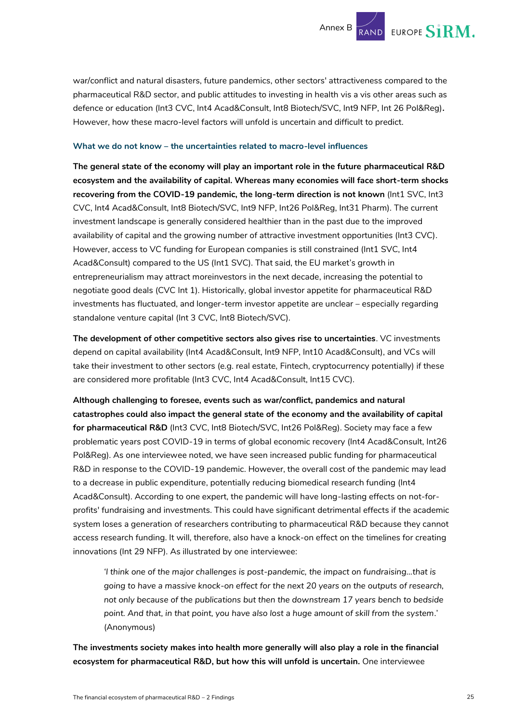war/conflict and natural disasters, future pandemics, other sectors' attractiveness compared to the pharmaceutical R&D sector, and public attitudes to investing in health vis a vis other areas such as defence or education (Int3 CVC, Int4 Acad&Consult, Int8 Biotech/SVC, Int9 NFP, Int 26 Pol&Reg)**.**  However, how these macro-level factors will unfold is uncertain and difficult to predict.

#### **What we do not know – the uncertainties related to macro-level influences**

**The general state of the economy will play an important role in the future pharmaceutical R&D ecosystem and the availability of capital. Whereas many economies will face short-term shocks recovering from the COVID-19 pandemic, the long-term direction is not known** (Int1 SVC, Int3 CVC, Int4 Acad&Consult, Int8 Biotech/SVC, Int9 NFP, Int26 Pol&Reg, Int31 Pharm). The current investment landscape is generally considered healthier than in the past due to the improved availability of capital and the growing number of attractive investment opportunities (Int3 CVC). However, access to VC funding for European companies is still constrained (Int1 SVC, Int4 Acad&Consult) compared to the US (Int1 SVC). That said, the EU market's growth in entrepreneurialism may attract moreinvestors in the next decade, increasing the potential to negotiate good deals (CVC Int 1). Historically, global investor appetite for pharmaceutical R&D investments has fluctuated, and longer-term investor appetite are unclear – especially regarding standalone venture capital (Int 3 CVC, Int8 Biotech/SVC).

**The development of other competitive sectors also gives rise to uncertainties**. VC investments depend on capital availability (Int4 Acad&Consult, Int9 NFP, Int10 Acad&Consult), and VCs will take their investment to other sectors (e.g. real estate, Fintech, cryptocurrency potentially) if these are considered more profitable (Int3 CVC, Int4 Acad&Consult, Int15 CVC).

**Although challenging to foresee, events such as war/conflict, pandemics and natural catastrophes could also impact the general state of the economy and the availability of capital for pharmaceutical R&D** (Int3 CVC, Int8 Biotech/SVC, Int26 Pol&Reg). Society may face a few problematic years post COVID-19 in terms of global economic recovery (Int4 Acad&Consult, Int26 Pol&Reg). As one interviewee noted, we have seen increased public funding for pharmaceutical R&D in response to the COVID-19 pandemic. However, the overall cost of the pandemic may lead to a decrease in public expenditure, potentially reducing biomedical research funding (Int4 Acad&Consult). According to one expert, the pandemic will have long-lasting effects on not-forprofits' fundraising and investments. This could have significant detrimental effects if the academic system loses a generation of researchers contributing to pharmaceutical R&D because they cannot access research funding. It will, therefore, also have a knock-on effect on the timelines for creating innovations (Int 29 NFP). As illustrated by one interviewee:

*'I think one of the major challenges is post-pandemic, the impact on fundraising…that is going to have a massive knock-on effect for the next 20 years on the outputs of research, not only because of the publications but then the downstream 17 years bench to bedside point. And that, in that point, you have also lost a huge amount of skill from the system*.' (Anonymous)

**The investments society makes into health more generally will also play a role in the financial ecosystem for pharmaceutical R&D, but how this will unfold is uncertain.** One interviewee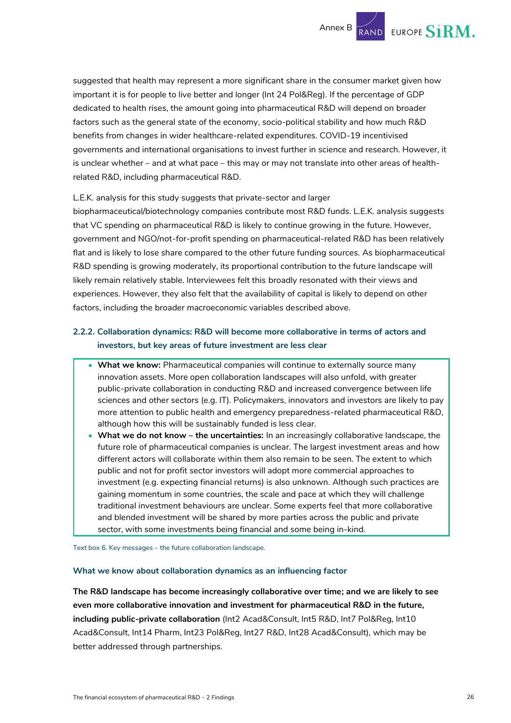suggested that health may represent a more significant share in the consumer market given how important it is for people to live better and longer (Int 24 Pol&Reg). If the percentage of GDP dedicated to health rises, the amount going into pharmaceutical R&D will depend on broader factors such as the general state of the economy, socio-political stability and how much R&D benefits from changes in wider healthcare-related expenditures. COVID-19 incentivised governments and international organisations to invest further in science and research. However, it is unclear whether – and at what pace – this may or may not translate into other areas of healthrelated R&D, including pharmaceutical R&D.

#### L.E.K. analysis for this study suggests that private-sector and larger

biopharmaceutical/biotechnology companies contribute most R&D funds. L.E.K. analysis suggests that VC spending on pharmaceutical R&D is likely to continue growing in the future. However, government and NGO/not-for-profit spending on pharmaceutical-related R&D has been relatively flat and is likely to lose share compared to the other future funding sources. As biopharmaceutical R&D spending is growing moderately, its proportional contribution to the future landscape will likely remain relatively stable. Interviewees felt this broadly resonated with their views and experiences. However, they also felt that the availability of capital is likely to depend on other factors, including the broader macroeconomic variables described above.

#### **2.2.2. Collaboration dynamics: R&D will become more collaborative in terms of actors and investors, but key areas of future investment are less clear**

- **What we know:** Pharmaceutical companies will continue to externally source many innovation assets. More open collaboration landscapes will also unfold, with greater public-private collaboration in conducting R&D and increased convergence between life sciences and other sectors (e.g. IT). Policymakers, innovators and investors are likely to pay more attention to public health and emergency preparedness-related pharmaceutical R&D, although how this will be sustainably funded is less clear.
- **What we do not know – the uncertainties:** In an increasingly collaborative landscape, the future role of pharmaceutical companies is unclear. The largest investment areas and how different actors will collaborate within them also remain to be seen. The extent to which public and not for profit sector investors will adopt more commercial approaches to investment (e.g. expecting financial returns) is also unknown. Although such practices are gaining momentum in some countries, the scale and pace at which they will challenge traditional investment behaviours are unclear. Some experts feel that more collaborative and blended investment will be shared by more parties across the public and private sector, with some investments being financial and some being in-kind.

Text box 6. Key messages – the future collaboration landscape.

#### **What we know about collaboration dynamics as an influencing factor**

**The R&D landscape has become increasingly collaborative over time; and we are likely to see even more collaborative innovation and investment for pharmaceutical R&D in the future, including public-private collaboration** (Int2 Acad&Consult, Int5 R&D, Int7 Pol&Reg, Int10 Acad&Consult, Int14 Pharm, Int23 Pol&Reg, Int27 R&D, Int28 Acad&Consult), which may be better addressed through partnerships.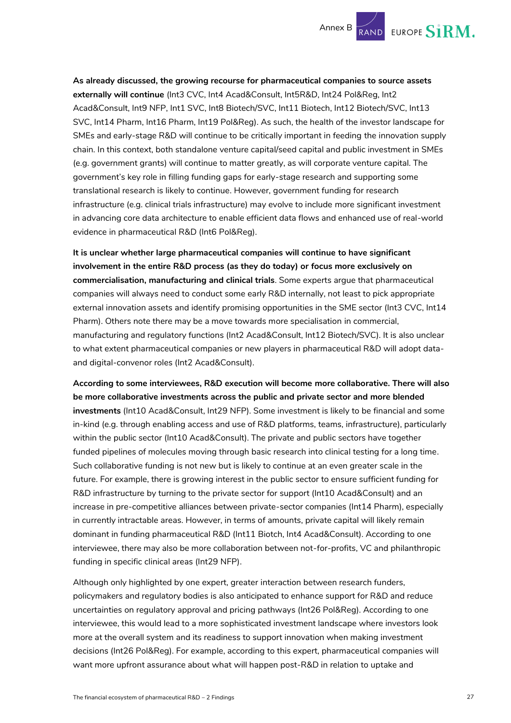

**As already discussed, the growing recourse for pharmaceutical companies to source assets externally will continue** (Int3 CVC, Int4 Acad&Consult, Int5R&D, Int24 Pol&Reg, Int2 Acad&Consult, Int9 NFP, Int1 SVC, Int8 Biotech/SVC, Int11 Biotech, Int12 Biotech/SVC, Int13 SVC, Int14 Pharm, Int16 Pharm, Int19 Pol&Reg). As such, the health of the investor landscape for SMEs and early-stage R&D will continue to be critically important in feeding the innovation supply chain. In this context, both standalone venture capital/seed capital and public investment in SMEs (e.g. government grants) will continue to matter greatly, as will corporate venture capital. The government's key role in filling funding gaps for early-stage research and supporting some translational research is likely to continue. However, government funding for research infrastructure (e.g. clinical trials infrastructure) may evolve to include more significant investment in advancing core data architecture to enable efficient data flows and enhanced use of real-world evidence in pharmaceutical R&D (Int6 Pol&Reg).

**It is unclear whether large pharmaceutical companies will continue to have significant involvement in the entire R&D process (as they do today) or focus more exclusively on commercialisation, manufacturing and clinical trials**. Some experts argue that pharmaceutical companies will always need to conduct some early R&D internally, not least to pick appropriate external innovation assets and identify promising opportunities in the SME sector (Int3 CVC, Int14 Pharm). Others note there may be a move towards more specialisation in commercial, manufacturing and regulatory functions (Int2 Acad&Consult, Int12 Biotech/SVC). It is also unclear to what extent pharmaceutical companies or new players in pharmaceutical R&D will adopt dataand digital-convenor roles (Int2 Acad&Consult).

**According to some interviewees, R&D execution will become more collaborative. There will also be more collaborative investments across the public and private sector and more blended investments** (Int10 Acad&Consult, Int29 NFP). Some investment is likely to be financial and some in-kind (e.g. through enabling access and use of R&D platforms, teams, infrastructure), particularly within the public sector (Int10 Acad&Consult). The private and public sectors have together funded pipelines of molecules moving through basic research into clinical testing for a long time. Such collaborative funding is not new but is likely to continue at an even greater scale in the future. For example, there is growing interest in the public sector to ensure sufficient funding for R&D infrastructure by turning to the private sector for support (Int10 Acad&Consult) and an increase in pre-competitive alliances between private-sector companies (Int14 Pharm), especially in currently intractable areas. However, in terms of amounts, private capital will likely remain dominant in funding pharmaceutical R&D (Int11 Biotch, Int4 Acad&Consult). According to one interviewee, there may also be more collaboration between not-for-profits, VC and philanthropic funding in specific clinical areas (Int29 NFP).

Although only highlighted by one expert, greater interaction between research funders, policymakers and regulatory bodies is also anticipated to enhance support for R&D and reduce uncertainties on regulatory approval and pricing pathways (Int26 Pol&Reg). According to one interviewee, this would lead to a more sophisticated investment landscape where investors look more at the overall system and its readiness to support innovation when making investment decisions (Int26 Pol&Reg). For example, according to this expert, pharmaceutical companies will want more upfront assurance about what will happen post-R&D in relation to uptake and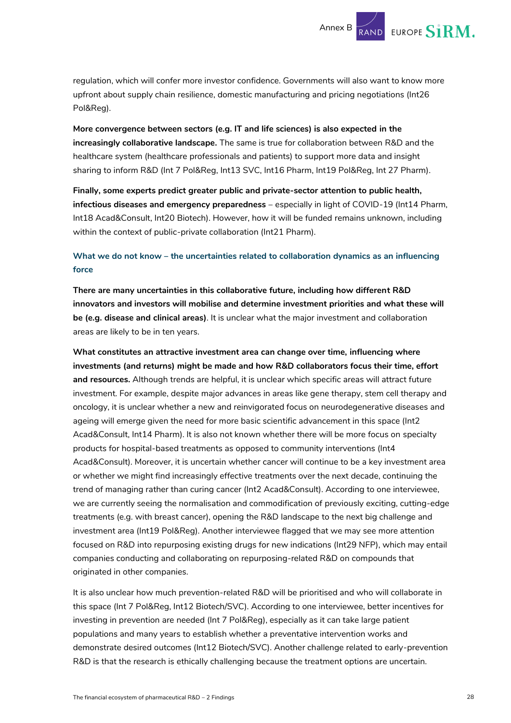regulation, which will confer more investor confidence. Governments will also want to know more upfront about supply chain resilience, domestic manufacturing and pricing negotiations (Int26 Pol&Reg).

**More convergence between sectors (e.g. IT and life sciences) is also expected in the increasingly collaborative landscape.** The same is true for collaboration between R&D and the healthcare system (healthcare professionals and patients) to support more data and insight sharing to inform R&D (Int 7 Pol&Reg, Int13 SVC, Int16 Pharm, Int19 Pol&Reg, Int 27 Pharm)*.*

**Finally, some experts predict greater public and private-sector attention to public health, infectious diseases and emergency preparedness** – especially in light of COVID-19 (Int14 Pharm*,*  Int18 Acad&Consult, Int20 Biotech). However, how it will be funded remains unknown, including within the context of public-private collaboration (Int21 Pharm).

#### **What we do not know – the uncertainties related to collaboration dynamics as an influencing force**

**There are many uncertainties in this collaborative future, including how different R&D innovators and investors will mobilise and determine investment priorities and what these will be (e.g. disease and clinical areas)**. It is unclear what the major investment and collaboration areas are likely to be in ten years.

**What constitutes an attractive investment area can change over time, influencing where investments (and returns) might be made and how R&D collaborators focus their time, effort and resources.** Although trends are helpful, it is unclear which specific areas will attract future investment. For example, despite major advances in areas like gene therapy, stem cell therapy and oncology, it is unclear whether a new and reinvigorated focus on neurodegenerative diseases and ageing will emerge given the need for more basic scientific advancement in this space (Int2 Acad&Consult, Int14 Pharm). It is also not known whether there will be more focus on specialty products for hospital-based treatments as opposed to community interventions (Int4 Acad&Consult). Moreover, it is uncertain whether cancer will continue to be a key investment area or whether we might find increasingly effective treatments over the next decade, continuing the trend of managing rather than curing cancer (Int2 Acad&Consult). According to one interviewee, we are currently seeing the normalisation and commodification of previously exciting, cutting-edge treatments (e.g. with breast cancer), opening the R&D landscape to the next big challenge and investment area (Int19 Pol&Reg). Another interviewee flagged that we may see more attention focused on R&D into repurposing existing drugs for new indications (Int29 NFP), which may entail companies conducting and collaborating on repurposing-related R&D on compounds that originated in other companies.

It is also unclear how much prevention-related R&D will be prioritised and who will collaborate in this space (Int 7 Pol&Reg, Int12 Biotech/SVC). According to one interviewee, better incentives for investing in prevention are needed (Int 7 Pol&Reg), especially as it can take large patient populations and many years to establish whether a preventative intervention works and demonstrate desired outcomes (Int12 Biotech/SVC). Another challenge related to early-prevention R&D is that the research is ethically challenging because the treatment options are uncertain.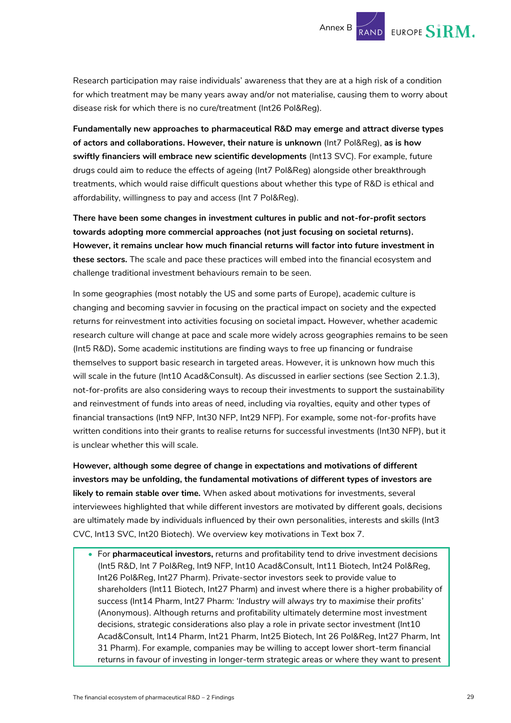Research participation may raise individuals' awareness that they are at a high risk of a condition for which treatment may be many years away and/or not materialise, causing them to worry about disease risk for which there is no cure/treatment (Int26 Pol&Reg).

**Fundamentally new approaches to pharmaceutical R&D may emerge and attract diverse types of actors and collaborations. However, their nature is unknown** (Int7 Pol&Reg), **as is how swiftly financiers will embrace new scientific developments** (Int13 SVC). For example, future drugs could aim to reduce the effects of ageing (Int7 Pol&Reg) alongside other breakthrough treatments, which would raise difficult questions about whether this type of R&D is ethical and affordability, willingness to pay and access (Int 7 Pol&Reg).

**There have been some changes in investment cultures in public and not-for-profit sectors towards adopting more commercial approaches (not just focusing on societal returns). However, it remains unclear how much financial returns will factor into future investment in these sectors.** The scale and pace these practices will embed into the financial ecosystem and challenge traditional investment behaviours remain to be seen.

In some geographies (most notably the US and some parts of Europe), academic culture is changing and becoming savvier in focusing on the practical impact on society and the expected returns for reinvestment into activities focusing on societal impact*.* However, whether academic research culture will change at pace and scale more widely across geographies remains to be seen (Int5 R&D)**.** Some academic institutions are finding ways to free up financing or fundraise themselves to support basic research in targeted areas. However, it is unknown how much this will scale in the future (Int10 Acad&Consult). As discussed in earlier sections (see Section [2.1.3\)](#page-8-0), not-for-profits are also considering ways to recoup their investments to support the sustainability and reinvestment of funds into areas of need, including via royalties, equity and other types of financial transactions (Int9 NFP, Int30 NFP, Int29 NFP). For example, some not-for-profits have written conditions into their grants to realise returns for successful investments (Int30 NFP), but it is unclear whether this will scale.

**However, although some degree of change in expectations and motivations of different investors may be unfolding, the fundamental motivations of different types of investors are likely to remain stable over time.** When asked about motivations for investments, several interviewees highlighted that while different investors are motivated by different goals, decisions are ultimately made by individuals influenced by their own personalities, interests and skills (Int3 CVC, Int13 SVC, Int20 Biotech). We overview key motivations in Text box 7.

• For **pharmaceutical investors,** returns and profitability tend to drive investment decisions (Int5 R&D, Int 7 Pol&Reg, Int9 NFP, Int10 Acad&Consult, Int11 Biotech, Int24 Pol&Reg, Int26 Pol&Reg, Int27 Pharm). Private-sector investors seek to provide value to shareholders (Int11 Biotech, Int27 Pharm) and invest where there is a higher probability of success (Int14 Pharm, Int27 Pharm: *'Industry will always try to maximise their profits'* (Anonymous). Although returns and profitability ultimately determine most investment decisions, strategic considerations also play a role in private sector investment (Int10 Acad&Consult, Int14 Pharm, Int21 Pharm, Int25 Biotech, Int 26 Pol&Reg, Int27 Pharm, Int 31 Pharm). For example, companies may be willing to accept lower short-term financial returns in favour of investing in longer-term strategic areas or where they want to present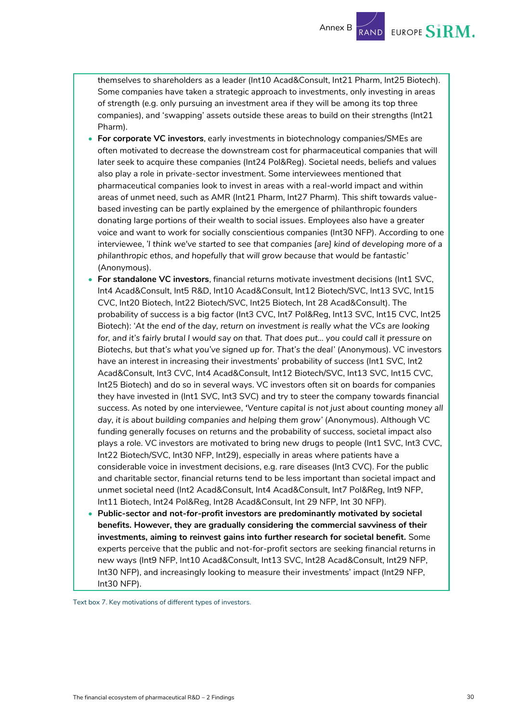Annex B

EUROPE  $\mathbf{S}$ **i** $\mathbf{R}$ **M.** 

themselves to shareholders as a leader (Int10 Acad&Consult, Int21 Pharm, Int25 Biotech). Some companies have taken a strategic approach to investments, only investing in areas of strength (e.g. only pursuing an investment area if they will be among its top three companies), and 'swapping' assets outside these areas to build on their strengths (Int21 Pharm).

- **For corporate VC investors**, early investments in biotechnology companies/SMEs are often motivated to decrease the downstream cost for pharmaceutical companies that will later seek to acquire these companies (Int24 Pol&Reg). Societal needs, beliefs and values also play a role in private-sector investment. Some interviewees mentioned that pharmaceutical companies look to invest in areas with a real-world impact and within areas of unmet need, such as AMR (Int21 Pharm, Int27 Pharm). This shift towards valuebased investing can be partly explained by the emergence of philanthropic founders donating large portions of their wealth to social issues. Employees also have a greater voice and want to work for socially conscientious companies (Int30 NFP). According to one interviewee, *'I think we've started to see that companies [are] kind of developing more of a philanthropic ethos, and hopefully that will grow because that would be fantastic'* (Anonymous).
- **For standalone VC investors**, financial returns motivate investment decisions (Int1 SVC, Int4 Acad&Consult, Int5 R&D, Int10 Acad&Consult, Int12 Biotech/SVC, Int13 SVC, Int15 CVC, Int20 Biotech, Int22 Biotech/SVC, Int25 Biotech, Int 28 Acad&Consult). The probability of success is a big factor (Int3 CVC, Int7 Pol&Reg, Int13 SVC, Int15 CVC, Int25 Biotech): *'At the end of the day, return on investment is really what the VCs are looking for, and it's fairly brutal I would say on that. That does put… you could call it pressure on Biotechs, but that's what you've signed up for. That's the deal'* (Anonymous). VC investors have an interest in increasing their investments' probability of success (Int1 SVC, Int2 Acad&Consult, Int3 CVC, Int4 Acad&Consult, Int12 Biotech/SVC, Int13 SVC, Int15 CVC, Int25 Biotech) and do so in several ways. VC investors often sit on boards for companies they have invested in (Int1 SVC, Int3 SVC) and try to steer the company towards financial success. As noted by one interviewee, *'Venture capital is not just about counting money all day, it is about building companies and helping them grow'* (Anonymous). Although VC funding generally focuses on returns and the probability of success, societal impact also plays a role. VC investors are motivated to bring new drugs to people (Int1 SVC, Int3 CVC, Int22 Biotech/SVC, Int30 NFP, Int29), especially in areas where patients have a considerable voice in investment decisions, e.g. rare diseases (Int3 CVC). For the public and charitable sector, financial returns tend to be less important than societal impact and unmet societal need (Int2 Acad&Consult, Int4 Acad&Consult, Int7 Pol&Reg, Int9 NFP, Int11 Biotech, Int24 Pol&Reg, Int28 Acad&Consult, Int 29 NFP, Int 30 NFP).
- **Public-sector and not-for-profit investors are predominantly motivated by societal benefits. However, they are gradually considering the commercial savviness of their investments, aiming to reinvest gains into further research for societal benefit.** Some experts perceive that the public and not-for-profit sectors are seeking financial returns in new ways (Int9 NFP, Int10 Acad&Consult, Int13 SVC, Int28 Acad&Consult, Int29 NFP, Int30 NFP), and increasingly looking to measure their investments' impact (Int29 NFP, Int30 NFP).

Text box 7. Key motivations of different types of investors.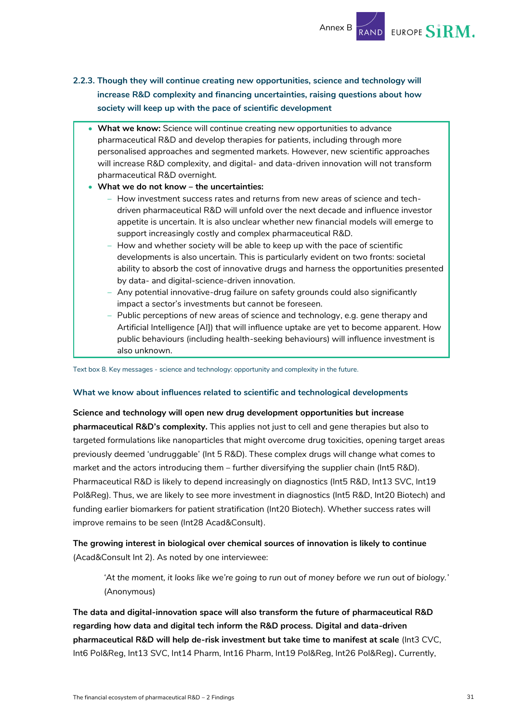

#### <span id="page-31-0"></span>**2.2.3. Though they will continue creating new opportunities, science and technology will increase R&D complexity and financing uncertainties, raising questions about how society will keep up with the pace of scientific development**

• **What we know:** Science will continue creating new opportunities to advance pharmaceutical R&D and develop therapies for patients, including through more personalised approaches and segmented markets. However, new scientific approaches will increase R&D complexity, and digital- and data-driven innovation will not transform pharmaceutical R&D overnight.

#### • **What we do not know – the uncertainties:**

- How investment success rates and returns from new areas of science and techdriven pharmaceutical R&D will unfold over the next decade and influence investor appetite is uncertain. It is also unclear whether new financial models will emerge to support increasingly costly and complex pharmaceutical R&D.
- How and whether society will be able to keep up with the pace of scientific developments is also uncertain. This is particularly evident on two fronts: societal ability to absorb the cost of innovative drugs and harness the opportunities presented by data- and digital-science-driven innovation.
- Any potential innovative-drug failure on safety grounds could also significantly impact a sector's investments but cannot be foreseen.
- Public perceptions of new areas of science and technology, e.g. gene therapy and Artificial Intelligence [AI]) that will influence uptake are yet to become apparent. How public behaviours (including health-seeking behaviours) will influence investment is also unknown.

Text box 8. Key messages - science and technology: opportunity and complexity in the future.

#### **What we know about influences related to scientific and technological developments**

**Science and technology will open new drug development opportunities but increase pharmaceutical R&D's complexity.** This applies not just to cell and gene therapies but also to targeted formulations like nanoparticles that might overcome drug toxicities, opening target areas previously deemed 'undruggable' (Int 5 R&D). These complex drugs will change what comes to market and the actors introducing them – further diversifying the supplier chain (Int5 R&D). Pharmaceutical R&D is likely to depend increasingly on diagnostics (Int5 R&D, Int13 SVC, Int19 Pol&Reg). Thus, we are likely to see more investment in diagnostics (Int5 R&D, Int20 Biotech) and funding earlier biomarkers for patient stratification (Int20 Biotech). Whether success rates will improve remains to be seen (Int28 Acad&Consult).

**The growing interest in biological over chemical sources of innovation is likely to continue** (Acad&Consult Int 2). As noted by one interviewee:

*'At the moment, it looks like we're going to run out of money before we run out of biology.'* (Anonymous)

**The data and digital-innovation space will also transform the future of pharmaceutical R&D regarding how data and digital tech inform the R&D process. Digital and data-driven pharmaceutical R&D will help de-risk investment but take time to manifest at scale** (Int3 CVC, Int6 Pol&Reg, Int13 SVC, Int14 Pharm, Int16 Pharm, Int19 Pol&Reg, Int26 Pol&Reg)**.** Currently,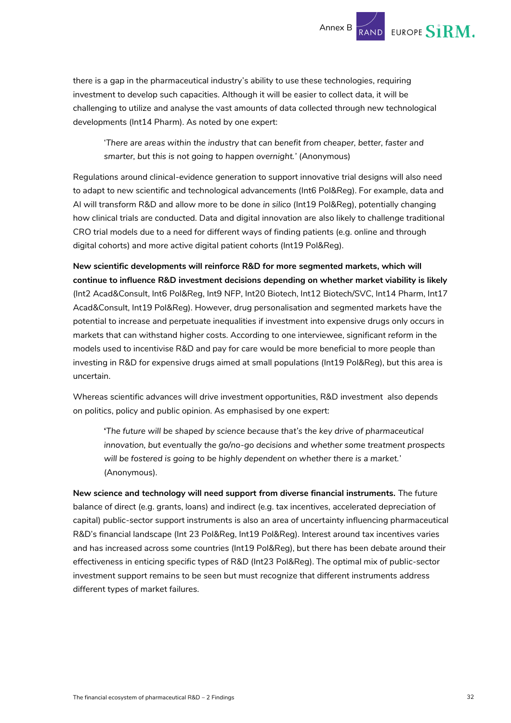

there is a gap in the pharmaceutical industry's ability to use these technologies, requiring investment to develop such capacities. Although it will be easier to collect data, it will be challenging to utilize and analyse the vast amounts of data collected through new technological developments (Int14 Pharm). As noted by one expert:

'*There are areas within the industry that can benefit from cheaper, better, faster and smarter, but this is not going to happen overnight.'* (Anonymous)

Regulations around clinical-evidence generation to support innovative trial designs will also need to adapt to new scientific and technological advancements (Int6 Pol&Reg). For example, data and AI will transform R&D and allow more to be done *in silico* (Int19 Pol&Reg), potentially changing how clinical trials are conducted. Data and digital innovation are also likely to challenge traditional CRO trial models due to a need for different ways of finding patients (e.g. online and through digital cohorts) and more active digital patient cohorts (Int19 Pol&Reg).

**New scientific developments will reinforce R&D for more segmented markets, which will continue to influence R&D investment decisions depending on whether market viability is likely** (Int2 Acad&Consult, Int6 Pol&Reg, Int9 NFP, Int20 Biotech, Int12 Biotech/SVC, Int14 Pharm, Int17 Acad&Consult, Int19 Pol&Reg). However, drug personalisation and segmented markets have the potential to increase and perpetuate inequalities if investment into expensive drugs only occurs in markets that can withstand higher costs. According to one interviewee, significant reform in the models used to incentivise R&D and pay for care would be more beneficial to more people than investing in R&D for expensive drugs aimed at small populations (Int19 Pol&Reg), but this area is uncertain.

Whereas scientific advances will drive investment opportunities, R&D investment also depends on politics, policy and public opinion. As emphasised by one expert:

**'***The future will be shaped by science because that's the key drive of pharmaceutical innovation, but eventually the go/no-go decisions and whether some treatment prospects will be fostered is going to be highly dependent on whether there is a market.*' (Anonymous).

**New science and technology will need support from diverse financial instruments.** The future balance of direct (e.g. grants, loans) and indirect (e.g. tax incentives, accelerated depreciation of capital) public-sector support instruments is also an area of uncertainty influencing pharmaceutical R&D's financial landscape (Int 23 Pol&Reg, Int19 Pol&Reg). Interest around tax incentives varies and has increased across some countries (Int19 Pol&Reg), but there has been debate around their effectiveness in enticing specific types of R&D (Int23 Pol&Reg). The optimal mix of public-sector investment support remains to be seen but must recognize that different instruments address different types of market failures.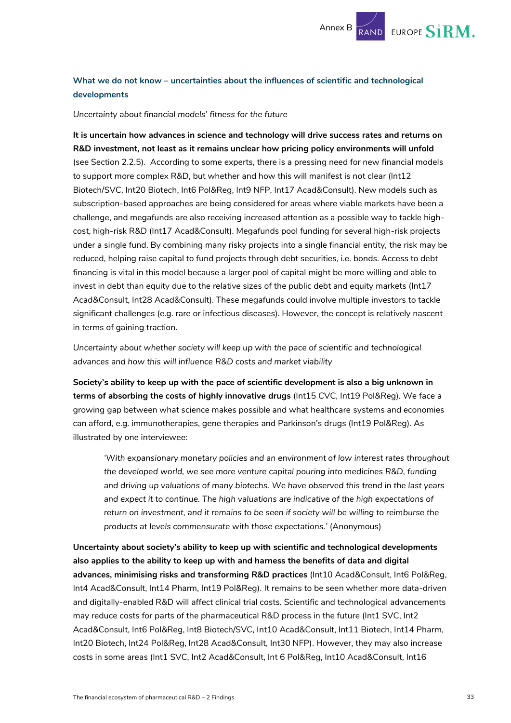

#### **What we do not know – uncertainties about the influences of scientific and technological developments**

*Uncertainty about financial models' fitness for the future* 

**It is uncertain how advances in science and technology will drive success rates and returns on R&D investment, not least as it remains unclear how pricing policy environments will unfold** (see Section [2.2.5\)](#page-37-0). According to some experts, there is a pressing need for new financial models to support more complex R&D, but whether and how this will manifest is not clear (Int12 Biotech/SVC, Int20 Biotech, Int6 Pol&Reg, Int9 NFP, Int17 Acad&Consult). New models such as subscription-based approaches are being considered for areas where viable markets have been a challenge, and megafunds are also receiving increased attention as a possible way to tackle highcost, high-risk R&D (Int17 Acad&Consult). Megafunds pool funding for several high-risk projects under a single fund. By combining many risky projects into a single financial entity, the risk may be reduced, helping raise capital to fund projects through debt securities, i.e. bonds. Access to debt financing is vital in this model because a larger pool of capital might be more willing and able to invest in debt than equity due to the relative sizes of the public debt and equity markets (Int17 Acad&Consult, Int28 Acad&Consult). These megafunds could involve multiple investors to tackle significant challenges (e.g. rare or infectious diseases). However, the concept is relatively nascent in terms of gaining traction.

*Uncertainty about whether society will keep up with the pace of scientific and technological advances and how this will influence R&D costs and market viability* 

**Society's ability to keep up with the pace of scientific development is also a big unknown in terms of absorbing the costs of highly innovative drugs** (Int15 CVC, Int19 Pol&Reg). We face a growing gap between what science makes possible and what healthcare systems and economies can afford, e.g. immunotherapies, gene therapies and Parkinson's drugs (Int19 Pol&Reg). As illustrated by one interviewee:

*'With expansionary monetary policies and an environment of low interest rates throughout the developed world, we see more venture capital pouring into medicines R&D, funding and driving up valuations of many biotechs. We have observed this trend in the last years and expect it to continue. The high valuations are indicative of the high expectations of return on investment, and it remains to be seen if society will be willing to reimburse the products at levels commensurate with those expectations.'* (Anonymous)

**Uncertainty about society's ability to keep up with scientific and technological developments also applies to the ability to keep up with and harness the benefits of data and digital advances, minimising risks and transforming R&D practices** (Int10 Acad&Consult, Int6 Pol&Reg, Int4 Acad&Consult, Int14 Pharm, Int19 Pol&Reg). It remains to be seen whether more data-driven and digitally-enabled R&D will affect clinical trial costs*.* Scientific and technological advancements may reduce costs for parts of the pharmaceutical R&D process in the future (Int1 SVC, Int2 Acad&Consult, Int6 Pol&Reg, Int8 Biotech/SVC, Int10 Acad&Consult, Int11 Biotech, Int14 Pharm, Int20 Biotech, Int24 Pol&Reg, Int28 Acad&Consult, Int30 NFP). However, they may also increase costs in some areas (Int1 SVC, Int2 Acad&Consult, Int 6 Pol&Reg, Int10 Acad&Consult, Int16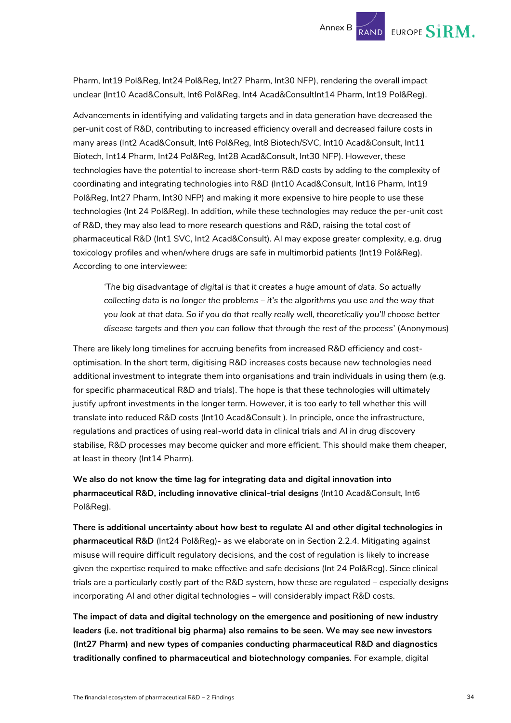Pharm, Int19 Pol&Reg, Int24 Pol&Reg, Int27 Pharm, Int30 NFP), rendering the overall impact unclear (Int10 Acad&Consult, Int6 Pol&Reg, Int4 Acad&ConsultInt14 Pharm, Int19 Pol&Reg).

Advancements in identifying and validating targets and in data generation have decreased the per-unit cost of R&D, contributing to increased efficiency overall and decreased failure costs in many areas (Int2 Acad&Consult, Int6 Pol&Reg, Int8 Biotech/SVC, Int10 Acad&Consult, Int11 Biotech, Int14 Pharm, Int24 Pol&Reg, Int28 Acad&Consult, Int30 NFP). However, these technologies have the potential to increase short-term R&D costs by adding to the complexity of coordinating and integrating technologies into R&D (Int10 Acad&Consult, Int16 Pharm, Int19 Pol&Reg, Int27 Pharm, Int30 NFP) and making it more expensive to hire people to use these technologies (Int 24 Pol&Reg). In addition, while these technologies may reduce the per-unit cost of R&D, they may also lead to more research questions and R&D, raising the total cost of pharmaceutical R&D (Int1 SVC, Int2 Acad&Consult). AI may expose greater complexity, e.g. drug toxicology profiles and when/where drugs are safe in multimorbid patients (Int19 Pol&Reg). According to one interviewee:

*'The big disadvantage of digital is that it creates a huge amount of data. So actually collecting data is no longer the problems – it's the algorithms you use and the way that you look at that data. So if you do that really really well, theoretically you'll choose better disease targets and then you can follow that through the rest of the process*' (Anonymous)

There are likely long timelines for accruing benefits from increased R&D efficiency and costoptimisation. In the short term, digitising R&D increases costs because new technologies need additional investment to integrate them into organisations and train individuals in using them (e.g. for specific pharmaceutical R&D and trials). The hope is that these technologies will ultimately justify upfront investments in the longer term. However, it is too early to tell whether this will translate into reduced R&D costs (Int10 Acad&Consult ). In principle, once the infrastructure, regulations and practices of using real-world data in clinical trials and AI in drug discovery stabilise, R&D processes may become quicker and more efficient. This should make them cheaper, at least in theory (Int14 Pharm).

**We also do not know the time lag for integrating data and digital innovation into pharmaceutical R&D, including innovative clinical-trial designs** (Int10 Acad&Consult, Int6 Pol&Reg).

**There is additional uncertainty about how best to regulate AI and other digital technologies in pharmaceutical R&D** (Int24 Pol&Reg)- as we elaborate on in Sectio[n 2.2.4.](#page-35-0) Mitigating against misuse will require difficult regulatory decisions, and the cost of regulation is likely to increase given the expertise required to make effective and safe decisions (Int 24 Pol&Reg). Since clinical trials are a particularly costly part of the R&D system, how these are regulated – especially designs incorporating AI and other digital technologies – will considerably impact R&D costs.

**The impact of data and digital technology on the emergence and positioning of new industry leaders (i.e. not traditional big pharma) also remains to be seen. We may see new investors (Int27 Pharm) and new types of companies conducting pharmaceutical R&D and diagnostics traditionally confined to pharmaceutical and biotechnology companies***.* For example, digital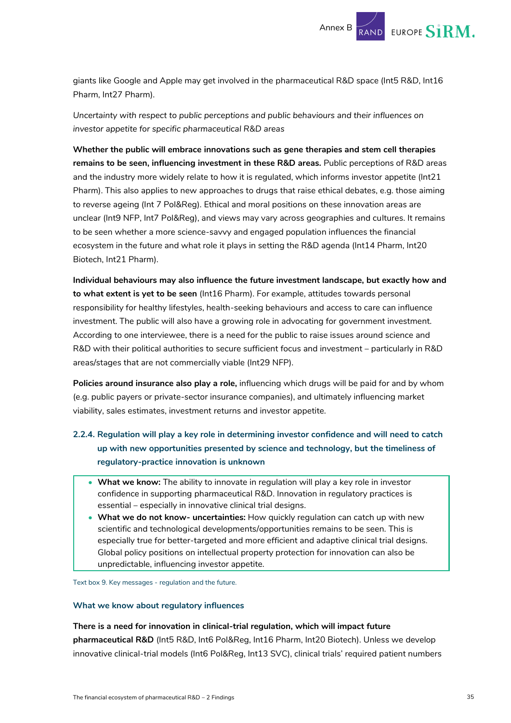

giants like Google and Apple may get involved in the pharmaceutical R&D space (Int5 R&D, Int16 Pharm, Int27 Pharm).

*Uncertainty with respect to public perceptions and public behaviours and their influences on investor appetite for specific pharmaceutical R&D areas*

**Whether the public will embrace innovations such as gene therapies and stem cell therapies remains to be seen, influencing investment in these R&D areas.** Public perceptions of R&D areas and the industry more widely relate to how it is regulated, which informs investor appetite (Int21 Pharm). This also applies to new approaches to drugs that raise ethical debates, e.g. those aiming to reverse ageing (Int 7 Pol&Reg). Ethical and moral positions on these innovation areas are unclear (Int9 NFP, Int7 Pol&Reg), and views may vary across geographies and cultures. It remains to be seen whether a more science-savvy and engaged population influences the financial ecosystem in the future and what role it plays in setting the R&D agenda (Int14 Pharm, Int20 Biotech, Int21 Pharm).

**Individual behaviours may also influence the future investment landscape, but exactly how and to what extent is yet to be seen** (Int16 Pharm). For example, attitudes towards personal responsibility for healthy lifestyles, health-seeking behaviours and access to care can influence investment. The public will also have a growing role in advocating for government investment. According to one interviewee, there is a need for the public to raise issues around science and R&D with their political authorities to secure sufficient focus and investment – particularly in R&D areas/stages that are not commercially viable (Int29 NFP).

**Policies around insurance also play a role,** influencing which drugs will be paid for and by whom (e.g. public payers or private-sector insurance companies), and ultimately influencing market viability, sales estimates, investment returns and investor appetite.

- <span id="page-35-0"></span>**2.2.4. Regulation will play a key role in determining investor confidence and will need to catch up with new opportunities presented by science and technology, but the timeliness of regulatory-practice innovation is unknown** 
	- **What we know:** The ability to innovate in regulation will play a key role in investor confidence in supporting pharmaceutical R&D. Innovation in regulatory practices is essential – especially in innovative clinical trial designs.
	- **What we do not know- uncertainties:** How quickly regulation can catch up with new scientific and technological developments/opportunities remains to be seen. This is especially true for better-targeted and more efficient and adaptive clinical trial designs. Global policy positions on intellectual property protection for innovation can also be unpredictable, influencing investor appetite.

Text box 9. Key messages - regulation and the future.

#### **What we know about regulatory influences**

**There is a need for innovation in clinical-trial regulation, which will impact future pharmaceutical R&D** (Int5 R&D, Int6 Pol&Reg, Int16 Pharm, Int20 Biotech). Unless we develop innovative clinical-trial models (Int6 Pol&Reg, Int13 SVC), clinical trials' required patient numbers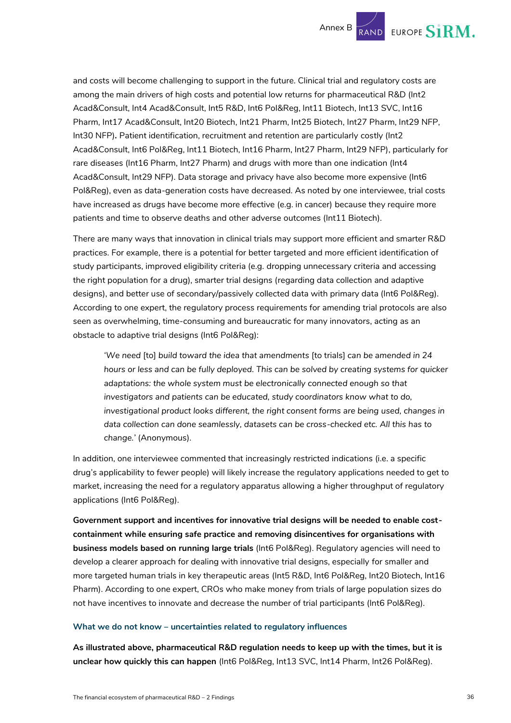and costs will become challenging to support in the future. Clinical trial and regulatory costs are among the main drivers of high costs and potential low returns for pharmaceutical R&D (Int2 Acad&Consult, Int4 Acad&Consult, Int5 R&D, Int6 Pol&Reg, Int11 Biotech, Int13 SVC, Int16 Pharm, Int17 Acad&Consult, Int20 Biotech, Int21 Pharm, Int25 Biotech, Int27 Pharm, Int29 NFP, Int30 NFP)**.** Patient identification, recruitment and retention are particularly costly (Int2 Acad&Consult, Int6 Pol&Reg, Int11 Biotech, Int16 Pharm, Int27 Pharm, Int29 NFP), particularly for rare diseases (Int16 Pharm, Int27 Pharm) and drugs with more than one indication (Int4 Acad&Consult, Int29 NFP). Data storage and privacy have also become more expensive (Int6 Pol&Reg), even as data-generation costs have decreased. As noted by one interviewee, trial costs have increased as drugs have become more effective (e.g. in cancer) because they require more patients and time to observe deaths and other adverse outcomes (Int11 Biotech).

There are many ways that innovation in clinical trials may support more efficient and smarter R&D practices. For example, there is a potential for better targeted and more efficient identification of study participants, improved eligibility criteria (e.g. dropping unnecessary criteria and accessing the right population for a drug), smarter trial designs (regarding data collection and adaptive designs), and better use of secondary/passively collected data with primary data (Int6 Pol&Reg). According to one expert, the regulatory process requirements for amending trial protocols are also seen as overwhelming, time-consuming and bureaucratic for many innovators, acting as an obstacle to adaptive trial designs (Int6 Pol&Reg):

*'We need* [to] *build toward the idea that amendments* [to trials] *can be amended in 24 hours or less and can be fully deployed. This can be solved by creating systems for quicker adaptations: the whole system must be electronically connected enough so that*  investigators and patients can be educated, study coordinators know what to do, *investigational product looks different, the right consent forms are being used, changes in data collection can done seamlessly, datasets can be cross-checked etc. All this has to change.'* (Anonymous).

In addition, one interviewee commented that increasingly restricted indications (i.e. a specific drug's applicability to fewer people) will likely increase the regulatory applications needed to get to market, increasing the need for a regulatory apparatus allowing a higher throughput of regulatory applications (Int6 Pol&Reg).

**Government support and incentives for innovative trial designs will be needed to enable costcontainment while ensuring safe practice and removing disincentives for organisations with business models based on running large trials** (Int6 Pol&Reg). Regulatory agencies will need to develop a clearer approach for dealing with innovative trial designs, especially for smaller and more targeted human trials in key therapeutic areas (Int5 R&D, Int6 Pol&Reg, Int20 Biotech, Int16 Pharm). According to one expert, CROs who make money from trials of large population sizes do not have incentives to innovate and decrease the number of trial participants (Int6 Pol&Reg).

#### **What we do not know – uncertainties related to regulatory influences**

**As illustrated above, pharmaceutical R&D regulation needs to keep up with the times, but it is unclear how quickly this can happen** (Int6 Pol&Reg, Int13 SVC, Int14 Pharm, Int26 Pol&Reg).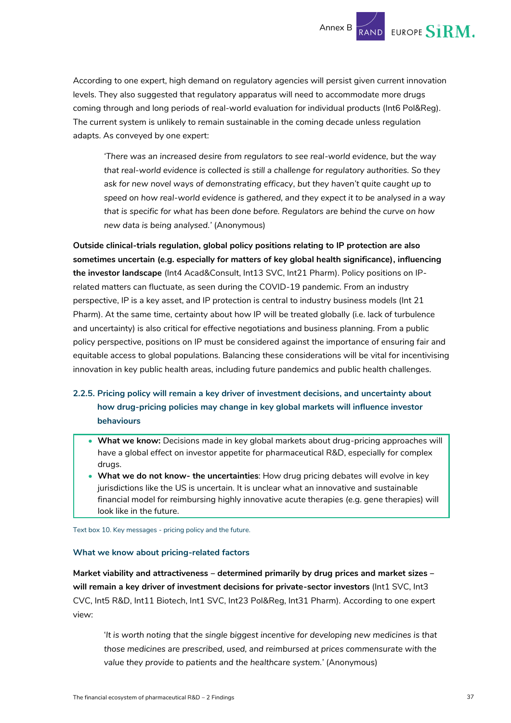EUROPE SIRM.

According to one expert, high demand on regulatory agencies will persist given current innovation levels. They also suggested that regulatory apparatus will need to accommodate more drugs coming through and long periods of real-world evaluation for individual products (Int6 Pol&Reg). The current system is unlikely to remain sustainable in the coming decade unless regulation adapts. As conveyed by one expert:

*'There was an increased desire from regulators to see real-world evidence, but the way that real-world evidence is collected is still a challenge for regulatory authorities. So they ask for new novel ways of demonstrating efficacy, but they haven't quite caught up to speed on how real-world evidence is gathered, and they expect it to be analysed in a way that is specific for what has been done before. Regulators are behind the curve on how new data is being analysed.'* (Anonymous)

**Outside clinical-trials regulation, global policy positions relating to IP protection are also sometimes uncertain (e.g. especially for matters of key global health significance), influencing the investor landscape** (Int4 Acad&Consult, Int13 SVC, Int21 Pharm). Policy positions on IPrelated matters can fluctuate, as seen during the COVID-19 pandemic. From an industry perspective, IP is a key asset, and IP protection is central to industry business models (Int 21 Pharm). At the same time, certainty about how IP will be treated globally (i.e. lack of turbulence and uncertainty) is also critical for effective negotiations and business planning. From a public policy perspective, positions on IP must be considered against the importance of ensuring fair and equitable access to global populations. Balancing these considerations will be vital for incentivising innovation in key public health areas, including future pandemics and public health challenges.

#### <span id="page-37-0"></span>**2.2.5. Pricing policy will remain a key driver of investment decisions, and uncertainty about how drug-pricing policies may change in key global markets will influence investor behaviours**

- **What we know:** Decisions made in key global markets about drug-pricing approaches will have a global effect on investor appetite for pharmaceutical R&D, especially for complex drugs.
- **What we do not know- the uncertainties**: How drug pricing debates will evolve in key jurisdictions like the US is uncertain. It is unclear what an innovative and sustainable financial model for reimbursing highly innovative acute therapies (e.g. gene therapies) will look like in the future.

Text box 10. Key messages - pricing policy and the future.

#### **What we know about pricing-related factors**

**Market viability and attractiveness – determined primarily by drug prices and market sizes – will remain a key driver of investment decisions for private-sector investors** (Int1 SVC, Int3 CVC, Int5 R&D, Int11 Biotech, Int1 SVC, Int23 Pol&Reg, Int31 Pharm). According to one expert view:

'*It is worth noting that the single biggest incentive for developing new medicines is that those medicines are prescribed, used, and reimbursed at prices commensurate with the value they provide to patients and the healthcare system.'* (Anonymous)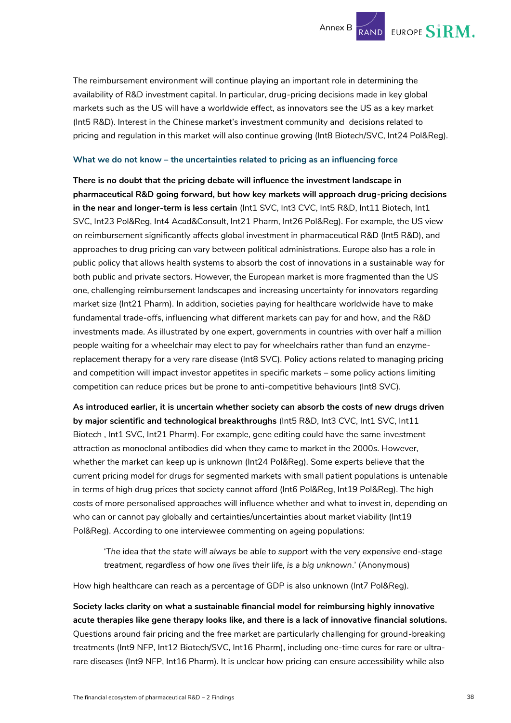

The reimbursement environment will continue playing an important role in determining the availability of R&D investment capital. In particular, drug-pricing decisions made in key global markets such as the US will have a worldwide effect, as innovators see the US as a key market (Int5 R&D). Interest in the Chinese market's investment community and decisions related to pricing and regulation in this market will also continue growing (Int8 Biotech/SVC, Int24 Pol&Reg).

#### **What we do not know – the uncertainties related to pricing as an influencing force**

**There is no doubt that the pricing debate will influence the investment landscape in pharmaceutical R&D going forward, but how key markets will approach drug-pricing decisions in the near and longer-term is less certain** (Int1 SVC, Int3 CVC, Int5 R&D, Int11 Biotech, Int1 SVC, Int23 Pol&Reg, Int4 Acad&Consult, Int21 Pharm, Int26 Pol&Reg). For example, the US view on reimbursement significantly affects global investment in pharmaceutical R&D (Int5 R&D), and approaches to drug pricing can vary between political administrations. Europe also has a role in public policy that allows health systems to absorb the cost of innovations in a sustainable way for both public and private sectors. However, the European market is more fragmented than the US one, challenging reimbursement landscapes and increasing uncertainty for innovators regarding market size (Int21 Pharm). In addition, societies paying for healthcare worldwide have to make fundamental trade-offs, influencing what different markets can pay for and how, and the R&D investments made. As illustrated by one expert, governments in countries with over half a million people waiting for a wheelchair may elect to pay for wheelchairs rather than fund an enzymereplacement therapy for a very rare disease (Int8 SVC). Policy actions related to managing pricing and competition will impact investor appetites in specific markets – some policy actions limiting competition can reduce prices but be prone to anti-competitive behaviours (Int8 SVC).

**As introduced earlier, it is uncertain whether society can absorb the costs of new drugs driven by major scientific and technological breakthroughs** (Int5 R&D, Int3 CVC, Int1 SVC, Int11 Biotech , Int1 SVC, Int21 Pharm). For example, gene editing could have the same investment attraction as monoclonal antibodies did when they came to market in the 2000s. However, whether the market can keep up is unknown (Int24 Pol&Reg). Some experts believe that the current pricing model for drugs for segmented markets with small patient populations is untenable in terms of high drug prices that society cannot afford (Int6 Pol&Reg, Int19 Pol&Reg). The high costs of more personalised approaches will influence whether and what to invest in, depending on who can or cannot pay globally and certainties/uncertainties about market viability (Int19 Pol&Reg). According to one interviewee commenting on ageing populations:

'*The idea that the state will always be able to support with the very expensive end-stage treatment, regardless of how one lives their life, is a big unknown.*' (Anonymous)

How high healthcare can reach as a percentage of GDP is also unknown (Int7 Pol&Reg).

**Society lacks clarity on what a sustainable financial model for reimbursing highly innovative acute therapies like gene therapy looks like, and there is a lack of innovative financial solutions.** Questions around fair pricing and the free market are particularly challenging for ground-breaking treatments (Int9 NFP, Int12 Biotech/SVC, Int16 Pharm), including one-time cures for rare or ultrarare diseases (Int9 NFP, Int16 Pharm). It is unclear how pricing can ensure accessibility while also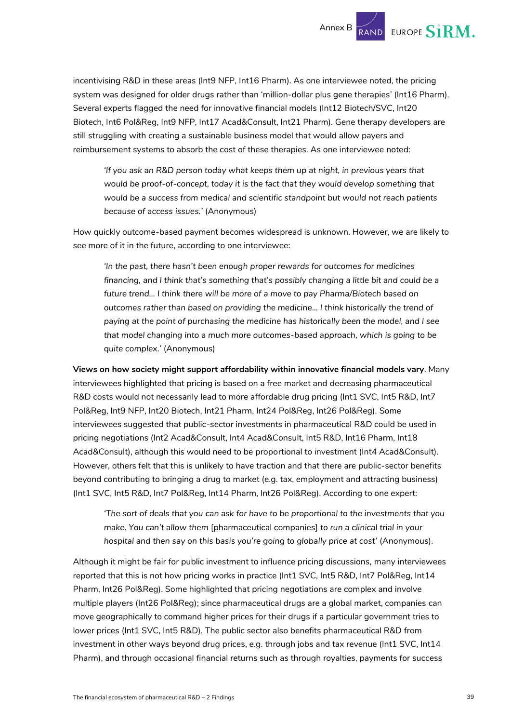incentivising R&D in these areas (Int9 NFP, Int16 Pharm). As one interviewee noted, the pricing system was designed for older drugs rather than 'million-dollar plus gene therapies' (Int16 Pharm). Several experts flagged the need for innovative financial models (Int12 Biotech/SVC, Int20 Biotech, Int6 Pol&Reg, Int9 NFP, Int17 Acad&Consult, Int21 Pharm). Gene therapy developers are still struggling with creating a sustainable business model that would allow payers and reimbursement systems to absorb the cost of these therapies. As one interviewee noted:

*'If you ask an R&D person today what keeps them up at night, in previous years that would be proof-of-concept, today it is the fact that they would develop something that would be a success from medical and scientific standpoint but would not reach patients because of access issues.'* (Anonymous)

How quickly outcome-based payment becomes widespread is unknown. However, we are likely to see more of it in the future, according to one interviewee:

*'In the past, there hasn't been enough proper rewards for outcomes for medicines financing, and I think that's something that's possibly changing a little bit and could be a future trend… I think there will be more of a move to pay Pharma/Biotech based on outcomes rather than based on providing the medicine… I think historically the trend of paying at the point of purchasing the medicine has historically been the model, and I see that model changing into a much more outcomes-based approach, which is going to be quite complex.'* (Anonymous)

**Views on how society might support affordability within innovative financial models vary**. Many interviewees highlighted that pricing is based on a free market and decreasing pharmaceutical R&D costs would not necessarily lead to more affordable drug pricing (Int1 SVC, Int5 R&D, Int7 Pol&Reg, Int9 NFP, Int20 Biotech, Int21 Pharm, Int24 Pol&Reg, Int26 Pol&Reg). Some interviewees suggested that public-sector investments in pharmaceutical R&D could be used in pricing negotiations (Int2 Acad&Consult, Int4 Acad&Consult, Int5 R&D, Int16 Pharm, Int18 Acad&Consult), although this would need to be proportional to investment (Int4 Acad&Consult). However, others felt that this is unlikely to have traction and that there are public-sector benefits beyond contributing to bringing a drug to market (e.g. tax, employment and attracting business) (Int1 SVC, Int5 R&D, Int7 Pol&Reg, Int14 Pharm, Int26 Pol&Reg). According to one expert:

*'The sort of deals that you can ask for have to be proportional to the investments that you make. You can't allow them* [pharmaceutical companies] *to run a clinical trial in your hospital and then say on this basis you're going to globally price at cost'* (Anonymous).

Although it might be fair for public investment to influence pricing discussions, many interviewees reported that this is not how pricing works in practice (Int1 SVC, Int5 R&D, Int7 Pol&Reg, Int14 Pharm, Int26 Pol&Reg). Some highlighted that pricing negotiations are complex and involve multiple players (Int26 Pol&Reg); since pharmaceutical drugs are a global market, companies can move geographically to command higher prices for their drugs if a particular government tries to lower prices (Int1 SVC, Int5 R&D). The public sector also benefits pharmaceutical R&D from investment in other ways beyond drug prices, e.g. through jobs and tax revenue (Int1 SVC, Int14 Pharm), and through occasional financial returns such as through royalties, payments for success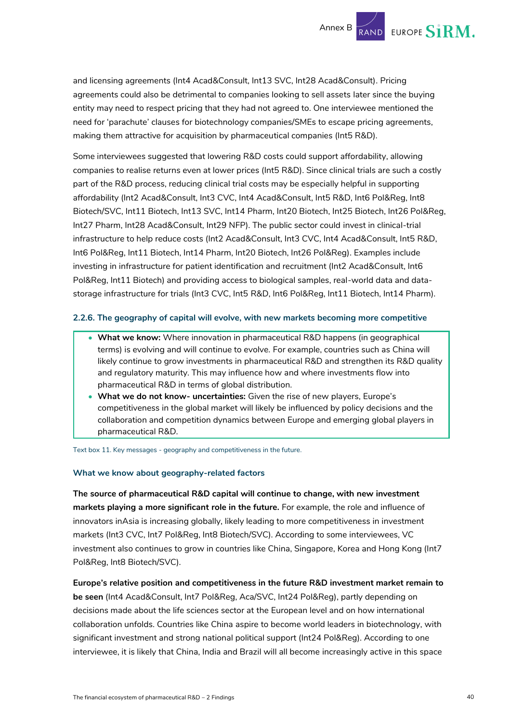and licensing agreements (Int4 Acad&Consult, Int13 SVC, Int28 Acad&Consult). Pricing agreements could also be detrimental to companies looking to sell assets later since the buying entity may need to respect pricing that they had not agreed to. One interviewee mentioned the need for 'parachute' clauses for biotechnology companies/SMEs to escape pricing agreements, making them attractive for acquisition by pharmaceutical companies (Int5 R&D).

Some interviewees suggested that lowering R&D costs could support affordability, allowing companies to realise returns even at lower prices (Int5 R&D). Since clinical trials are such a costly part of the R&D process, reducing clinical trial costs may be especially helpful in supporting affordability (Int2 Acad&Consult, Int3 CVC, Int4 Acad&Consult, Int5 R&D, Int6 Pol&Reg, Int8 Biotech/SVC, Int11 Biotech, Int13 SVC, Int14 Pharm, Int20 Biotech, Int25 Biotech, Int26 Pol&Reg, Int27 Pharm, Int28 Acad&Consult, Int29 NFP). The public sector could invest in clinical-trial infrastructure to help reduce costs (Int2 Acad&Consult, Int3 CVC, Int4 Acad&Consult, Int5 R&D, Int6 Pol&Reg, Int11 Biotech, Int14 Pharm, Int20 Biotech, Int26 Pol&Reg). Examples include investing in infrastructure for patient identification and recruitment (Int2 Acad&Consult, Int6 Pol&Reg, Int11 Biotech) and providing access to biological samples, real-world data and datastorage infrastructure for trials (Int3 CVC, Int5 R&D, Int6 Pol&Reg, Int11 Biotech, Int14 Pharm).

#### **2.2.6. The geography of capital will evolve, with new markets becoming more competitive**

- **What we know:** Where innovation in pharmaceutical R&D happens (in geographical terms) is evolving and will continue to evolve. For example, countries such as China will likely continue to grow investments in pharmaceutical R&D and strengthen its R&D quality and regulatory maturity. This may influence how and where investments flow into pharmaceutical R&D in terms of global distribution.
- **What we do not know- uncertainties:** Given the rise of new players, Europe's competitiveness in the global market will likely be influenced by policy decisions and the collaboration and competition dynamics between Europe and emerging global players in pharmaceutical R&D.

Text box 11. Key messages - geography and competitiveness in the future.

#### **What we know about geography-related factors**

**The source of pharmaceutical R&D capital will continue to change, with new investment markets playing a more significant role in the future.** For example, the role and influence of innovators inAsia is increasing globally, likely leading to more competitiveness in investment markets (Int3 CVC, Int7 Pol&Reg, Int8 Biotech/SVC). According to some interviewees, VC investment also continues to grow in countries like China, Singapore, Korea and Hong Kong (Int7 Pol&Reg, Int8 Biotech/SVC).

**Europe's relative position and competitiveness in the future R&D investment market remain to be seen** (Int4 Acad&Consult, Int7 Pol&Reg, Aca/SVC, Int24 Pol&Reg), partly depending on decisions made about the life sciences sector at the European level and on how international collaboration unfolds. Countries like China aspire to become world leaders in biotechnology, with significant investment and strong national political support (Int24 Pol&Reg). According to one interviewee, it is likely that China, India and Brazil will all become increasingly active in this space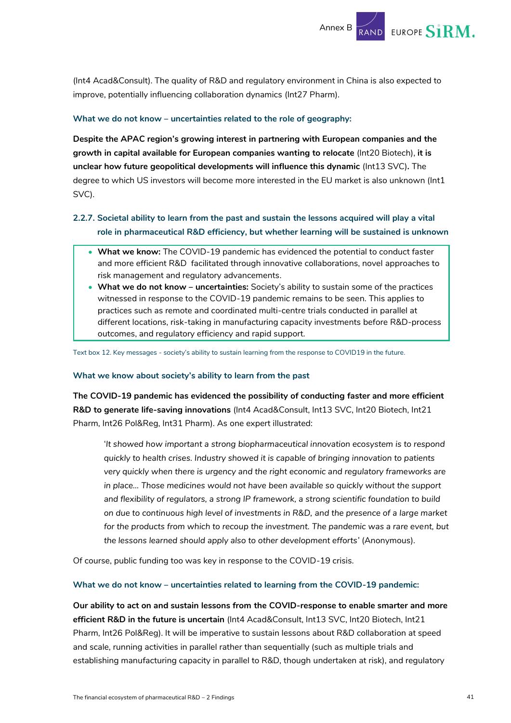(Int4 Acad&Consult). The quality of R&D and regulatory environment in China is also expected to improve, potentially influencing collaboration dynamics (Int27 Pharm).

#### **What we do not know – uncertainties related to the role of geography:**

**Despite the APAC region's growing interest in partnering with European companies and the growth in capital available for European companies wanting to relocate** (Int20 Biotech), **it is unclear how future geopolitical developments will influence this dynamic** (Int13 SVC)**.** The degree to which US investors will become more interested in the EU market is also unknown (Int1 SVC).

#### **2.2.7. Societal ability to learn from the past and sustain the lessons acquired will play a vital role in pharmaceutical R&D efficiency, but whether learning will be sustained is unknown**

- **What we know:** The COVID-19 pandemic has evidenced the potential to conduct faster and more efficient R&D facilitated through innovative collaborations, novel approaches to risk management and regulatory advancements.
- **What we do not know – uncertainties:** Society's ability to sustain some of the practices witnessed in response to the COVID-19 pandemic remains to be seen. This applies to practices such as remote and coordinated multi-centre trials conducted in parallel at different locations, risk-taking in manufacturing capacity investments before R&D-process outcomes, and regulatory efficiency and rapid support.

Text box 12. Key messages - society's ability to sustain learning from the response to COVID19 in the future.

#### **What we know about society's ability to learn from the past**

**The COVID-19 pandemic has evidenced the possibility of conducting faster and more efficient R&D to generate life-saving innovations** (Int4 Acad&Consult, Int13 SVC, Int20 Biotech, Int21 Pharm, Int26 Pol&Reg, Int31 Pharm). As one expert illustrated:

'*It showed how important a strong biopharmaceutical innovation ecosystem is to respond quickly to health crises. Industry showed it is capable of bringing innovation to patients very quickly when there is urgency and the right economic and regulatory frameworks are*  in place... Those medicines would not have been available so quickly without the support *and flexibility of regulators, a strong IP framework, a strong scientific foundation to build on due to continuous high level of investments in R&D, and the presence of a large market for the products from which to recoup the investment. The pandemic was a rare event, but the lessons learned should apply also to other development efforts'* (Anonymous).

Of course, public funding too was key in response to the COVID-19 crisis.

#### **What we do not know – uncertainties related to learning from the COVID-19 pandemic:**

**Our ability to act on and sustain lessons from the COVID-response to enable smarter and more efficient R&D in the future is uncertain** (Int4 Acad&Consult, Int13 SVC, Int20 Biotech, Int21 Pharm, Int26 Pol&Reg). It will be imperative to sustain lessons about R&D collaboration at speed and scale, running activities in parallel rather than sequentially (such as multiple trials and establishing manufacturing capacity in parallel to R&D, though undertaken at risk), and regulatory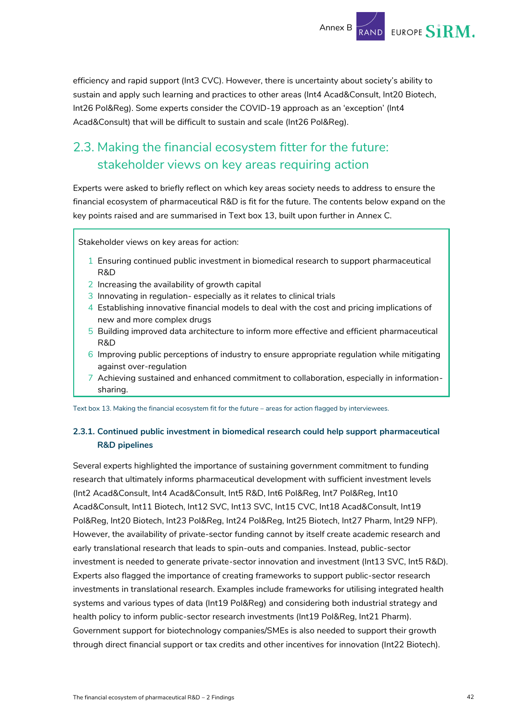efficiency and rapid support (Int3 CVC). However, there is uncertainty about society's ability to sustain and apply such learning and practices to other areas (Int4 Acad&Consult, Int20 Biotech, Int26 Pol&Reg). Some experts consider the COVID-19 approach as an 'exception' (Int4 Acad&Consult) that will be difficult to sustain and scale (Int26 Pol&Reg).

## <span id="page-42-0"></span>2.3. Making the financial ecosystem fitter for the future: stakeholder views on key areas requiring action

Experts were asked to briefly reflect on which key areas society needs to address to ensure the financial ecosystem of pharmaceutical R&D is fit for the future. The contents below expand on the key points raised and are summarised in Text box 13, built upon further in Annex C.

Stakeholder views on key areas for action:

- 1 Ensuring continued public investment in biomedical research to support pharmaceutical R&D
- 2 Increasing the availability of growth capital
- 3 Innovating in regulation- especially as it relates to clinical trials
- 4 Establishing innovative financial models to deal with the cost and pricing implications of new and more complex drugs
- 5 Building improved data architecture to inform more effective and efficient pharmaceutical R&D
- 6 Improving public perceptions of industry to ensure appropriate regulation while mitigating against over-regulation
- 7 Achieving sustained and enhanced commitment to collaboration, especially in informationsharing.

Text box 13. Making the financial ecosystem fit for the future – areas for action flagged by interviewees.

#### **2.3.1. Continued public investment in biomedical research could help support pharmaceutical R&D pipelines**

Several experts highlighted the importance of sustaining government commitment to funding research that ultimately informs pharmaceutical development with sufficient investment levels (Int2 Acad&Consult, Int4 Acad&Consult, Int5 R&D, Int6 Pol&Reg, Int7 Pol&Reg, Int10 Acad&Consult, Int11 Biotech, Int12 SVC, Int13 SVC, Int15 CVC, Int18 Acad&Consult, Int19 Pol&Reg, Int20 Biotech, Int23 Pol&Reg, Int24 Pol&Reg, Int25 Biotech, Int27 Pharm, Int29 NFP). However, the availability of private-sector funding cannot by itself create academic research and early translational research that leads to spin-outs and companies. Instead, public-sector investment is needed to generate private-sector innovation and investment (Int13 SVC, Int5 R&D). Experts also flagged the importance of creating frameworks to support public-sector research investments in translational research. Examples include frameworks for utilising integrated health systems and various types of data (Int19 Pol&Reg) and considering both industrial strategy and health policy to inform public-sector research investments (Int19 Pol&Reg, Int21 Pharm). Government support for biotechnology companies/SMEs is also needed to support their growth through direct financial support or tax credits and other incentives for innovation (Int22 Biotech).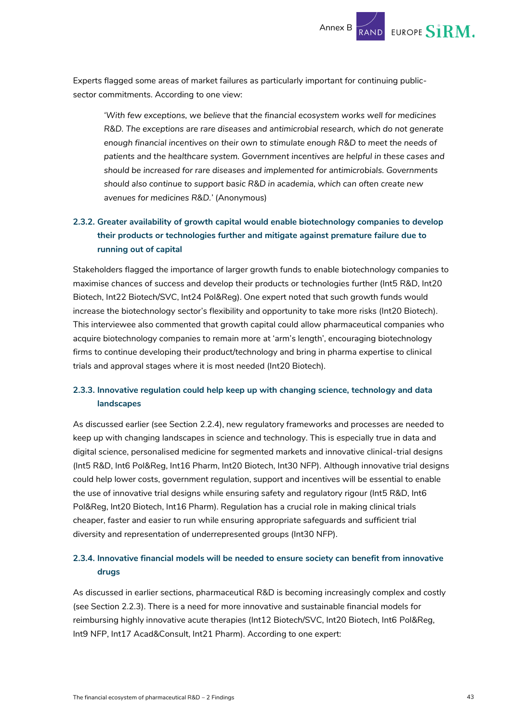

Experts flagged some areas of market failures as particularly important for continuing publicsector commitments. According to one view:

*'With few exceptions, we believe that the financial ecosystem works well for medicines R&D. The exceptions are rare diseases and antimicrobial research, which do not generate enough financial incentives on their own to stimulate enough R&D to meet the needs of patients and the healthcare system. Government incentives are helpful in these cases and should be increased for rare diseases and implemented for antimicrobials. Governments should also continue to support basic R&D in academia, which can often create new avenues for medicines R&D.'* (Anonymous)

#### **2.3.2. Greater availability of growth capital would enable biotechnology companies to develop their products or technologies further and mitigate against premature failure due to running out of capital**

Stakeholders flagged the importance of larger growth funds to enable biotechnology companies to maximise chances of success and develop their products or technologies further (Int5 R&D, Int20 Biotech, Int22 Biotech/SVC, Int24 Pol&Reg). One expert noted that such growth funds would increase the biotechnology sector's flexibility and opportunity to take more risks (Int20 Biotech). This interviewee also commented that growth capital could allow pharmaceutical companies who acquire biotechnology companies to remain more at 'arm's length', encouraging biotechnology firms to continue developing their product/technology and bring in pharma expertise to clinical trials and approval stages where it is most needed (Int20 Biotech).

#### <span id="page-43-0"></span>**2.3.3. Innovative regulation could help keep up with changing science, technology and data landscapes**

As discussed earlier (see Section [2.2.4\)](#page-35-0), new regulatory frameworks and processes are needed to keep up with changing landscapes in science and technology. This is especially true in data and digital science, personalised medicine for segmented markets and innovative clinical-trial designs (Int5 R&D, Int6 Pol&Reg, Int16 Pharm, Int20 Biotech, Int30 NFP). Although innovative trial designs could help lower costs, government regulation, support and incentives will be essential to enable the use of innovative trial designs while ensuring safety and regulatory rigour (Int5 R&D, Int6 Pol&Reg, Int20 Biotech, Int16 Pharm). Regulation has a crucial role in making clinical trials cheaper, faster and easier to run while ensuring appropriate safeguards and sufficient trial diversity and representation of underrepresented groups (Int30 NFP).

#### **2.3.4. Innovative financial models will be needed to ensure society can benefit from innovative drugs**

As discussed in earlier sections, pharmaceutical R&D is becoming increasingly complex and costly (see Section [2.2.3\)](#page-31-0). There is a need for more innovative and sustainable financial models for reimbursing highly innovative acute therapies (Int12 Biotech/SVC, Int20 Biotech, Int6 Pol&Reg, Int9 NFP, Int17 Acad&Consult, Int21 Pharm). According to one expert: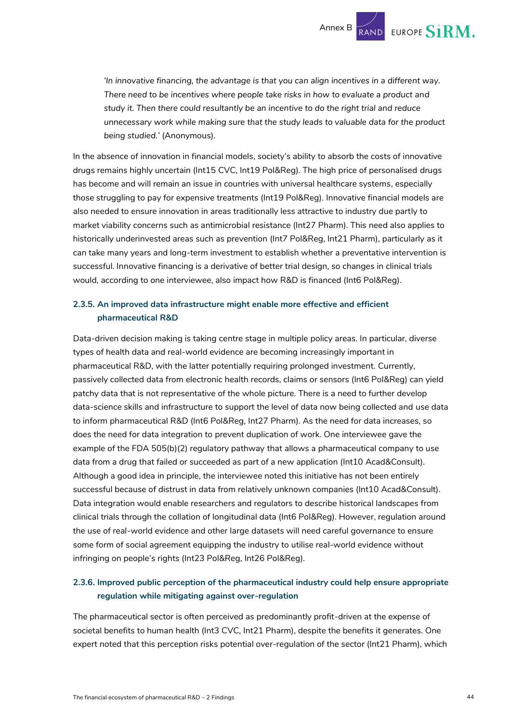Annex B RAND EUROPE SIRM.

*'In innovative financing, the advantage is that you can align incentives in a different way. There need to be incentives where people take risks in how to evaluate a product and study it. Then there could resultantly be an incentive to do the right trial and reduce unnecessary work while making sure that the study leads to valuable data for the product being studied.'* (Anonymous).

In the absence of innovation in financial models, society's ability to absorb the costs of innovative drugs remains highly uncertain (Int15 CVC, Int19 Pol&Reg). The high price of personalised drugs has become and will remain an issue in countries with universal healthcare systems, especially those struggling to pay for expensive treatments (Int19 Pol&Reg). Innovative financial models are also needed to ensure innovation in areas traditionally less attractive to industry due partly to market viability concerns such as antimicrobial resistance (Int27 Pharm). This need also applies to historically underinvested areas such as prevention (Int7 Pol&Reg, Int21 Pharm), particularly as it can take many years and long-term investment to establish whether a preventative intervention is successful. Innovative financing is a derivative of better trial design, so changes in clinical trials would, according to one interviewee, also impact how R&D is financed (Int6 Pol&Reg).

#### **2.3.5. An improved data infrastructure might enable more effective and efficient pharmaceutical R&D**

Data-driven decision making is taking centre stage in multiple policy areas. In particular, diverse types of health data and real-world evidence are becoming increasingly important in pharmaceutical R&D, with the latter potentially requiring prolonged investment. Currently, passively collected data from electronic health records, claims or sensors (Int6 Pol&Reg) can yield patchy data that is not representative of the whole picture. There is a need to further develop data-science skills and infrastructure to support the level of data now being collected and use data to inform pharmaceutical R&D (Int6 Pol&Reg, Int27 Pharm). As the need for data increases, so does the need for data integration to prevent duplication of work. One interviewee gave the example of the FDA 505(b)(2) regulatory pathway that allows a pharmaceutical company to use data from a drug that failed or succeeded as part of a new application (Int10 Acad&Consult). Although a good idea in principle, the interviewee noted this initiative has not been entirely successful because of distrust in data from relatively unknown companies (Int10 Acad&Consult). Data integration would enable researchers and regulators to describe historical landscapes from clinical trials through the collation of longitudinal data (Int6 Pol&Reg). However, regulation around the use of real-world evidence and other large datasets will need careful governance to ensure some form of social agreement equipping the industry to utilise real-world evidence without infringing on people's rights (Int23 Pol&Reg, Int26 Pol&Reg).

#### **2.3.6. Improved public perception of the pharmaceutical industry could help ensure appropriate regulation while mitigating against over-regulation**

The pharmaceutical sector is often perceived as predominantly profit-driven at the expense of societal benefits to human health (Int3 CVC, Int21 Pharm), despite the benefits it generates. One expert noted that this perception risks potential over-regulation of the sector (Int21 Pharm), which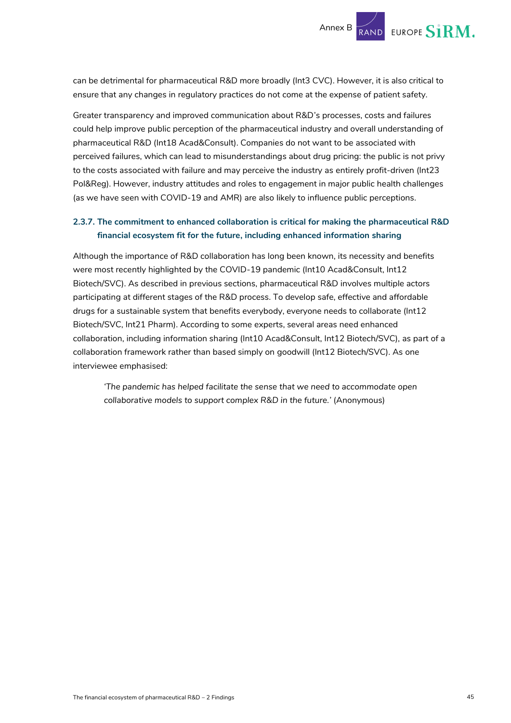

can be detrimental for pharmaceutical R&D more broadly (Int3 CVC). However, it is also critical to ensure that any changes in regulatory practices do not come at the expense of patient safety.

Greater transparency and improved communication about R&D's processes, costs and failures could help improve public perception of the pharmaceutical industry and overall understanding of pharmaceutical R&D (Int18 Acad&Consult). Companies do not want to be associated with perceived failures, which can lead to misunderstandings about drug pricing: the public is not privy to the costs associated with failure and may perceive the industry as entirely profit-driven (Int23 Pol&Reg). However, industry attitudes and roles to engagement in major public health challenges (as we have seen with COVID-19 and AMR) are also likely to influence public perceptions.

#### **2.3.7. The commitment to enhanced collaboration is critical for making the pharmaceutical R&D financial ecosystem fit for the future, including enhanced information sharing**

Although the importance of R&D collaboration has long been known, its necessity and benefits were most recently highlighted by the COVID-19 pandemic (Int10 Acad&Consult, Int12 Biotech/SVC). As described in previous sections, pharmaceutical R&D involves multiple actors participating at different stages of the R&D process. To develop safe, effective and affordable drugs for a sustainable system that benefits everybody, everyone needs to collaborate (Int12 Biotech/SVC, Int21 Pharm). According to some experts, several areas need enhanced collaboration, including information sharing (Int10 Acad&Consult, Int12 Biotech/SVC), as part of a collaboration framework rather than based simply on goodwill (Int12 Biotech/SVC). As one interviewee emphasised:

*'The pandemic has helped facilitate the sense that we need to accommodate open collaborative models to support complex R&D in the future.'* (Anonymous)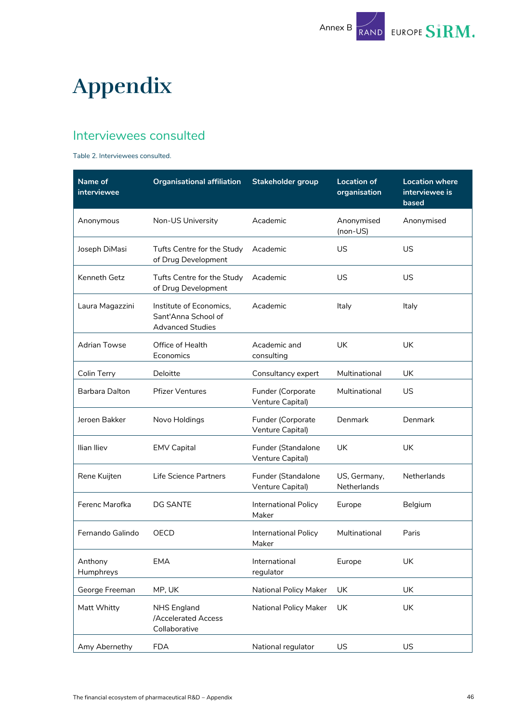

## <span id="page-46-0"></span>**Appendix**

### <span id="page-46-1"></span>Interviewees consulted

#### Table 2. Interviewees consulted.

| Name of<br>interviewee | <b>Organisational affiliation</b>                                         | <b>Stakeholder group</b>               | <b>Location of</b><br>organisation | <b>Location where</b><br>interviewee is<br>based |
|------------------------|---------------------------------------------------------------------------|----------------------------------------|------------------------------------|--------------------------------------------------|
| Anonymous              | Non-US University                                                         | Academic                               | Anonymised<br>(non-US)             | Anonymised                                       |
| Joseph DiMasi          | Tufts Centre for the Study<br>of Drug Development                         | Academic                               | US                                 | US                                               |
| Kenneth Getz           | Tufts Centre for the Study<br>of Drug Development                         | Academic                               | US                                 | US                                               |
| Laura Magazzini        | Institute of Economics,<br>Sant'Anna School of<br><b>Advanced Studies</b> | Academic                               | Italy                              | Italy                                            |
| <b>Adrian Towse</b>    | Office of Health<br>Economics                                             | Academic and<br>consulting             | <b>UK</b>                          | <b>UK</b>                                        |
| Colin Terry            | Deloitte                                                                  | Consultancy expert                     | Multinational                      | UK                                               |
| Barbara Dalton         | <b>Pfizer Ventures</b>                                                    | Funder (Corporate<br>Venture Capital)  | Multinational                      | US                                               |
| Jeroen Bakker          | Novo Holdings                                                             | Funder (Corporate<br>Venture Capital)  | Denmark                            | Denmark                                          |
| Ilian Iliev            | <b>EMV Capital</b>                                                        | Funder (Standalone<br>Venture Capital) | <b>UK</b>                          | <b>UK</b>                                        |
| Rene Kuijten           | Life Science Partners                                                     | Funder (Standalone<br>Venture Capital) | US, Germany,<br>Netherlands        | Netherlands                                      |
| Ferenc Marofka         | <b>DG SANTE</b>                                                           | International Policy<br>Maker          | Europe                             | Belgium                                          |
| Fernando Galindo       | OECD                                                                      | International Policy<br>Maker          | Multinational                      | Paris                                            |
| Anthony<br>Humphreys   | <b>EMA</b>                                                                | International<br>regulator             | Europe                             | UK                                               |
| George Freeman         | MP, UK                                                                    | National Policy Maker                  | UK                                 | <b>UK</b>                                        |
| Matt Whitty            | <b>NHS England</b><br><b>Accelerated Access</b><br>Collaborative          | National Policy Maker                  | UK                                 | UK                                               |
| Amy Abernethy          | <b>FDA</b>                                                                | National regulator                     | US                                 | US                                               |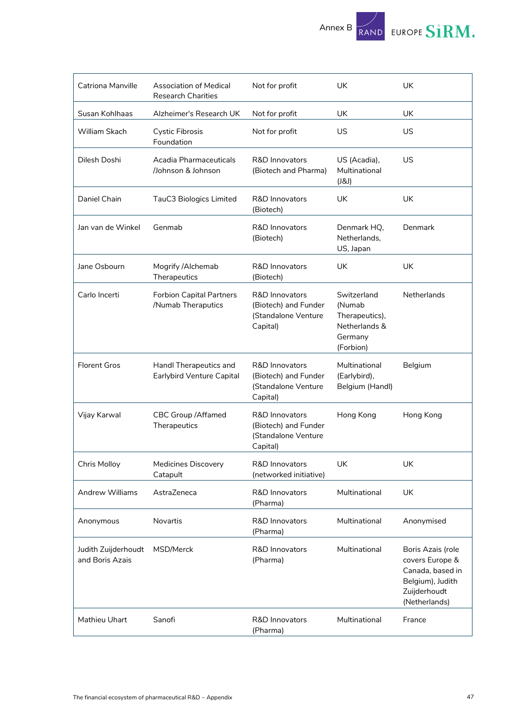

| Catriona Manville                      | <b>Association of Medical</b><br><b>Research Charities</b> | Not for profit                                                                       | UK                                                                               | UK                                                                                                            |
|----------------------------------------|------------------------------------------------------------|--------------------------------------------------------------------------------------|----------------------------------------------------------------------------------|---------------------------------------------------------------------------------------------------------------|
| Susan Kohlhaas                         | Alzheimer's Research UK                                    | Not for profit                                                                       | UK                                                                               | UK                                                                                                            |
| William Skach                          | <b>Cystic Fibrosis</b><br>Foundation                       | Not for profit                                                                       | US                                                                               | US                                                                                                            |
| Dilesh Doshi                           | Acadia Pharmaceuticals<br>/Johnson & Johnson               | R&D Innovators<br>(Biotech and Pharma)                                               | US (Acadia),<br>Multinational<br>(JSJ)                                           | <b>US</b>                                                                                                     |
| Daniel Chain                           | TauC3 Biologics Limited                                    | <b>R&amp;D Innovators</b><br>(Biotech)                                               | <b>UK</b>                                                                        | <b>UK</b>                                                                                                     |
| Jan van de Winkel                      | Genmab                                                     | <b>R&amp;D Innovators</b><br>(Biotech)                                               | Denmark HQ,<br>Netherlands,<br>US, Japan                                         | Denmark                                                                                                       |
| Jane Osbourn                           | Mogrify / Alchemab<br>Therapeutics                         | <b>R&amp;D Innovators</b><br>(Biotech)                                               | UK                                                                               | <b>UK</b>                                                                                                     |
| Carlo Incerti                          | <b>Forbion Capital Partners</b><br>/Numab Theraputics      | R&D Innovators<br>(Biotech) and Funder<br>(Standalone Venture<br>Capital)            | Switzerland<br>(Numab<br>Therapeutics),<br>Netherlands &<br>Germany<br>(Forbion) | Netherlands                                                                                                   |
| <b>Florent Gros</b>                    | Handl Therapeutics and<br>Earlybird Venture Capital        | <b>R&amp;D Innovators</b><br>(Biotech) and Funder<br>(Standalone Venture<br>Capital) | Multinational<br>(Earlybird),<br>Belgium (Handl)                                 | Belgium                                                                                                       |
| Vijay Karwal                           | <b>CBC Group / Affamed</b><br>Therapeutics                 | R&D Innovators<br>(Biotech) and Funder<br>(Standalone Venture<br>Capital)            | Hong Kong                                                                        | Hong Kong                                                                                                     |
| <b>Chris Molloy</b>                    | Medicines Discovery<br>Catapult                            | R&D Innovators<br>(networked initiative)                                             | UK                                                                               | UK                                                                                                            |
| <b>Andrew Williams</b>                 | AstraZeneca                                                | <b>R&amp;D Innovators</b><br>(Pharma)                                                | Multinational                                                                    | <b>UK</b>                                                                                                     |
| Anonymous                              | <b>Novartis</b>                                            | <b>R&amp;D Innovators</b><br>(Pharma)                                                | Multinational                                                                    | Anonymised                                                                                                    |
| Judith Zuijderhoudt<br>and Boris Azais | MSD/Merck                                                  | <b>R&amp;D Innovators</b><br>(Pharma)                                                | Multinational                                                                    | Boris Azais (role<br>covers Europe &<br>Canada, based in<br>Belgium), Judith<br>Zuijderhoudt<br>(Netherlands) |
| Mathieu Uhart                          | Sanofi                                                     | R&D Innovators<br>(Pharma)                                                           | Multinational                                                                    | France                                                                                                        |

 $\overline{1}$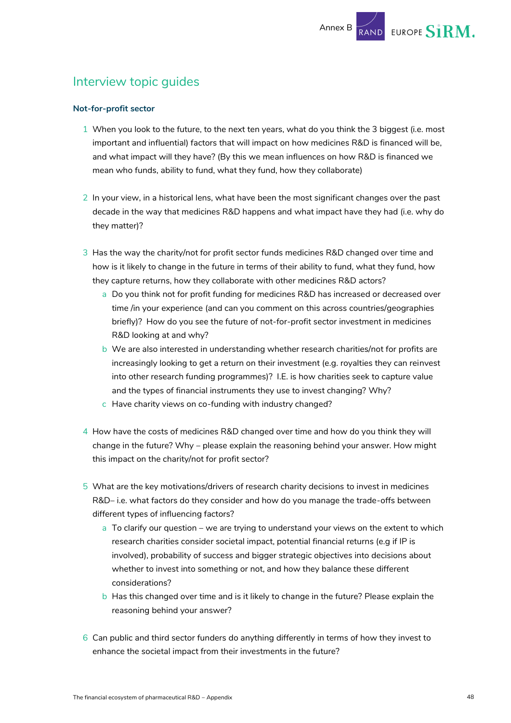### <span id="page-48-0"></span>Interview topic guides

#### **Not-for-profit sector**

- 1 When you look to the future, to the next ten years, what do you think the 3 biggest (i.e. most important and influential) factors that will impact on how medicines R&D is financed will be, and what impact will they have? (By this we mean influences on how R&D is financed we mean who funds, ability to fund, what they fund, how they collaborate)
- 2 In your view, in a historical lens, what have been the most significant changes over the past decade in the way that medicines R&D happens and what impact have they had (i.e. why do they matter)?
- 3 Has the way the charity/not for profit sector funds medicines R&D changed over time and how is it likely to change in the future in terms of their ability to fund, what they fund, how they capture returns, how they collaborate with other medicines R&D actors?
	- a Do you think not for profit funding for medicines R&D has increased or decreased over time /in your experience (and can you comment on this across countries/geographies briefly)? How do you see the future of not-for-profit sector investment in medicines R&D looking at and why?
	- b We are also interested in understanding whether research charities/not for profits are increasingly looking to get a return on their investment (e.g. royalties they can reinvest into other research funding programmes)? I.E. is how charities seek to capture value and the types of financial instruments they use to invest changing? Why?
	- c Have charity views on co-funding with industry changed?
- 4 How have the costs of medicines R&D changed over time and how do you think they will change in the future? Why – please explain the reasoning behind your answer. How might this impact on the charity/not for profit sector?
- 5 What are the key motivations/drivers of research charity decisions to invest in medicines R&D– i.e. what factors do they consider and how do you manage the trade-offs between different types of influencing factors?
	- a To clarify our question we are trying to understand your views on the extent to which research charities consider societal impact, potential financial returns (e.g if IP is involved), probability of success and bigger strategic objectives into decisions about whether to invest into something or not, and how they balance these different considerations?
	- b Has this changed over time and is it likely to change in the future? Please explain the reasoning behind your answer?
- 6 Can public and third sector funders do anything differently in terms of how they invest to enhance the societal impact from their investments in the future?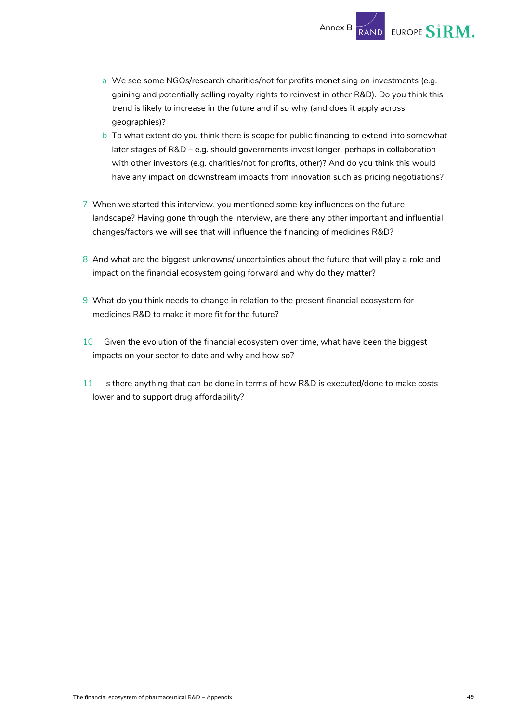a We see some NGOs/research charities/not for profits monetising on investments (e.g. gaining and potentially selling royalty rights to reinvest in other R&D). Do you think this trend is likely to increase in the future and if so why (and does it apply across geographies)?

Annex B

EUROPE S1RM.

- b To what extent do you think there is scope for public financing to extend into somewhat later stages of R&D – e.g. should governments invest longer, perhaps in collaboration with other investors (e.g. charities/not for profits, other)? And do you think this would have any impact on downstream impacts from innovation such as pricing negotiations?
- 7 When we started this interview, you mentioned some key influences on the future landscape? Having gone through the interview, are there any other important and influential changes/factors we will see that will influence the financing of medicines R&D?
- 8 And what are the biggest unknowns/ uncertainties about the future that will play a role and impact on the financial ecosystem going forward and why do they matter?
- 9 What do you think needs to change in relation to the present financial ecosystem for medicines R&D to make it more fit for the future?
- 10 Given the evolution of the financial ecosystem over time, what have been the biggest impacts on your sector to date and why and how so?
- 11 Is there anything that can be done in terms of how R&D is executed/done to make costs lower and to support drug affordability?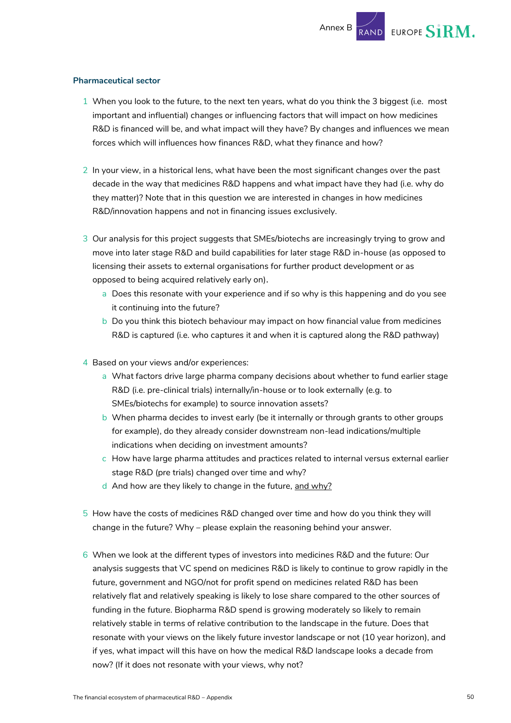#### **Pharmaceutical sector**

- 1 When you look to the future, to the next ten years, what do you think the 3 biggest (i.e. most important and influential) changes or influencing factors that will impact on how medicines R&D is financed will be, and what impact will they have? By changes and influences we mean forces which will influences how finances R&D, what they finance and how?
- 2 In your view, in a historical lens, what have been the most significant changes over the past decade in the way that medicines R&D happens and what impact have they had (i.e. why do they matter)? Note that in this question we are interested in changes in how medicines R&D/innovation happens and not in financing issues exclusively.
- 3 Our analysis for this project suggests that SMEs/biotechs are increasingly trying to grow and move into later stage R&D and build capabilities for later stage R&D in-house (as opposed to licensing their assets to external organisations for further product development or as opposed to being acquired relatively early on).
	- a Does this resonate with your experience and if so why is this happening and do you see it continuing into the future?
	- b Do you think this biotech behaviour may impact on how financial value from medicines R&D is captured (i.e. who captures it and when it is captured along the R&D pathway)
- 4 Based on your views and/or experiences:
	- a What factors drive large pharma company decisions about whether to fund earlier stage R&D (i.e. pre-clinical trials) internally/in-house or to look externally (e.g. to SMEs/biotechs for example) to source innovation assets?
	- b When pharma decides to invest early (be it internally or through grants to other groups for example), do they already consider downstream non-lead indications/multiple indications when deciding on investment amounts?
	- c How have large pharma attitudes and practices related to internal versus external earlier stage R&D (pre trials) changed over time and why?
	- d And how are they likely to change in the future, and why?
- 5 How have the costs of medicines R&D changed over time and how do you think they will change in the future? Why – please explain the reasoning behind your answer.
- 6 When we look at the different types of investors into medicines R&D and the future: Our analysis suggests that VC spend on medicines R&D is likely to continue to grow rapidly in the future, government and NGO/not for profit spend on medicines related R&D has been relatively flat and relatively speaking is likely to lose share compared to the other sources of funding in the future. Biopharma R&D spend is growing moderately so likely to remain relatively stable in terms of relative contribution to the landscape in the future. Does that resonate with your views on the likely future investor landscape or not (10 year horizon), and if yes, what impact will this have on how the medical R&D landscape looks a decade from now? (If it does not resonate with your views, why not?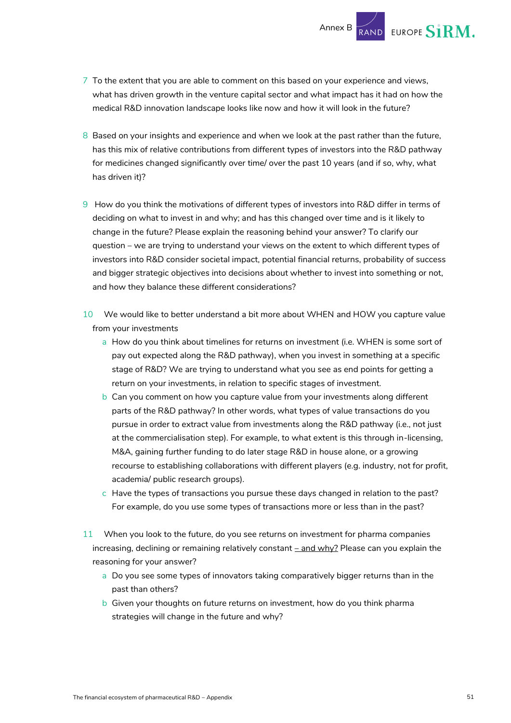7 To the extent that you are able to comment on this based on your experience and views, what has driven growth in the venture capital sector and what impact has it had on how the medical R&D innovation landscape looks like now and how it will look in the future?

Annex B

EUROPE S1RM.

- 8 Based on your insights and experience and when we look at the past rather than the future, has this mix of relative contributions from different types of investors into the R&D pathway for medicines changed significantly over time/ over the past 10 years (and if so, why, what has driven it)?
- 9 How do you think the motivations of different types of investors into R&D differ in terms of deciding on what to invest in and why; and has this changed over time and is it likely to change in the future? Please explain the reasoning behind your answer? To clarify our question – we are trying to understand your views on the extent to which different types of investors into R&D consider societal impact, potential financial returns, probability of success and bigger strategic objectives into decisions about whether to invest into something or not, and how they balance these different considerations?
- 10 We would like to better understand a bit more about WHEN and HOW you capture value from your investments
	- a How do you think about timelines for returns on investment (i.e. WHEN is some sort of pay out expected along the R&D pathway), when you invest in something at a specific stage of R&D? We are trying to understand what you see as end points for getting a return on your investments, in relation to specific stages of investment.
	- b Can you comment on how you capture value from your investments along different parts of the R&D pathway? In other words, what types of value transactions do you pursue in order to extract value from investments along the R&D pathway (i.e., not just at the commercialisation step). For example, to what extent is this through in-licensing, M&A, gaining further funding to do later stage R&D in house alone, or a growing recourse to establishing collaborations with different players (e.g. industry, not for profit, academia/ public research groups).
	- c Have the types of transactions you pursue these days changed in relation to the past? For example, do you use some types of transactions more or less than in the past?
- 11 When you look to the future, do you see returns on investment for pharma companies increasing, declining or remaining relatively constant  $\frac{-\text{and }w\bar{y}}{2}$  Please can you explain the reasoning for your answer?
	- a Do you see some types of innovators taking comparatively bigger returns than in the past than others?
	- b Given your thoughts on future returns on investment, how do you think pharma strategies will change in the future and why?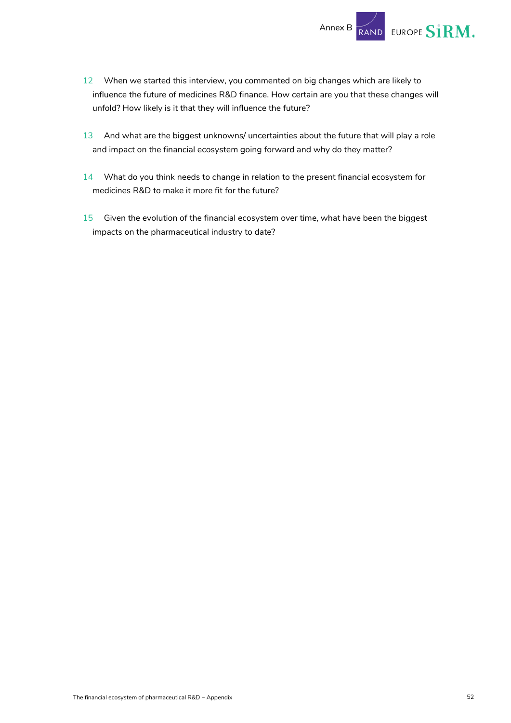

- 12 When we started this interview, you commented on big changes which are likely to influence the future of medicines R&D finance. How certain are you that these changes will unfold? How likely is it that they will influence the future?
- 13 And what are the biggest unknowns/ uncertainties about the future that will play a role and impact on the financial ecosystem going forward and why do they matter?
- 14 What do you think needs to change in relation to the present financial ecosystem for medicines R&D to make it more fit for the future?
- 15 Given the evolution of the financial ecosystem over time, what have been the biggest impacts on the pharmaceutical industry to date?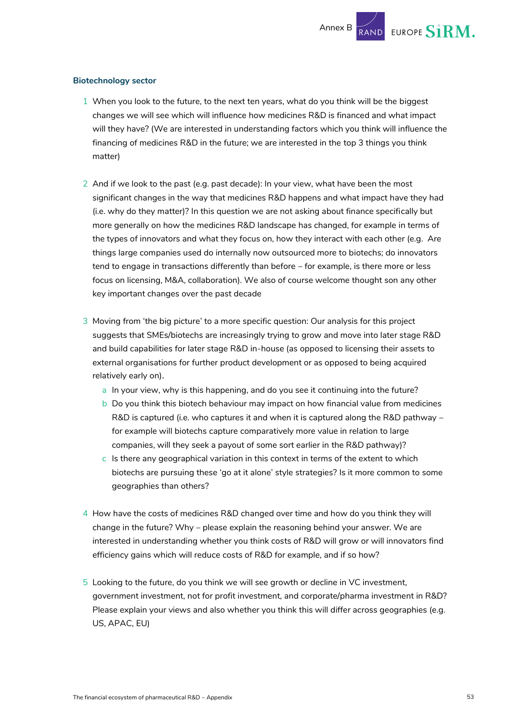#### **Biotechnology sector**

- 1 When you look to the future, to the next ten years, what do you think will be the biggest changes we will see which will influence how medicines R&D is financed and what impact will they have? (We are interested in understanding factors which you think will influence the financing of medicines R&D in the future; we are interested in the top 3 things you think matter)
- 2 And if we look to the past (e.g. past decade): In your view, what have been the most significant changes in the way that medicines R&D happens and what impact have they had (i.e. why do they matter)? In this question we are not asking about finance specifically but more generally on how the medicines R&D landscape has changed, for example in terms of the types of innovators and what they focus on, how they interact with each other (e.g. Are things large companies used do internally now outsourced more to biotechs; do innovators tend to engage in transactions differently than before – for example, is there more or less focus on licensing, M&A, collaboration). We also of course welcome thought son any other key important changes over the past decade
- 3 Moving from 'the big picture' to a more specific question: Our analysis for this project suggests that SMEs/biotechs are increasingly trying to grow and move into later stage R&D and build capabilities for later stage R&D in-house (as opposed to licensing their assets to external organisations for further product development or as opposed to being acquired relatively early on).
	- a In your view, why is this happening, and do you see it continuing into the future?
	- b Do you think this biotech behaviour may impact on how financial value from medicines R&D is captured (i.e. who captures it and when it is captured along the R&D pathway – for example will biotechs capture comparatively more value in relation to large companies, will they seek a payout of some sort earlier in the R&D pathway)?
	- c Is there any geographical variation in this context in terms of the extent to which biotechs are pursuing these 'go at it alone' style strategies? Is it more common to some geographies than others?
- 4 How have the costs of medicines R&D changed over time and how do you think they will change in the future? Why – please explain the reasoning behind your answer. We are interested in understanding whether you think costs of R&D will grow or will innovators find efficiency gains which will reduce costs of R&D for example, and if so how?
- 5 Looking to the future, do you think we will see growth or decline in VC investment, government investment, not for profit investment, and corporate/pharma investment in R&D? Please explain your views and also whether you think this will differ across geographies (e.g. US, APAC, EU)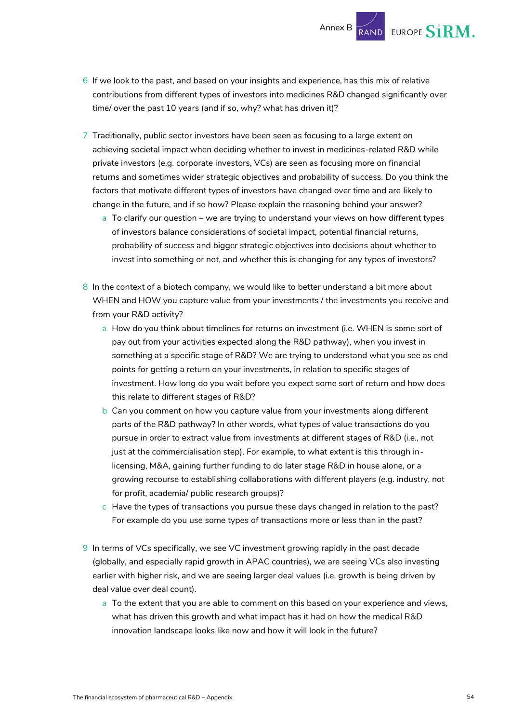- **EUROPE SIRM.** Annex B
- 6 If we look to the past, and based on your insights and experience, has this mix of relative contributions from different types of investors into medicines R&D changed significantly over time/ over the past 10 years (and if so, why? what has driven it)?
- 7 Traditionally, public sector investors have been seen as focusing to a large extent on achieving societal impact when deciding whether to invest in medicines-related R&D while private investors (e.g. corporate investors, VCs) are seen as focusing more on financial returns and sometimes wider strategic objectives and probability of success. Do you think the factors that motivate different types of investors have changed over time and are likely to change in the future, and if so how? Please explain the reasoning behind your answer?
	- a To clarify our question we are trying to understand your views on how different types of investors balance considerations of societal impact, potential financial returns, probability of success and bigger strategic objectives into decisions about whether to invest into something or not, and whether this is changing for any types of investors?
- 8 In the context of a biotech company, we would like to better understand a bit more about WHEN and HOW you capture value from your investments / the investments you receive and from your R&D activity?
	- a How do you think about timelines for returns on investment (i.e. WHEN is some sort of pay out from your activities expected along the R&D pathway), when you invest in something at a specific stage of R&D? We are trying to understand what you see as end points for getting a return on your investments, in relation to specific stages of investment. How long do you wait before you expect some sort of return and how does this relate to different stages of R&D?
	- b Can you comment on how you capture value from your investments along different parts of the R&D pathway? In other words, what types of value transactions do you pursue in order to extract value from investments at different stages of R&D (i.e., not just at the commercialisation step). For example, to what extent is this through inlicensing, M&A, gaining further funding to do later stage R&D in house alone, or a growing recourse to establishing collaborations with different players (e.g. industry, not for profit, academia/ public research groups)?
	- c Have the types of transactions you pursue these days changed in relation to the past? For example do you use some types of transactions more or less than in the past?
- 9 In terms of VCs specifically, we see VC investment growing rapidly in the past decade (globally, and especially rapid growth in APAC countries), we are seeing VCs also investing earlier with higher risk, and we are seeing larger deal values (i.e. growth is being driven by deal value over deal count).
	- a To the extent that you are able to comment on this based on your experience and views, what has driven this growth and what impact has it had on how the medical R&D innovation landscape looks like now and how it will look in the future?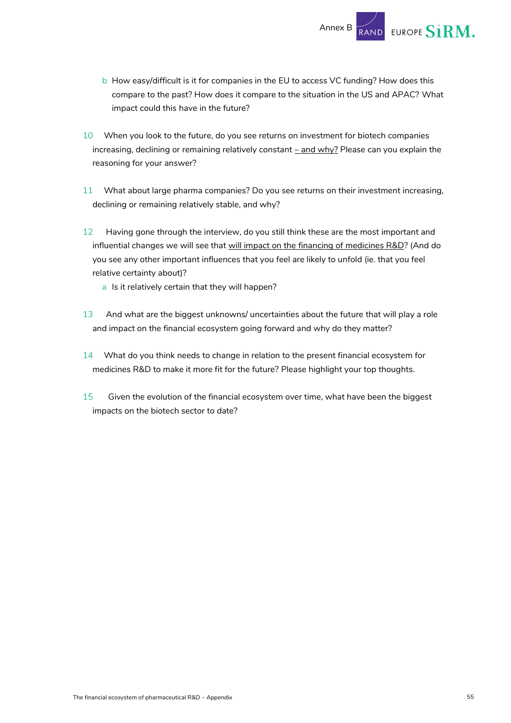b How easy/difficult is it for companies in the EU to access VC funding? How does this compare to the past? How does it compare to the situation in the US and APAC? What impact could this have in the future?

Annex B

EUROPE SIRM.

- 10 When you look to the future, do you see returns on investment for biotech companies increasing, declining or remaining relatively constant  $\frac{-\text{and }w\bar{y}}{2}$  Please can you explain the reasoning for your answer?
- 11 What about large pharma companies? Do you see returns on their investment increasing, declining or remaining relatively stable, and why?
- 12 Having gone through the interview, do you still think these are the most important and influential changes we will see that will impact on the financing of medicines R&D? (And do you see any other important influences that you feel are likely to unfold (ie. that you feel relative certainty about)?
	- a Is it relatively certain that they will happen?
- 13 And what are the biggest unknowns/ uncertainties about the future that will play a role and impact on the financial ecosystem going forward and why do they matter?
- 14 What do you think needs to change in relation to the present financial ecosystem for medicines R&D to make it more fit for the future? Please highlight your top thoughts.
- 15 Given the evolution of the financial ecosystem over time, what have been the biggest impacts on the biotech sector to date?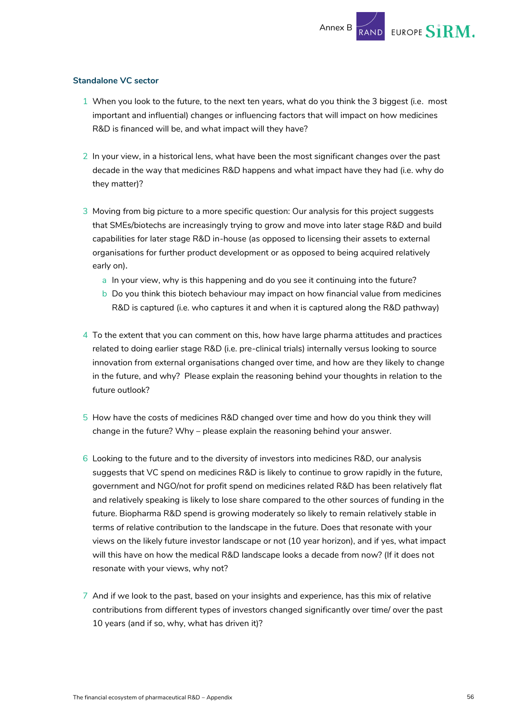EUROPE S1RM.

#### **Standalone VC sector**

- 1 When you look to the future, to the next ten years, what do you think the 3 biggest (i.e. most important and influential) changes or influencing factors that will impact on how medicines R&D is financed will be, and what impact will they have?
- 2 In your view, in a historical lens, what have been the most significant changes over the past decade in the way that medicines R&D happens and what impact have they had (i.e. why do they matter)?
- 3 Moving from big picture to a more specific question: Our analysis for this project suggests that SMEs/biotechs are increasingly trying to grow and move into later stage R&D and build capabilities for later stage R&D in-house (as opposed to licensing their assets to external organisations for further product development or as opposed to being acquired relatively early on).
	- a In your view, why is this happening and do you see it continuing into the future?
	- b Do you think this biotech behaviour may impact on how financial value from medicines R&D is captured (i.e. who captures it and when it is captured along the R&D pathway)
- 4 To the extent that you can comment on this, how have large pharma attitudes and practices related to doing earlier stage R&D (i.e. pre-clinical trials) internally versus looking to source innovation from external organisations changed over time, and how are they likely to change in the future, and why? Please explain the reasoning behind your thoughts in relation to the future outlook?
- 5 How have the costs of medicines R&D changed over time and how do you think they will change in the future? Why – please explain the reasoning behind your answer.
- 6 Looking to the future and to the diversity of investors into medicines R&D, our analysis suggests that VC spend on medicines R&D is likely to continue to grow rapidly in the future, government and NGO/not for profit spend on medicines related R&D has been relatively flat and relatively speaking is likely to lose share compared to the other sources of funding in the future. Biopharma R&D spend is growing moderately so likely to remain relatively stable in terms of relative contribution to the landscape in the future. Does that resonate with your views on the likely future investor landscape or not (10 year horizon), and if yes, what impact will this have on how the medical R&D landscape looks a decade from now? (If it does not resonate with your views, why not?
- 7 And if we look to the past, based on your insights and experience, has this mix of relative contributions from different types of investors changed significantly over time/ over the past 10 years (and if so, why, what has driven it)?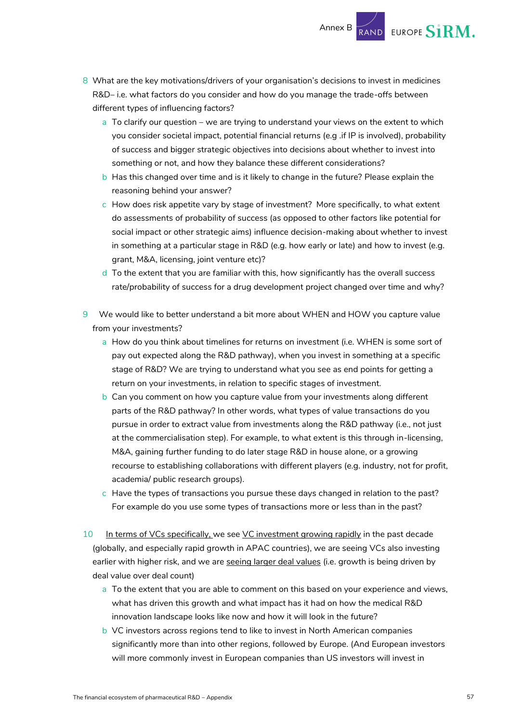- 8 What are the key motivations/drivers of your organisation's decisions to invest in medicines R&D– i.e. what factors do you consider and how do you manage the trade-offs between different types of influencing factors?
	- a To clarify our question we are trying to understand your views on the extent to which you consider societal impact, potential financial returns (e.g .if IP is involved), probability of success and bigger strategic objectives into decisions about whether to invest into something or not, and how they balance these different considerations?

Annex B

EUROPE SIRM.

- b Has this changed over time and is it likely to change in the future? Please explain the reasoning behind your answer?
- c How does risk appetite vary by stage of investment? More specifically, to what extent do assessments of probability of success (as opposed to other factors like potential for social impact or other strategic aims) influence decision-making about whether to invest in something at a particular stage in R&D (e.g. how early or late) and how to invest (e.g. grant, M&A, licensing, joint venture etc)?
- d To the extent that you are familiar with this, how significantly has the overall success rate/probability of success for a drug development project changed over time and why?
- 9 We would like to better understand a bit more about WHEN and HOW you capture value from your investments?
	- a How do you think about timelines for returns on investment (i.e. WHEN is some sort of pay out expected along the R&D pathway), when you invest in something at a specific stage of R&D? We are trying to understand what you see as end points for getting a return on your investments, in relation to specific stages of investment.
	- b Can you comment on how you capture value from your investments along different parts of the R&D pathway? In other words, what types of value transactions do you pursue in order to extract value from investments along the R&D pathway (i.e., not just at the commercialisation step). For example, to what extent is this through in-licensing, M&A, gaining further funding to do later stage R&D in house alone, or a growing recourse to establishing collaborations with different players (e.g. industry, not for profit, academia/ public research groups).
	- c Have the types of transactions you pursue these days changed in relation to the past? For example do you use some types of transactions more or less than in the past?
- 10 In terms of VCs specifically, we see VC investment growing rapidly in the past decade (globally, and especially rapid growth in APAC countries), we are seeing VCs also investing earlier with higher risk, and we are seeing larger deal values (i.e. growth is being driven by deal value over deal count)
	- a To the extent that you are able to comment on this based on your experience and views, what has driven this growth and what impact has it had on how the medical R&D innovation landscape looks like now and how it will look in the future?
	- b VC investors across regions tend to like to invest in North American companies significantly more than into other regions, followed by Europe. (And European investors will more commonly invest in European companies than US investors will invest in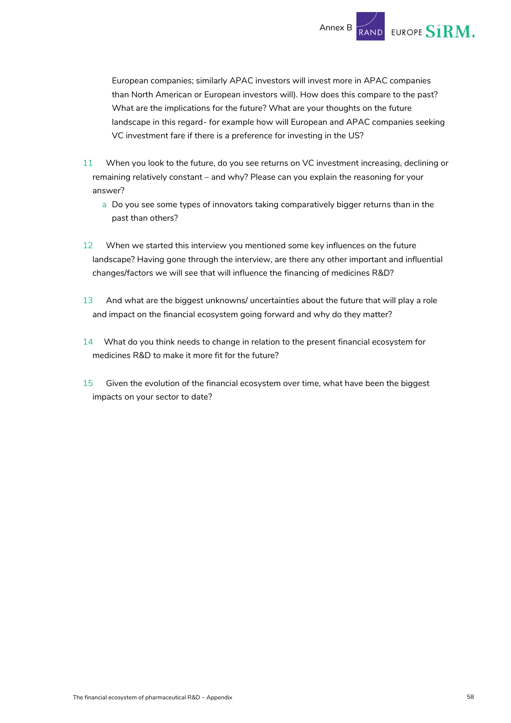

European companies; similarly APAC investors will invest more in APAC companies than North American or European investors will). How does this compare to the past? What are the implications for the future? What are your thoughts on the future landscape in this regard- for example how will European and APAC companies seeking VC investment fare if there is a preference for investing in the US?

- 11 When you look to the future, do you see returns on VC investment increasing, declining or remaining relatively constant – and why? Please can you explain the reasoning for your answer?
	- a Do you see some types of innovators taking comparatively bigger returns than in the past than others?
- 12 When we started this interview you mentioned some key influences on the future landscape? Having gone through the interview, are there any other important and influential changes/factors we will see that will influence the financing of medicines R&D?
- 13 And what are the biggest unknowns/ uncertainties about the future that will play a role and impact on the financial ecosystem going forward and why do they matter?
- 14 What do you think needs to change in relation to the present financial ecosystem for medicines R&D to make it more fit for the future?
- 15 Given the evolution of the financial ecosystem over time, what have been the biggest impacts on your sector to date?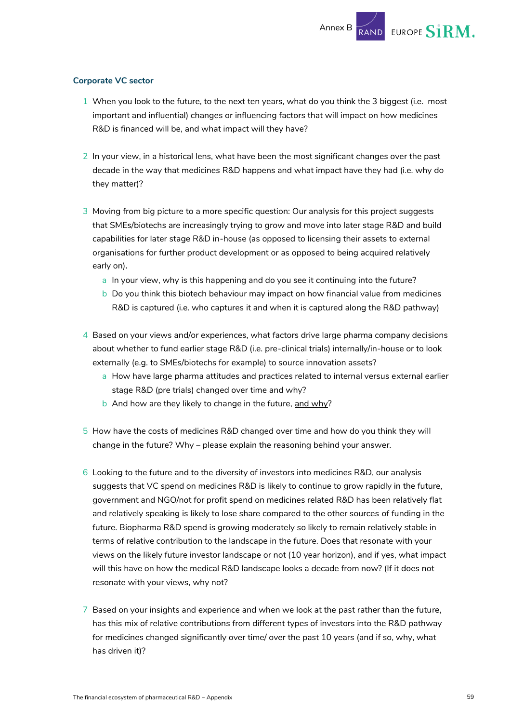**EUROPE SIRM.** 

#### **Corporate VC sector**

- 1 When you look to the future, to the next ten years, what do you think the 3 biggest (i.e. most important and influential) changes or influencing factors that will impact on how medicines R&D is financed will be, and what impact will they have?
- 2 In your view, in a historical lens, what have been the most significant changes over the past decade in the way that medicines R&D happens and what impact have they had (i.e. why do they matter)?
- 3 Moving from big picture to a more specific question: Our analysis for this project suggests that SMEs/biotechs are increasingly trying to grow and move into later stage R&D and build capabilities for later stage R&D in-house (as opposed to licensing their assets to external organisations for further product development or as opposed to being acquired relatively early on).
	- a In your view, why is this happening and do you see it continuing into the future?
	- b Do you think this biotech behaviour may impact on how financial value from medicines R&D is captured (i.e. who captures it and when it is captured along the R&D pathway)
- 4 Based on your views and/or experiences, what factors drive large pharma company decisions about whether to fund earlier stage R&D (i.e. pre-clinical trials) internally/in-house or to look externally (e.g. to SMEs/biotechs for example) to source innovation assets?
	- a How have large pharma attitudes and practices related to internal versus external earlier stage R&D (pre trials) changed over time and why?
	- b And how are they likely to change in the future, and why?
- 5 How have the costs of medicines R&D changed over time and how do you think they will change in the future? Why – please explain the reasoning behind your answer.
- 6 Looking to the future and to the diversity of investors into medicines R&D, our analysis suggests that VC spend on medicines R&D is likely to continue to grow rapidly in the future, government and NGO/not for profit spend on medicines related R&D has been relatively flat and relatively speaking is likely to lose share compared to the other sources of funding in the future. Biopharma R&D spend is growing moderately so likely to remain relatively stable in terms of relative contribution to the landscape in the future. Does that resonate with your views on the likely future investor landscape or not (10 year horizon), and if yes, what impact will this have on how the medical R&D landscape looks a decade from now? (If it does not resonate with your views, why not?
- 7 Based on your insights and experience and when we look at the past rather than the future, has this mix of relative contributions from different types of investors into the R&D pathway for medicines changed significantly over time/ over the past 10 years (and if so, why, what has driven it)?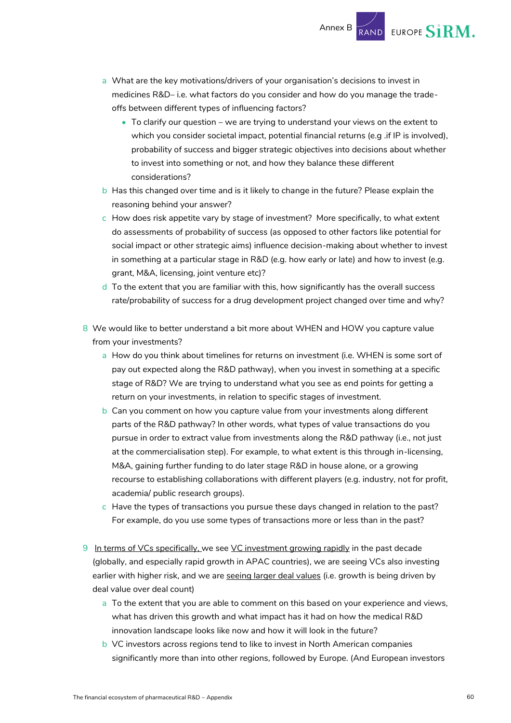- a What are the key motivations/drivers of your organisation's decisions to invest in medicines R&D– i.e. what factors do you consider and how do you manage the tradeoffs between different types of influencing factors?
	- To clarify our question we are trying to understand your views on the extent to which you consider societal impact, potential financial returns (e.g .if IP is involved), probability of success and bigger strategic objectives into decisions about whether to invest into something or not, and how they balance these different considerations?

Annex B

RAND EUROPE  $\boldsymbol{\mathrm{S}1\mathrm{RM}}.$ 

- b Has this changed over time and is it likely to change in the future? Please explain the reasoning behind your answer?
- c How does risk appetite vary by stage of investment? More specifically, to what extent do assessments of probability of success (as opposed to other factors like potential for social impact or other strategic aims) influence decision-making about whether to invest in something at a particular stage in R&D (e.g. how early or late) and how to invest (e.g. grant, M&A, licensing, joint venture etc)?
- d To the extent that you are familiar with this, how significantly has the overall success rate/probability of success for a drug development project changed over time and why?
- 8 We would like to better understand a bit more about WHEN and HOW you capture value from your investments?
	- a How do you think about timelines for returns on investment (i.e. WHEN is some sort of pay out expected along the R&D pathway), when you invest in something at a specific stage of R&D? We are trying to understand what you see as end points for getting a return on your investments, in relation to specific stages of investment.
	- b Can you comment on how you capture value from your investments along different parts of the R&D pathway? In other words, what types of value transactions do you pursue in order to extract value from investments along the R&D pathway (i.e., not just at the commercialisation step). For example, to what extent is this through in-licensing, M&A, gaining further funding to do later stage R&D in house alone, or a growing recourse to establishing collaborations with different players (e.g. industry, not for profit, academia/ public research groups).
	- c Have the types of transactions you pursue these days changed in relation to the past? For example, do you use some types of transactions more or less than in the past?
- 9 In terms of VCs specifically, we see VC investment growing rapidly in the past decade (globally, and especially rapid growth in APAC countries), we are seeing VCs also investing earlier with higher risk, and we are seeing larger deal values (i.e. growth is being driven by deal value over deal count)
	- a To the extent that you are able to comment on this based on your experience and views, what has driven this growth and what impact has it had on how the medical R&D innovation landscape looks like now and how it will look in the future?
	- b VC investors across regions tend to like to invest in North American companies significantly more than into other regions, followed by Europe. (And European investors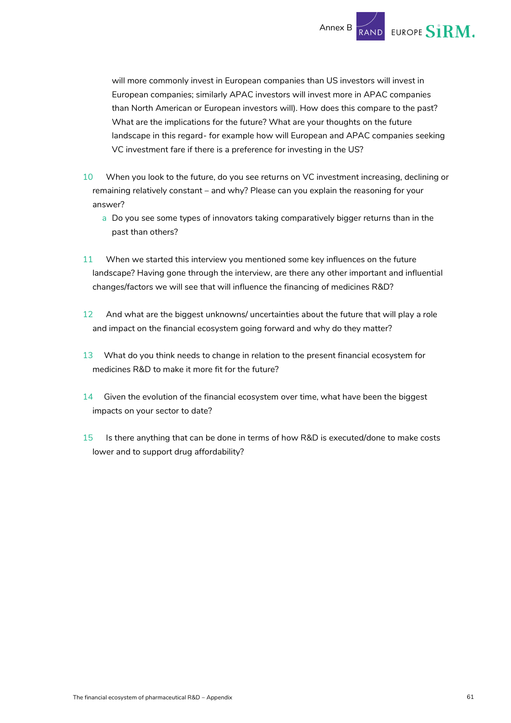

will more commonly invest in European companies than US investors will invest in European companies; similarly APAC investors will invest more in APAC companies than North American or European investors will). How does this compare to the past? What are the implications for the future? What are your thoughts on the future landscape in this regard- for example how will European and APAC companies seeking VC investment fare if there is a preference for investing in the US?

- 10 When you look to the future, do you see returns on VC investment increasing, declining or remaining relatively constant – and why? Please can you explain the reasoning for your answer?
	- a Do you see some types of innovators taking comparatively bigger returns than in the past than others?
- 11 When we started this interview you mentioned some key influences on the future landscape? Having gone through the interview, are there any other important and influential changes/factors we will see that will influence the financing of medicines R&D?
- 12 And what are the biggest unknowns/ uncertainties about the future that will play a role and impact on the financial ecosystem going forward and why do they matter?
- 13 What do you think needs to change in relation to the present financial ecosystem for medicines R&D to make it more fit for the future?
- 14 Given the evolution of the financial ecosystem over time, what have been the biggest impacts on your sector to date?
- 15 Is there anything that can be done in terms of how R&D is executed/done to make costs lower and to support drug affordability?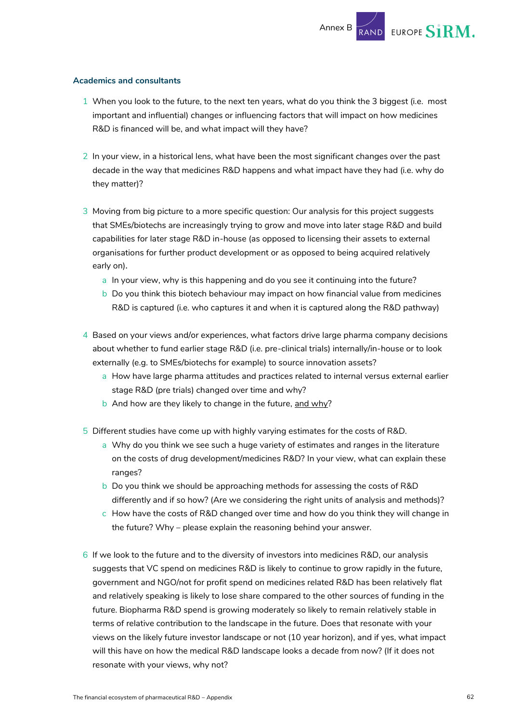#### **Academics and consultants**

- 1 When you look to the future, to the next ten years, what do you think the 3 biggest (i.e. most important and influential) changes or influencing factors that will impact on how medicines R&D is financed will be, and what impact will they have?
- 2 In your view, in a historical lens, what have been the most significant changes over the past decade in the way that medicines R&D happens and what impact have they had (i.e. why do they matter)?
- 3 Moving from big picture to a more specific question: Our analysis for this project suggests that SMEs/biotechs are increasingly trying to grow and move into later stage R&D and build capabilities for later stage R&D in-house (as opposed to licensing their assets to external organisations for further product development or as opposed to being acquired relatively early on).
	- a In your view, why is this happening and do you see it continuing into the future?
	- b Do you think this biotech behaviour may impact on how financial value from medicines R&D is captured (i.e. who captures it and when it is captured along the R&D pathway)
- 4 Based on your views and/or experiences, what factors drive large pharma company decisions about whether to fund earlier stage R&D (i.e. pre-clinical trials) internally/in-house or to look externally (e.g. to SMEs/biotechs for example) to source innovation assets?
	- a How have large pharma attitudes and practices related to internal versus external earlier stage R&D (pre trials) changed over time and why?
	- b And how are they likely to change in the future, and why?
- 5 Different studies have come up with highly varying estimates for the costs of R&D.
	- a Why do you think we see such a huge variety of estimates and ranges in the literature on the costs of drug development/medicines R&D? In your view, what can explain these ranges?
	- b Do you think we should be approaching methods for assessing the costs of R&D differently and if so how? (Are we considering the right units of analysis and methods)?
	- c How have the costs of R&D changed over time and how do you think they will change in the future? Why – please explain the reasoning behind your answer.
- 6 If we look to the future and to the diversity of investors into medicines R&D, our analysis suggests that VC spend on medicines R&D is likely to continue to grow rapidly in the future, government and NGO/not for profit spend on medicines related R&D has been relatively flat and relatively speaking is likely to lose share compared to the other sources of funding in the future. Biopharma R&D spend is growing moderately so likely to remain relatively stable in terms of relative contribution to the landscape in the future. Does that resonate with your views on the likely future investor landscape or not (10 year horizon), and if yes, what impact will this have on how the medical R&D landscape looks a decade from now? (If it does not resonate with your views, why not?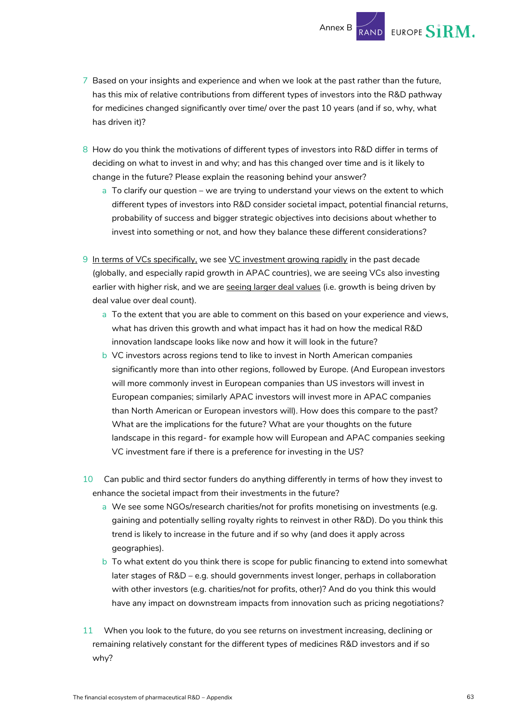7 Based on your insights and experience and when we look at the past rather than the future, has this mix of relative contributions from different types of investors into the R&D pathway for medicines changed significantly over time/ over the past 10 years (and if so, why, what

Annex B

**EUROPE SIRM.** 

- 8 How do you think the motivations of different types of investors into R&D differ in terms of deciding on what to invest in and why; and has this changed over time and is it likely to change in the future? Please explain the reasoning behind your answer?
	- a To clarify our question we are trying to understand your views on the extent to which different types of investors into R&D consider societal impact, potential financial returns, probability of success and bigger strategic objectives into decisions about whether to invest into something or not, and how they balance these different considerations?
- 9 In terms of VCs specifically, we see VC investment growing rapidly in the past decade (globally, and especially rapid growth in APAC countries), we are seeing VCs also investing earlier with higher risk, and we are seeing larger deal values (i.e. growth is being driven by deal value over deal count).
	- a To the extent that you are able to comment on this based on your experience and views, what has driven this growth and what impact has it had on how the medical R&D innovation landscape looks like now and how it will look in the future?
	- b VC investors across regions tend to like to invest in North American companies significantly more than into other regions, followed by Europe. (And European investors will more commonly invest in European companies than US investors will invest in European companies; similarly APAC investors will invest more in APAC companies than North American or European investors will). How does this compare to the past? What are the implications for the future? What are your thoughts on the future landscape in this regard- for example how will European and APAC companies seeking VC investment fare if there is a preference for investing in the US?
- 10 Can public and third sector funders do anything differently in terms of how they invest to enhance the societal impact from their investments in the future?
	- a We see some NGOs/research charities/not for profits monetising on investments (e.g. gaining and potentially selling royalty rights to reinvest in other R&D). Do you think this trend is likely to increase in the future and if so why (and does it apply across geographies).
	- b To what extent do you think there is scope for public financing to extend into somewhat later stages of R&D – e.g. should governments invest longer, perhaps in collaboration with other investors (e.g. charities/not for profits, other)? And do you think this would have any impact on downstream impacts from innovation such as pricing negotiations?
- 11 When you look to the future, do you see returns on investment increasing, declining or remaining relatively constant for the different types of medicines R&D investors and if so why?

has driven it)?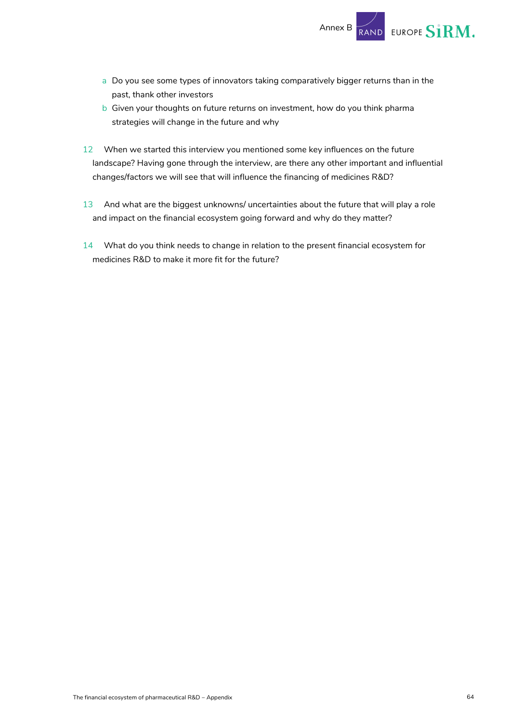

- a Do you see some types of innovators taking comparatively bigger returns than in the past, thank other investors
- b Given your thoughts on future returns on investment, how do you think pharma strategies will change in the future and why
- 12 When we started this interview you mentioned some key influences on the future landscape? Having gone through the interview, are there any other important and influential changes/factors we will see that will influence the financing of medicines R&D?
- 13 And what are the biggest unknowns/ uncertainties about the future that will play a role and impact on the financial ecosystem going forward and why do they matter?
- 14 What do you think needs to change in relation to the present financial ecosystem for medicines R&D to make it more fit for the future?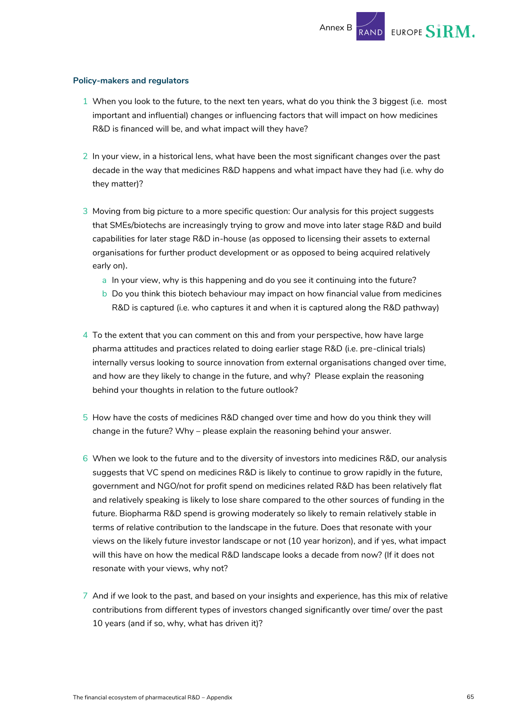EUROPE SIRM.

#### **Policy-makers and regulators**

- 1 When you look to the future, to the next ten years, what do you think the 3 biggest (i.e. most important and influential) changes or influencing factors that will impact on how medicines R&D is financed will be, and what impact will they have?
- 2 In your view, in a historical lens, what have been the most significant changes over the past decade in the way that medicines R&D happens and what impact have they had (i.e. why do they matter)?
- 3 Moving from big picture to a more specific question: Our analysis for this project suggests that SMEs/biotechs are increasingly trying to grow and move into later stage R&D and build capabilities for later stage R&D in-house (as opposed to licensing their assets to external organisations for further product development or as opposed to being acquired relatively early on).
	- a In your view, why is this happening and do you see it continuing into the future?
	- b Do you think this biotech behaviour may impact on how financial value from medicines R&D is captured (i.e. who captures it and when it is captured along the R&D pathway)
- 4 To the extent that you can comment on this and from your perspective, how have large pharma attitudes and practices related to doing earlier stage R&D (i.e. pre-clinical trials) internally versus looking to source innovation from external organisations changed over time, and how are they likely to change in the future, and why? Please explain the reasoning behind your thoughts in relation to the future outlook?
- 5 How have the costs of medicines R&D changed over time and how do you think they will change in the future? Why – please explain the reasoning behind your answer.
- 6 When we look to the future and to the diversity of investors into medicines R&D, our analysis suggests that VC spend on medicines R&D is likely to continue to grow rapidly in the future, government and NGO/not for profit spend on medicines related R&D has been relatively flat and relatively speaking is likely to lose share compared to the other sources of funding in the future. Biopharma R&D spend is growing moderately so likely to remain relatively stable in terms of relative contribution to the landscape in the future. Does that resonate with your views on the likely future investor landscape or not (10 year horizon), and if yes, what impact will this have on how the medical R&D landscape looks a decade from now? (If it does not resonate with your views, why not?
- 7 And if we look to the past, and based on your insights and experience, has this mix of relative contributions from different types of investors changed significantly over time/ over the past 10 years (and if so, why, what has driven it)?